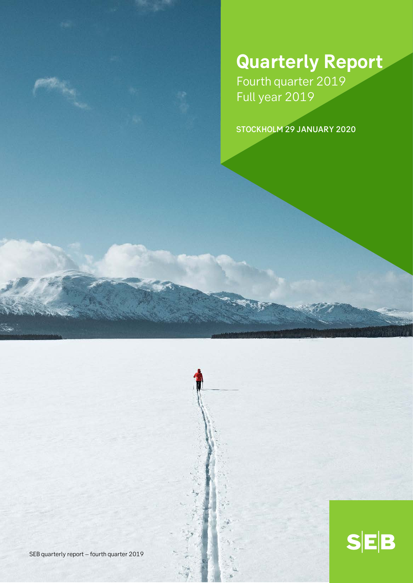# **Quarterly Report**

 $S|E|B$ 

Fourth quarter 2019 Full year 2019

STOCKHOLM 29 JANUARY 2020

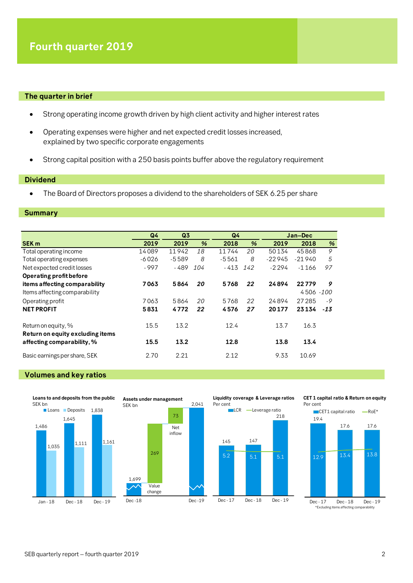#### **The quarter in brief**

- Strong operating income growth driven by high client activity and higher interest rates
- Operating expenses were higher and net expected credit losses increased, explained by two specific corporate engagements
- Strong capital position with a 250 basis points buffer above the regulatory requirement

### **Dividend**

• The Board of Directors proposes a dividend to the shareholders of SEK 6.25 per share

#### **Summary**

|                                                         | Q <sub>4</sub> | Q <sub>3</sub> |     |         | Q <sub>4</sub> |          | Jan-Dec   |       |
|---------------------------------------------------------|----------------|----------------|-----|---------|----------------|----------|-----------|-------|
| <b>SEK m</b>                                            | 2019           | 2019           | %   | 2018    | %              | 2019     | 2018      | %     |
| Total operating income                                  | 14089          | 11942          | 18  | 11744   | 20             | 50134    | 45868     | 9     |
| Total operating expenses                                | $-6026$        | $-5589$        | 8   | $-5561$ | 8              | $-22945$ | $-21940$  | 5     |
| Net expected credit losses                              | $-997$         | $-489$         | 104 | - 413   | 142            | $-2294$  | -1166     | 97    |
| Operating profit before                                 |                |                |     |         |                |          |           |       |
| items affecting comparability                           | 7063           | 5864           | 20  | 5768    | 22             | 24894    | 22779     | 9     |
| Items affecting comparability                           |                |                |     |         |                |          | 4506 -100 |       |
| Operating profit                                        | 7063           | 5864           | 20  | 5768    | 22             | 24894    | 27 285    | -9    |
| <b>NET PROFIT</b>                                       | 5831           | 4772           | 22  | 4576    | 27             | 20177    | 23134     | $-13$ |
| Return on equity, %<br>Return on equity excluding items | 15.5           | 13.2           |     | 12.4    |                | 13.7     | 16.3      |       |
| affecting comparability, %                              | 15.5           | 13.2           |     | 12.8    |                | 13.8     | 13.4      |       |
| Basic earnings per share, SEK                           | 2.70           | 2.21           |     | 2.12    |                | 9.33     | 10.69     |       |

#### **Volumes and key ratios**



#### **CET 1 capital ratio & Return on equity** Per cent

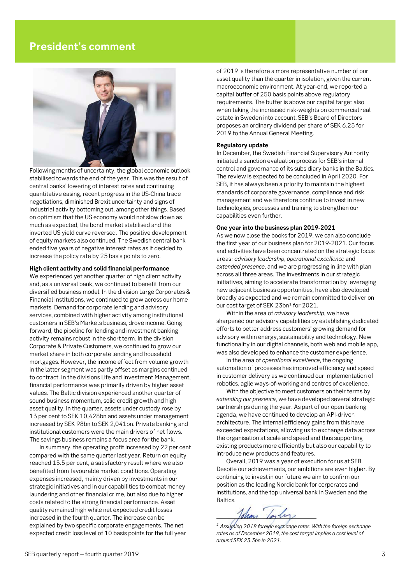# **President's comment**



Following months of uncertainty, the global economic outlook stabilised towards the end of the year. This was the result of central banks' lowering of interest rates and continuing quantitative easing, recent progress in the US-China trade negotiations, diminished Brexit uncertainty and signs of industrial activity bottoming out, among other things. Based on optimism that the US economy would not slow down as much as expected, the bond market stabilised and the inverted US yield curve reversed. The positive development of equity markets also continued. The Swedish central bank ended five years of negative interest rates as it decided to increase the policy rate by 25 basis points to zero.

#### **High client activity and solid financial performance**

We experienced yet another quarter of high client activity and, as a universal bank, we continued to benefit from our diversified business model. In the division Large Corporates & Financial Institutions, we continued to grow across our home markets. Demand for corporate lending and advisory services, combined with higher activity among institutional customers in SEB's Markets business, drove income. Going forward, the pipeline for lending and investment banking activity remains robust in the short term. In the division Corporate & Private Customers, we continued to grow our market share in both corporate lending and household mortgages. However, the income effect from volume growth in the latter segment was partly offset as margins continued to contract. In the divisions Life and Investment Management, financial performance was primarily driven by higher asset values. The Baltic division experienced another quarter of sound business momentum, solid credit growth and high asset quality. In the quarter, assets under custody rose by 13 per cent to SEK 10,428bn and assets under management increased by SEK 98bn to SEK 2,041bn. Private banking and institutional customers were the main drivers of net flows. The savings business remains a focus area for the bank.

<span id="page-2-0"></span>In summary, the operating profit increased by 22 per cent compared with the same quarter last year. Return on equity reached 15.5 per cent, a satisfactory result where we also benefited from favourable market conditions. Operating expenses increased, mainly driven by investments in our strategic initiatives and in our capabilities to combat money laundering and other financial crime, but also due to higher costs related to the strong financial performance. Asset quality remained high while net expected credit losses increased in the fourth quarter. The increase can be explained by two specific corporate engagements. The net expected credit loss level of 10 basis points for the full year

of 2019 is therefore a more representative number of our asset quality than the quarter in isolation, given the current macroeconomic environment. At year-end, we reported a capital buffer of 250 basis points above regulatory requirements. The buffer is above our capital target also when taking the increased risk-weights on commercial real estate in Sweden into account. SEB's Board of Directors proposes an ordinary dividend per share of SEK 6.25 for 2019 to the Annual General Meeting.

#### **Regulatory update**

In December, the Swedish Financial Supervisory Authority initiated a sanction evaluation process for SEB's internal control and governance of its subsidiary banks in the Baltics. The review is expected to be concluded in April 2020. For SEB, it has always been a priority to maintain the highest standards of corporate governance, compliance and risk management and we therefore continue to invest in new technologies, processes and training to strengthen our capabilities even further.

#### **One year into the business plan 2019-2021**

As we now close the books for 2019, we can also conclude the first year of our business plan for 2019-2021. Our focus and activities have been concentrated on the strategic focus areas: *advisory leadership*, *operational excellence* and *extended presence*, and we are progressing in line with plan across all three areas. The investments in our strategic initiatives, aiming to accelerate transformation by leveraging new adjacent business opportunities, have also developed broadly as expected and we remain committed to deliver on our cost target of SEK 23bn<sup>[1](#page-2-0)</sup> for 2021.

Within the area of *advisory leadership*, we have sharpened our advisory capabilities by establishing dedicated efforts to better address customers' growing demand for advisory within energy, sustainability and technology. New functionality in our digital channels, both web and mobile app, was also developed to enhance the customer experience.

In the area of *operational excellence*, the ongoing automation of processes has improved efficiency and speed in customer delivery as we continued our implementation of robotics, agile ways-of-working and centres of excellence.

With the objective to meet customers on their terms by *extending our presence*, we have developed several strategic partnerships during the year. As part of our open banking agenda, we have continued to develop an API-driven architecture. The internal efficiency gains from this have exceeded expectations, allowing us to exchange data across the organisation at scale and speed and thus supporting existing products more efficiently but also our capability to introduce new products and features.

Overall, 2019 was a year of execution for us at SEB. Despite our achievements, our ambitions are even higher. By continuing to invest in our future we aim to confirm our position as the leading Nordic bank for corporates and institutions, and the top universal bank in Sweden and the Baltics.

-

*<sup>1</sup> Assuming 2018 foreign exchange rates. With the foreign exchange rates as of December 2019, the cost target implies a cost level of around SEK 23.3bn in 2021.*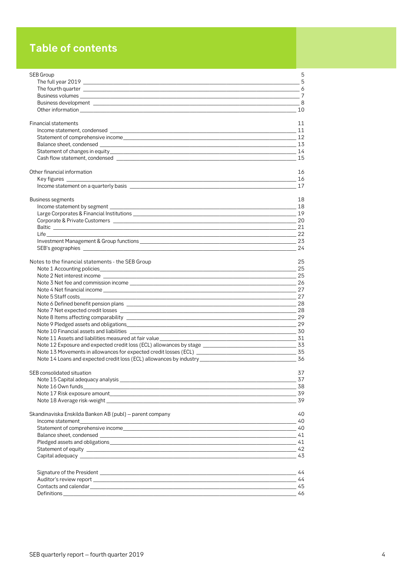# **Table of contents**

| SEB Group                                                                                                                                                                                                                     | 5   |
|-------------------------------------------------------------------------------------------------------------------------------------------------------------------------------------------------------------------------------|-----|
|                                                                                                                                                                                                                               |     |
|                                                                                                                                                                                                                               |     |
|                                                                                                                                                                                                                               |     |
|                                                                                                                                                                                                                               |     |
|                                                                                                                                                                                                                               |     |
| <b>Financial statements</b>                                                                                                                                                                                                   | 11  |
|                                                                                                                                                                                                                               |     |
|                                                                                                                                                                                                                               |     |
|                                                                                                                                                                                                                               |     |
|                                                                                                                                                                                                                               |     |
|                                                                                                                                                                                                                               |     |
|                                                                                                                                                                                                                               |     |
| Other financial information                                                                                                                                                                                                   | 16  |
|                                                                                                                                                                                                                               | 17  |
|                                                                                                                                                                                                                               |     |
| Business segments                                                                                                                                                                                                             | 18  |
|                                                                                                                                                                                                                               |     |
|                                                                                                                                                                                                                               |     |
|                                                                                                                                                                                                                               |     |
|                                                                                                                                                                                                                               |     |
|                                                                                                                                                                                                                               |     |
|                                                                                                                                                                                                                               | -23 |
|                                                                                                                                                                                                                               |     |
| Notes to the financial statements - the SEB Group                                                                                                                                                                             | 25  |
|                                                                                                                                                                                                                               |     |
|                                                                                                                                                                                                                               |     |
|                                                                                                                                                                                                                               |     |
|                                                                                                                                                                                                                               |     |
| Note 5 Staff costs___________                                                                                                                                                                                                 |     |
|                                                                                                                                                                                                                               |     |
|                                                                                                                                                                                                                               |     |
|                                                                                                                                                                                                                               |     |
|                                                                                                                                                                                                                               |     |
|                                                                                                                                                                                                                               |     |
|                                                                                                                                                                                                                               |     |
|                                                                                                                                                                                                                               |     |
|                                                                                                                                                                                                                               |     |
|                                                                                                                                                                                                                               |     |
|                                                                                                                                                                                                                               |     |
| SEB consolidated situation                                                                                                                                                                                                    | 37  |
|                                                                                                                                                                                                                               |     |
|                                                                                                                                                                                                                               |     |
|                                                                                                                                                                                                                               |     |
|                                                                                                                                                                                                                               |     |
| Skandinaviska Enskilda Banken AB (publ) – parent company                                                                                                                                                                      | 40  |
|                                                                                                                                                                                                                               |     |
|                                                                                                                                                                                                                               |     |
|                                                                                                                                                                                                                               |     |
|                                                                                                                                                                                                                               |     |
|                                                                                                                                                                                                                               |     |
|                                                                                                                                                                                                                               |     |
|                                                                                                                                                                                                                               |     |
|                                                                                                                                                                                                                               |     |
|                                                                                                                                                                                                                               |     |
| Contacts and calendar extension and the control of the control of the control of the contacts and calendar extending to the control of the control of the control of the control of the control of the control of the control |     |
|                                                                                                                                                                                                                               |     |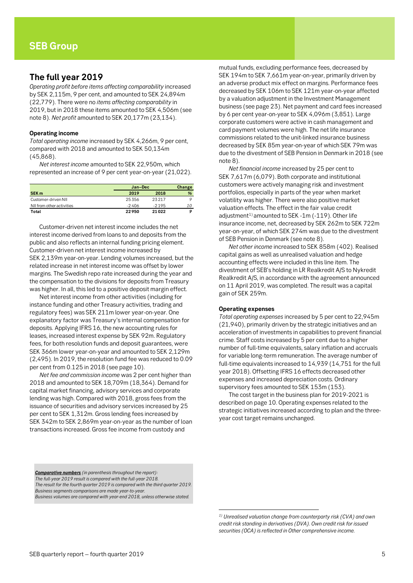### <span id="page-4-1"></span><span id="page-4-0"></span>**The full year 2019**

*Operating profit before items affecting comparability* increased by SEK 2,115m, 9 per cent, and amounted to SEK 24,894m (22,779). There were no *items affecting comparability* in 2019, but in 2018 these items amounted to SEK 4,506m (see note 8). *Net profit* amounted to SEK 20,177m (23,134).

#### **Operating income**

*Total operating income* increased by SEK 4,266m, 9 per cent, compared with 2018 and amounted to SEK 50,134m (45,868).

*Net interest income* amounted to SEK 22,950m, which represented an increase of 9 per cent year-on-year (21,022).

|                           | Jan-Dec | Change  |    |
|---------------------------|---------|---------|----|
| SEK <sub>m</sub>          | 2019    | 2018    | %  |
| Customer-driven NII       | 25356   | 23217   |    |
| NII from other activities | $-2406$ | $-2195$ | 10 |
| Total                     | 22950   | 21 022  |    |

Customer-driven net interest income includes the net interest income derived from loans to and deposits from the public and also reflects an internal funding pricing element. Customer-driven net interest income increased by SEK 2,139m year-on-year. Lending volumes increased, but the related increase in net interest income was offset by lower margins. The Swedish repo rate increased during the year and the compensation to the divisions for deposits from Treasury was higher. In all, this led to a positive deposit margin effect.

Net interest income from other activities (including for instance funding and other Treasury activities, trading and regulatory fees) was SEK 211m lower year-on-year. One explanatory factor was Treasury's internal compensation for deposits. Applying IFRS 16, the new accounting rules for leases, increased interest expense by SEK 92m. Regulatory fees, for both resolution funds and deposit guarantees, were SEK 366m lower year-on-year and amounted to SEK 2,129m (2,495). In 2019, the resolution fund fee was reduced to 0.09 per cent from 0.125 in 2018 (see page 10).

*Net fee and commission income* was 2 per cent higher than 2018 and amounted to SEK 18,709m (18,364). Demand for capital market financing, advisory services and corporate lending was high. Compared with 2018, gross fees from the issuance of securities and advisory services increased by 25 per cent to SEK 1,312m. Gross lending fees increased by SEK 342m to SEK 2,869m year-on-year as the number of loan transactions increased. Gross fee income from custody and

mutual funds, excluding performance fees, decreased by SEK 194m to SEK 7,661m year-on-year, primarily driven by an adverse product mix effect on margins. Performance fees decreased by SEK 106m to SEK 121m year-on-year affected by a valuation adjustment in the Investment Management business (see page 23). Net payment and card fees increased by 6 per cent year-on-year to SEK 4,096m (3,851). Large corporate customers were active in cash management and card payment volumes were high. The net life insurance commissions related to the unit-linked insurance business decreased by SEK 85m year-on-year of which SEK 79m was due to the divestment of SEB Pension in Denmark in 2018 (see note 8).

*Net financial income* increased by 25 per cent to SEK 7,617m (6,079). Both corporate and institutional customers were actively managing risk and investment portfolios, especially in parts of the year when market volatility was higher. There were also positive market valuation effects. The effect in the fair value credit adjustment<sup>[1](#page-4-2))</sup> amounted to SEK -1m (-119). Other life insurance income, net, decreased by SEK 262m to SEK 722m year-on-year, of which SEK 274m was due to the divestment of SEB Pension in Denmark (see note 8).

*Net other income* increased to SEK 858m (402). Realised capital gains as well as unrealised valuation and hedge accounting effects were included in this line item. The divestment of SEB's holding in LR Realkredit A/S to Nykredit Realkredit A/S, in accordance with the agreement announced on 11 April 2019, was completed. The result was a capital gain of SEK 259m.

#### **Operating expenses**

1

*Total operating expenses* increased by 5 per cent to 22,945m (21,940), primarily driven by the strategic initiatives and an acceleration of investments in capabilities to prevent financial crime. Staff costs increased by 5 per cent due to a higher number of full-time equivalents, salary inflation and accruals for variable long-term remuneration. The average number of full-time equivalents increased to 14,939 (14,751 for the full year 2018). Offsetting IFRS 16 effects decreased other expenses and increased depreciation costs. Ordinary supervisory fees amounted to SEK 153m (153).

The cost target in the business plan for 2019-2021 is described on page 10. Operating expenses related to the strategic initiatives increased according to plan and the threeyear cost target remains unchanged.

<span id="page-4-2"></span>*Comparative numbers (in parenthesis throughout the report): The full-year 2019 result is compared with the full-year 2018. The result for the fourth quarter 2019 is compared with the third quarter 2019. Business segments comparisons are made year-to-year. Business volumes are compared with year-end 2018, unless otherwise stated.*

*<sup>1)</sup> Unrealised valuation change from counterparty risk (CVA) and own credit risk standing in derivatives (DVA). Own credit risk for issued securities (OCA) is reflected in Other comprehensive income.*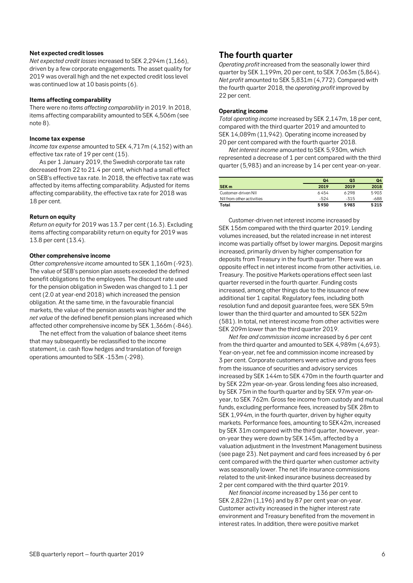#### **Net expected credit losses**

*Net expected credit losses* increased to SEK 2,294m (1,166), driven by a few corporate engagements. The asset quality for 2019 was overall high and the net expected credit loss level was continued low at 10 basis points (6).

#### **Items affecting comparability**

There were no *items affecting comparability* in 2019. In 2018, items affecting comparability amounted to SEK 4,506m (see note 8).

#### **Income tax expense**

*Income tax expense* amounted to SEK 4,717m (4,152) with an effective tax rate of 19 per cent (15).

As per 1 January 2019, the Swedish corporate tax rate decreased from 22 to 21.4 per cent, which had a small effect on SEB's effective tax rate. In 2018, the effective tax rate was affected by items affecting comparability. Adjusted for items affecting comparability, the effective tax rate for 2018 was 18 per cent.

#### **Return on equity**

*Return on equity* for 2019 was 13.7 per cent (16.3). Excluding items affecting comparability return on equity for 2019 was 13.8 per cent (13.4).

#### **Other comprehensive income**

*Other comprehensive income* amounted to SEK 1,160m (-923). The value of SEB's pension plan assets exceeded the defined benefit obligations to the employees. The discount rate used for the pension obligation in Sweden was changed to 1.1 per cent (2.0 at year-end 2018) which increased the pension obligation. At the same time, in the favourable financial markets, the value of the pension assets was higher and the *net value* of the defined benefit pension plans increased which affected other comprehensive income by SEK 1,366m (-846).

The net effect from the valuation of balance sheet items that may subsequently be reclassified to the income statement, i.e. cash flow hedges and translation of foreign operations amounted to SEK -153m (-298).

### <span id="page-5-0"></span>**The fourth quarter**

*Operating profit* increased from the seasonally lower third quarter by SEK 1,199m, 20 per cent, to SEK 7,063m (5,864). *Net profit* amounted to SEK 5,831m (4,772). Compared with the fourth quarter 2018, the *operating profit* improved by 22 per cent.

#### **Operating income**

*Total operating income* increased by SEK 2,147m, 18 per cent, compared with the third quarter 2019 and amounted to SEK 14,089m (11,942). Operating income increased by 20 per cent compared with the fourth quarter 2018.

*Net interest income* amounted to SEK 5,930m, which represented a decrease of 1 per cent compared with the third quarter (5,983) and an increase by 14 per cent year-on-year.

|                           | Q <sub>4</sub> | Q <sub>3</sub> | Q4   |
|---------------------------|----------------|----------------|------|
| SEK <sub>m</sub>          | 2019           | 2019           | 2018 |
| Customer-driven NII       | 6454           | 6298           | 5903 |
| NII from other activities | $-524$         | $-315$         | -688 |
| Total                     | 5930           | 5983           | 5215 |

Customer-driven net interest income increased by SEK 156m compared with the third quarter 2019. Lending volumes increased, but the related increase in net interest income was partially offset by lower margins. Deposit margins increased, primarily driven by higher compensation for deposits from Treasury in the fourth quarter. There was an opposite effect in net interest income from other activities, i.e. Treasury. The positive Markets operations effect seen last quarter reversed in the fourth quarter. Funding costs increased, among other things due to the issuance of new additional tier 1 capital. Regulatory fees, including both resolution fund and deposit guarantee fees, were SEK 59m lower than the third quarter and amounted to SEK 522m (581). In total, net interest income from other activities were SEK 209m lower than the third quarter 2019.

*Net fee and commission income* increased by 6 per cent from the third quarter and amounted to SEK 4,989m (4,693). Year-on-year, net fee and commission income increased by 3 per cent. Corporate customers were active and gross fees from the issuance of securities and advisory services increased by SEK 144m to SEK 470m in the fourth quarter and by SEK 22m year-on-year. Gross lending fees also increased, by SEK 75m in the fourth quarter and by SEK 97m year-onyear, to SEK 762m. Gross fee income from custody and mutual funds, excluding performance fees, increased by SEK 28m to SEK 1,994m, in the fourth quarter, driven by higher equity markets. Performance fees, amounting to SEK42m, increased by SEK 31m compared with the third quarter, however, yearon-year they were down by SEK 145m, affected by a valuation adjustment in the Investment Management business (see page 23). Net payment and card fees increased by 6 per cent compared with the third quarter when customer activity was seasonally lower. The net life insurance commissions related to the unit-linked insurance business decreased by 2 per cent compared with the third quarter 2019.

*Net financial income* increased by 136 per cent to SEK 2,822m (1,196) and by 87 per cent year-on-year. Customer activity increased in the higher interest rate environment and Treasury benefited from the movement in interest rates. In addition, there were positive market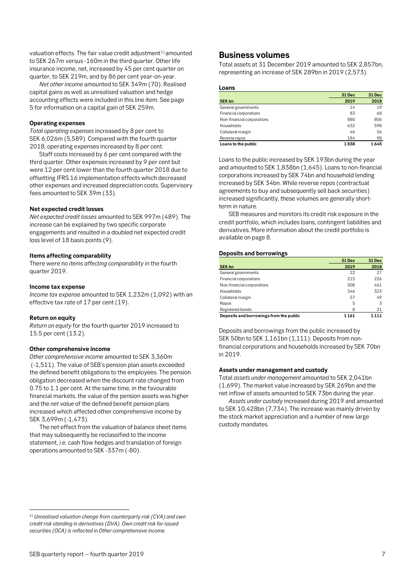valuation effects. The fair value credit adjustment<sup>[1](#page-6-1))</sup> amounted to SEK 267m versus -160m in the third quarter. Other life insurance income, net, increased by 45 per cent quarter on quarter, to SEK 219m, and by 86 per cent year-on-year.

*Net other income* amounted to SEK 349m (70). Realised capital gains as well as unrealised valuation and hedge accounting effects were included in this line item. See page 5 for information on a capital gain of SEK 259m.

#### **Operating expenses**

*Total operating expenses* increased by 8 per cent to SEK 6,026m (5,589). Compared with the fourth quarter 2018, operating expenses increased by 8 per cent.

Staff costs increased by 6 per cent compared with the third quarter. Other expenses increased by 9 per cent but were 12 per cent lower than the fourth quarter 2018 due to offsetting IFRS 16 implementation effects which decreased other expenses and increased depreciation costs. Supervisory fees amounted to SEK 39m (33).

#### **Net expected credit losses**

*Net expected credit losses* amounted to SEK 997m (489). The increase can be explained by two specific corporate engagements and resulted in a doubled net expected credit loss level of 18 basis points (9).

#### **Items affecting comparability**

There were no *items affecting comparability* in the fourth quarter 2019.

#### **Income tax expense**

*Income tax expense* amounted to SEK 1,232m (1,092) with an effective tax rate of 17 per cent (19).

#### **Return on equity**

 $\overline{a}$ 

*Return on equity* for the fourth quarter 2019 increased to 15.5 per cent (13.2).

#### **Other comprehensive income**

*Other comprehensive income* amounted to SEK 3,360m (-1,511). The value of SEB's pension plan assets exceeded the defined benefit obligations to the employees. The pension obligation decreased when the discount rate changed from 0.75 to 1.1 per cent. At the same time, in the favourable financial markets, the value of the pension assets was higher and the *net value* of the defined benefit pension plans increased which affected other comprehensive income by SEK 3,699m (-1,473).

The net effect from the valuation of balance sheet items that may subsequently be reclassified to the income statement, i.e. cash flow hedges and translation of foreign operations amounted to SEK -337m (-80).

### <span id="page-6-0"></span>**Business volumes**

Total assets at 31 December 2019 amounted to SEK 2,857bn, representing an increase of SEK 289bn in 2019 (2,573).

#### **Loans**

|                            | 31 Dec | 31 Dec |
|----------------------------|--------|--------|
| <b>SEK bn</b>              | 2019   | 2018   |
| General governments        | 14     | 19     |
| Financial corporations     | 83     | 68     |
| Non-financial corporations | 880    | 806    |
| Households                 | 632    | 598    |
| Collateral margin          | 46     | 56     |
| Reverse repos              | 184    | 98     |
| Loans to the public        | 1838   | 1645   |

Loans to the public increased by SEK 193bn during the year and amounted to SEK 1,838bn (1,645). Loans to non-financial corporations increased by SEK 74bn and household lending increased by SEK 34bn. While reverse repos (contractual agreements to buy and subsequently sell back securities) increased significantly, these volumes are generally shortterm in nature.

SEB measures and monitors its credit risk exposure in the credit portfolio, which includes loans, contingent liabilities and derivatives. More information about the credit portfolio is available on page 8.

#### **Deposits and borrowings**

|                                         | 31 Dec | 31 Dec |
|-----------------------------------------|--------|--------|
| <b>SEK bn</b>                           | 2019   | 2018   |
| General governments                     | 22     | 27     |
| Financial corporations                  | 215    | 226    |
| Non-financial corporations              | 508    | 461    |
| Households                              | 346    | 323    |
| Collateral margin                       | 57     | 49     |
| Repos                                   | 5      | 3      |
| Registered bonds                        | 8      | 21     |
| Deposits and borrowings from the public | 1161   | 111    |

Deposits and borrowings from the public increased by SEK 50bn to SEK 1,161bn (1,111). Deposits from nonfinancial corporations and households increased by SEK 70bn in 2019.

#### **Assets under management and custody**

Total *assets under management* amounted to SEK 2,041bn (1,699). The market value increased by SEK 269bn and the net inflow of assets amounted to SEK 73bn during the year.

*Assets under custody* increased during 2019 and amounted to SEK 10,428bn (7,734). The increase was mainly driven by the stock market appreciation and a number of new large custody mandates.

<span id="page-6-1"></span>*<sup>1)</sup> Unrealised valuation change from counterparty risk (CVA) and own credit risk standing in derivatives (DVA). Own credit risk for issued securities (OCA) is reflected in Other comprehensive income.*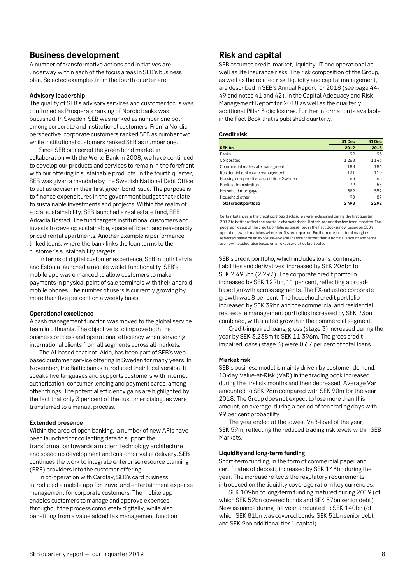### <span id="page-7-0"></span>**Business development**

A number of transformative actions and initiatives are underway within each of the focus areas in SEB's business plan. Selected examples from the fourth quarter are:

#### **Advisory leadership**

The quality of SEB's advisory services and customer focus was confirmed as Prospera's ranking of Nordic banks was published. In Sweden, SEB was ranked as number one both among corporate and institutional customers. From a Nordic perspective, corporate customers ranked SEB as number two while institutional customers ranked SEB as number one.

Since SEB pioneered the green bond market in collaboration with the World Bank in 2008, we have continued to develop our products and services to remain in the forefront with our offering in sustainable products. In the fourth quarter, SEB was given a mandate by the Swedish National Debt Office to act as adviser in their first green bond issue. The purpose is to finance expenditures in the government budget that relate to sustainable investments and projects. Within the realm of social sustainability, SEB launched a real estate fund, SEB Arkadia Bostad. The fund targets institutional customers and invests to develop sustainable, space efficient and reasonably priced rental apartments. Another example is performance linked loans, where the bank links the loan terms to the customer's sustainability targets.

In terms of digital customer experience, SEB in both Latvia and Estonia launched a mobile wallet functionality. SEB's mobile app was enhanced to allow customers to make payments in physical point of sale terminals with their android mobile phones. The number of users is currently growing by more than five per cent on a weekly basis.

#### **Operational excellence**

A cash management function was moved to the global service team in Lithuania. The objective is to improve both the business process and operational efficiency when servicing international clients from all segments across all markets.

The AI-based chat bot, Aida, has been part of SEB's webbased customer service offering in Sweden for many years. In November, the Baltic banks introduced their local version. It speaks five languages and supports customers with internet authorisation, consumer lending and payment cards, among other things. The potential efficiency gains are highlighted by the fact that only 3 per cent of the customer dialogues were transferred to a manual process.

#### **Extended presence**

Within the area of open banking, a number of new APIs have been launched for collecting data to support the transformation towards a modern technology architecture and speed up development and customer value delivery. SEB continues the work to integrate enterprise resource planning (ERP) providers into the customer offering.

In co-operation with Cardlay, SEB's card business introduced a mobile app for travel and entertainment expense management for corporate customers. The mobile app enables customers to manage and approve expenses throughout the process completely digitally, while also benefiting from a value added tax management function.

# **Risk and capital**

SEB assumes credit, market, liquidity, IT and operational as well as life insurance risks. The risk composition of the Group, as well as the related risk, liquidity and capital management, are described in SEB's Annual Report for 2018 (see page 44- 49 and notes 41 and 42), in the Capital Adequacy and Risk Management Report for 2018 as well as the quarterly additional Pillar 3 disclosures. Further information is available in the Fact Book that is published quarterly.

#### **Credit risk**

|                                          | 31 Dec | 31 Dec |
|------------------------------------------|--------|--------|
| <b>SEK bn</b>                            | 2019   | 2018   |
| <b>Banks</b>                             | 99     | 93     |
| Corporates                               | 1 268  | 1146   |
| Commercial real estate managment         | 188    | 186    |
| Residential real estate management       | 131    | 110    |
| Housing co-operative associations Sweden | 63     | 63     |
| Public administration                    | 72     | 55     |
| Household mortgage                       | 589    | 552    |
| Household other                          | 90     | 87     |
| Total credit portfolio                   | 2498   | 2292   |

Certain balances in the credit portfolio disclosure were reclassified during the first quarter 2019 to better reflect the portfolio characteristics. Historic information has been restated. The geographic split of the credit portfolio as presented in the Fact Book is now based on SEB's operations which matches where profits are reported. Furthermore, collateral margin is reflected based on an exposure-at-default amount rather than a nominal amount and repos are now included, also based on an exposure-at-default value.

SEB's credit portfolio, which includes loans, contingent liabilities and derivatives, increased by SEK 206bn to SEK 2,498bn (2,292). The corporate credit portfolio increased by SEK 122bn, 11 per cent, reflecting a broadbased growth across segments. The FX-adjusted corporate growth was 8 per cent. The household credit portfolio increased by SEK 39bn and the commercial and residential real estate management portfolios increased by SEK 23bn combined, with limited growth in the commercial segment.

Credit-impaired loans, gross (stage 3) increased during the year by SEK 3,238m to SEK 11,396m. The gross creditimpaired loans (stage 3) were 0.67 per cent of total loans.

#### **Marketrisk**

SEB's business model is mainly driven by customer demand. 10-day Value-at-Risk (VaR) in the trading book increased during the first six months and then decreased. Average Var amounted to SEK 98m compared with SEK 90m for the year 2018. The Group does not expect to lose more than this amount, on average, during a period of ten trading days with 99 per cent probability.

The year ended at the lowest VaR-level of the year, SEK 59m, reflecting the reduced trading risk levels within SEB Markets.

#### **Liquidity and long-term funding**

Short-term funding, in the form of commercial paper and certificates of deposit, increased by SEK 146bn during the year. The increase reflects the regulatory requirements introduced on the liquidity coverage ratio in key currencies.

SEK 109bn of long-term funding matured during 2019 (of which SEK 52bn covered bonds and SEK 57bn senior debt). New issuance during the year amounted to SEK 140bn (of which SEK 81bn was covered bonds, SEK 51bn senior debt and SEK 9bn additional tier 1 capital).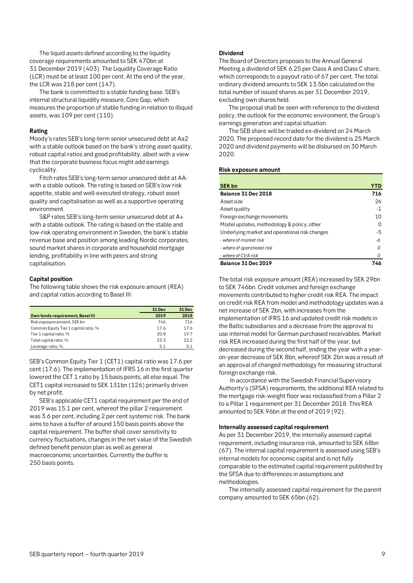<span id="page-8-0"></span>The liquid assets defined according to the liquidity coverage requirements amounted to SEK 470bn at 31 December 2019 (403). The Liquidity Coverage Ratio (LCR) must be at least 100 per cent. At the end of the year, the LCR was 218 per cent (147).

The bank is committed to a stable funding base. SEB's internal structural liquidity measure, Core Gap, which measures the proportion of stable funding in relation to illiquid assets, was 109 per cent (110).

#### **Rating**

Moody's rates SEB's long-term senior unsecured debt at Aa2 with a stable outlook based on the bank's strong asset quality, robust capital ratios and good profitability, albeit with a view that the corporate business focus might add earnings cyclicality.

Fitch rates SEB's long-term senior unsecured debt at AAwith a stable outlook. The rating is based on SEB's low risk appetite, stable and well-executed strategy, robust asset quality and capitalisation as well as a supportive operating environment.

S&P rates SEB's long-term senior unsecured debt at A+ with a stable outlook. The rating is based on the stable and low-risk operating environment in Sweden, the bank's stable revenue base and position among leading Nordic corporates, sound market shares in corporate and household mortgage lending, profitability in line with peers and strong capitalisation.

#### **Capital position**

The following table shows the risk exposure amount (REA) and capital ratios according to Basel III:

|                                       | 31 Dec | 31 Dec |
|---------------------------------------|--------|--------|
| Own funds requirement, Basel III      | 2019   | 2018   |
| Risk exposure amount, SEK bn          | 746    | 716    |
| Common Equity Tier 1 capital ratio, % | 17.6   | 17.6   |
| Tier 1 capital ratio, %               | 20.8   | 19.7   |
| Total capital ratio, %                | 23.3   | 22.2   |
| Leverage ratio, %                     | 5.1    | 5.1    |

SEB's Common Equity Tier 1 (CET1) capital ratio was 17.6 per cent (17.6). The implementation of IFRS 16 in the first quarter lowered the CET 1 ratio by 15 basis points, all else equal. The CET1 capital increased to SEK 131bn (126) primarily driven by net profit.

SEB's applicable CET1 capital requirement per the end of 2019 was 15.1 per cent, whereof the pillar 2 requirement was 3.6 per cent, including 2 per cent systemic risk. The bank aims to have a buffer of around 150 basis points above the capital requirement. The buffer shall cover sensitivity to currency fluctuations, changes in the net value of the Swedish defined benefit pension plan as well as general macroeconomic uncertainties. Currently the buffer is 250 basis points.

#### **Dividend**

The Board of Directors proposes to the Annual General Meeting a dividend of SEK 6.25 per Class A and Class C share, which corresponds to a payout ratio of 67 per cent. The total ordinary dividend amounts to SEK 13.5bn calculated on the total number of issued shares as per 31 December 2019, excluding own shares held.

The proposal shall be seen with reference to the dividend policy, the outlook for the economic environment, the Group's earnings generation and capital situation.

The SEB share will be traded ex-dividend on 24 March 2020. The proposed record date for the dividend is 25 March 2020 and dividend payments will be disbursed on 30 March 2020.

#### **Risk exposure amount**

| <b>SEK bn</b>                                  | YTD  |
|------------------------------------------------|------|
| Balance 31 Dec 2018                            | 716  |
| Asset size                                     | 26   |
| Asset quality                                  | $-1$ |
| Foreign exchange movements                     | 10   |
| Model updates, methodology & policy, other     |      |
| Underlying market and operational risk changes | -5   |
| - where of market risk                         | -6   |
| - where of operational risk                    | 0    |
| - where of CVA risk                            | 0    |
| Balance 31 Dec 2019                            | 746  |

The total risk exposure amount (REA) increased by SEK 29bn to SEK 746bn. Credit volumes and foreign exchange movements contributed to higher credit risk REA. The impact on credit risk REA from model and methodology updates was a net increase of SEK 2bn, with increases from the implementation of IFRS 16 and updated credit risk models in the Baltic subsidiaries and a decrease from the approval to use internal model for German purchased receivables. Market risk REA increased during the first half of the year, but decreased during the second half, ending the year with a yearon-year decrease of SEK 8bn, whereof SEK 2bn was a result of an approval of changed methodology for measuring structural foreign exchange risk.

In accordance with the Swedish Financial Supervisory Authority's (SFSA) requirements, the additional REA related to the mortgage risk-weight floor was reclassified from a Pillar 2 to a Pillar 1 requirement per 31 December 2018. This REA amounted to SEK 96bn at the end of 2019 (92).

#### **Internally assessed capital requirement**

As per 31 December 2019, the internally assessed capital requirement, including insurance risk, amounted to SEK 68bn (67). The internal capital requirement is assessed using SEB's internal models for economic capital and is not fully comparable to the estimated capital requirement published by the SFSA due to differences in assumptions and methodologies.

The internally assessed capital requirement for the parent company amounted to SEK 65bn (62).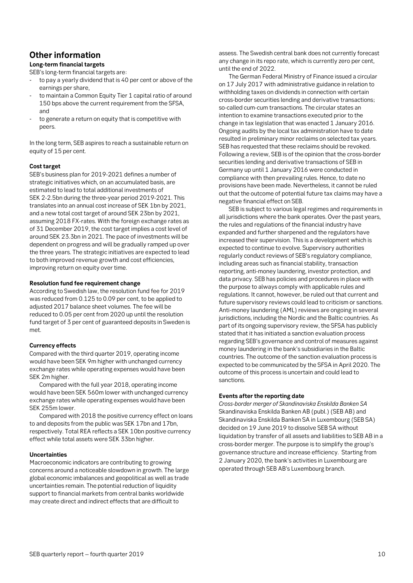# **Other information**

### **Long-term financial targets**

SEB's long-term financial targets are:

- to pay a yearly dividend that is 40 per cent or above of the earnings per share,
- to maintain a Common Equity Tier 1 capital ratio of around 150 bps above the current requirement from the SFSA, and
- to generate a return on equity that is competitive with peers.

In the long term, SEB aspires to reach a sustainable return on equity of 15 per cent.

#### **Cost target**

SEB's business plan for 2019-2021 defines a number of strategic initiatives which, on an accumulated basis, are estimated to lead to total additional investments of SEK 2-2.5bn during the three-year period 2019-2021. This translates into an annual cost increase of SEK 1bn by 2021, and a new total cost target of around SEK 23bn by 2021, assuming 2018 FX-rates. With the foreign exchange rates as of 31 December 2019, the cost target implies a cost level of around SEK 23.3bn in 2021. The pace of investments will be dependent on progress and will be gradually ramped up over the three years. The strategic initiatives are expected to lead to both improved revenue growth and cost efficiencies, improving return on equity over time.

#### **Resolution fund fee requirement change**

According to Swedish law, the resolution fund fee for 2019 was reduced from 0.125 to 0.09 per cent, to be applied to adjusted 2017 balance sheet volumes. The fee will be reduced to 0.05 per cent from 2020 up until the resolution fund target of 3 per cent of guaranteed deposits in Sweden is met.

#### **Currency effects**

Compared with the third quarter 2019, operating income would have been SEK 9m higher with unchanged currency exchange rates while operating expenses would have been SEK 2m higher.

Compared with the full year 2018, operating income would have been SEK 560m lower with unchanged currency exchange rates while operating expenses would have been SEK 255m lower.

Compared with 2018 the positive currency effect on loans to and deposits from the public was SEK 17bn and 17bn, respectively. Total REA reflects a SEK 10bn positive currency effect while total assets were SEK 33bn higher.

#### **Uncertainties**

Macroeconomic indicators are contributing to growing concerns around a noticeable slowdown in growth. The large global economic imbalances and geopolitical as well as trade uncertainties remain. The potential reduction of liquidity support to financial markets from central banks worldwide may create direct and indirect effects that are difficult to

assess. The Swedish central bank does not currently forecast any change in its repo rate, which is currently zero per cent, until the end of 2022.

The German Federal Ministry of Finance issued a circular on 17 July 2017 with administrative guidance in relation to withholding taxes on dividends in connection with certain cross-border securities lending and derivative transactions; so-called cum-cum transactions. The circular states an intention to examine transactions executed prior to the change in tax legislation that was enacted 1 January 2016. Ongoing audits by the local tax administration have to date resulted in preliminary minor reclaims on selected tax years. SEB has requested that these reclaims should be revoked. Following a review, SEB is of the opinion that the cross-border securities lending and derivative transactions of SEB in Germany up until 1 January 2016 were conducted in compliance with then prevailing rules. Hence, to date no provisions have been made. Nevertheless, it cannot be ruled out that the outcome of potential future tax claims may have a negative financial effect on SEB.

SEB is subject to various legal regimes and requirements in all jurisdictions where the bank operates. Over the past years, the rules and regulations of the financial industry have expanded and further sharpened and the regulators have increased their supervision. This is a development which is expected to continue to evolve. Supervisory authorities regularly conduct reviews of SEB's regulatory compliance, including areas such as financial stability, transaction reporting, anti-money laundering, investor protection, and data privacy. SEB has policies and procedures in place with the purpose to always comply with applicable rules and regulations. It cannot, however, be ruled out that current and future supervisory reviews could lead to criticism or sanctions. Anti-money laundering (AML) reviews are ongoing in several jurisdictions, including the Nordic and the Baltic countries. As part of its ongoing supervisory review, the SFSA has publicly stated that it has initiated a sanction evaluation process regarding SEB's governance and control of measures against money laundering in the bank's subsidiaries in the Baltic countries. The outcome of the sanction evaluation process is expected to be communicated by the SFSA in April 2020. The outcome of this process is uncertain and could lead to sanctions.

#### **Events after the reporting date**

*Cross-border merger of Skandinaviska Enskilda Banken SA* Skandinaviska Enskilda Banken AB (publ.) (SEB AB) and Skandinaviska Enskilda Banken SA in Luxembourg (SEB SA) decided on 19 June 2019 to dissolve SEB SA without liquidation by transfer of all assets and liabilities to SEB AB in a cross-border merger. The purpose is to simplify the group's governance structure and increase efficiency. Starting from 2 January 2020, the bank's activities in Luxembourg are operated through SEB AB's Luxembourg branch.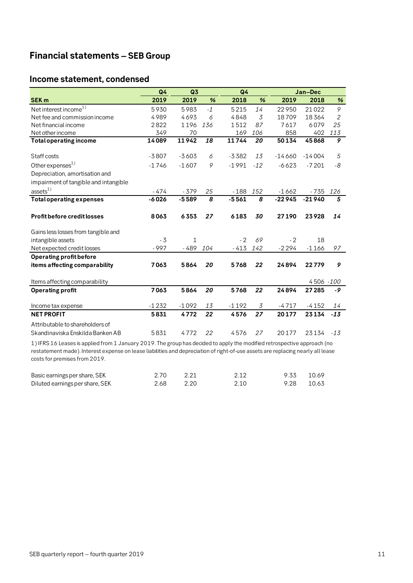# <span id="page-10-0"></span>**Financial statements – SEB Group**

# <span id="page-10-1"></span>**Income statement, condensed**

|                                                                     | Q4      | Q <sub>3</sub> |      | Q4      |       |          | Jan-Dec   |                |  |
|---------------------------------------------------------------------|---------|----------------|------|---------|-------|----------|-----------|----------------|--|
| <b>SEK m</b>                                                        | 2019    | 2019           | %    | 2018    | %     | 2019     | 2018      | %              |  |
| Net interest income <sup>1)</sup>                                   | 5930    | 5983           | $-1$ | 5215    | 14    | 22950    | 21022     | 9              |  |
| Net fee and commission income                                       | 4989    | 4693           | 6    | 4848    | 3     | 18709    | 18364     | $\overline{2}$ |  |
| Net financial income                                                | 2822    | 1196           | 136  | 1512    | 87    | 7617     | 6079      | 25             |  |
| Net other income                                                    | 349     | 70             |      | 169     | 106   | 858      | 402       | 113            |  |
| <b>Total operating income</b>                                       | 14089   | 11942          | 18   | 11744   | 20    | 50134    | 45868     | 9              |  |
| Staff costs                                                         | $-3807$ | $-3603$        |      | $-3382$ | 13    | $-14660$ | $-14004$  | 5              |  |
|                                                                     |         |                | 6    |         |       |          |           |                |  |
| Other expenses <sup>1)</sup>                                        | $-1746$ | $-1607$        | 9    | $-1991$ | $-12$ | $-6623$  | $-7201$   | -8             |  |
| Depreciation, amortisation and                                      |         |                |      |         |       |          |           |                |  |
| impairment of tangible and intangible                               |         |                |      |         |       |          |           |                |  |
| assets <sup>1</sup>                                                 | - 474   | $-379$         | 25   | $-188$  | 152   | $-1662$  | - 735     | 126            |  |
| <b>Total operating expenses</b>                                     | $-6026$ | $-5589$        | 8    | $-5561$ | 8     | $-22945$ | $-21940$  | 5              |  |
| <b>Profit before credit losses</b>                                  | 8063    | 6353           | 27   | 6183    | 30    | 27190    | 23928     | 14             |  |
| Gains less losses from tangible and                                 |         |                |      |         |       |          |           |                |  |
| intangible assets                                                   | $-3$    | 1              |      | $-2$    | 69    | $-2$     | 18        |                |  |
| Net expected credit losses                                          | $-997$  | - 489          | 104  | $-413$  | 142   | $-2294$  | $-1166$   | 97             |  |
| Operating profit before                                             |         |                |      |         |       |          |           |                |  |
| items affecting comparability                                       | 7063    | 5864           | 20   | 5768    | 22    | 24894    | 22779     | 9              |  |
| Items affecting comparability                                       |         |                |      |         |       |          | 4506 -100 |                |  |
| <b>Operating profit</b>                                             | 7063    | 5864           | 20   | 5768    | 22    | 24894    | 27 285    | -9             |  |
| Income tax expense                                                  | $-1232$ | $-1092$        | 13   | $-1192$ | 3     | $-4717$  | $-4152$   | 14             |  |
| <b>NET PROFIT</b>                                                   | 5831    | 4772           | 22   | 4576    | 27    | 20177    | 23134     | $-13$          |  |
| Attributable to shareholders of<br>Skandinaviska Enskilda Banken AB | 5831    | 4772           | 22   | 4576    | 27    | 20177    | 23134     | $-13$          |  |

1) IFRS 16 Leases is applied from 1 January 2019. The group has decided to apply the modified retrospective approach (no restatement made). Interest expense on lease liabilities and depreciation of right-of-use assets are replacing nearly all lease costs for premises from 2019.

| Basic earnings per share, SEK   | 2.70<br>2.21 |      | 9.33 10.69 |  |
|---------------------------------|--------------|------|------------|--|
| Diluted earnings per share, SEK | 2.68         | 2.20 | 9.28 10.63 |  |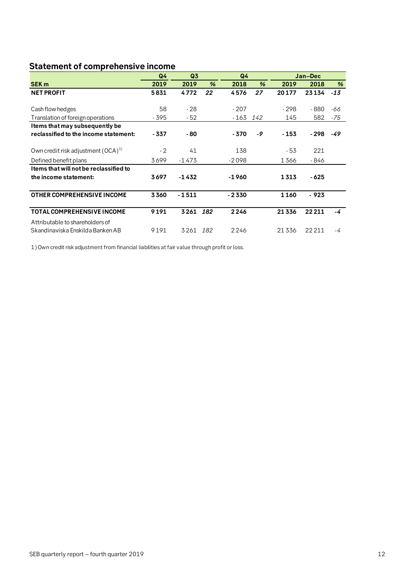# <span id="page-11-0"></span>**Statement of comprehensive income**

|                                        | Q <sub>4</sub> | Q <sub>3</sub> |               |         | Q <sub>4</sub> |        | Jan-Dec |       |
|----------------------------------------|----------------|----------------|---------------|---------|----------------|--------|---------|-------|
| SEK <sub>m</sub>                       | 2019           | 2019           | $\frac{9}{6}$ | 2018    | $\frac{9}{6}$  | 2019   | 2018    | %     |
| <b>NET PROFIT</b>                      | 5831           | 4772           | 22            | 4576    | 27             | 20177  | 23134   | $-13$ |
|                                        |                |                |               |         |                |        |         |       |
| Cash flow hedges                       | 58             | $-28$          |               | - 207   |                | - 298  | $-880$  | -66   |
| Translation of foreign operations      | - 395          | - 52           |               | - 163   | 142            | 145    | 582     | -75   |
| Items that may subsequently be         |                |                |               |         |                |        |         |       |
| reclassified to the income statement:  | - 337          | - 80           |               | - 370   | -9             | $-153$ | - 298   | -49   |
|                                        |                |                |               |         |                |        |         |       |
| Own credit risk adjustment $(OCA)^{1}$ | $-2$           | 41             |               | 138     |                | - 53   | 221     |       |
| Defined benefit plans                  | 3699           | $-1473$        |               | $-2098$ |                | 1366   | - 846   |       |
| Items that will not be reclassified to |                |                |               |         |                |        |         |       |
| the income statement:                  | 3697           | $-1432$        |               | -1960   |                | 1313   | $-625$  |       |
|                                        |                |                |               |         |                |        |         |       |
| <b>OTHER COMPREHENSIVE INCOME</b>      | 3360           | $-1511$        |               | - 2330  |                | 1160   | - 923   |       |
|                                        |                |                |               |         |                |        |         |       |
| <b>TOTAL COMPREHENSIVE INCOME</b>      | 9191           | 3261           | 182           | 2246    |                | 21336  | 22211   | -4    |
| Attributable to shareholders of        |                |                |               |         |                |        |         |       |
| Skandinaviska Enskilda Banken AB       | 9191           | 3261           | 182           | 2246    |                | 21336  | 22211   | -4    |

1) Own credit risk adjustment from financial liabilities at fair value through profit or loss.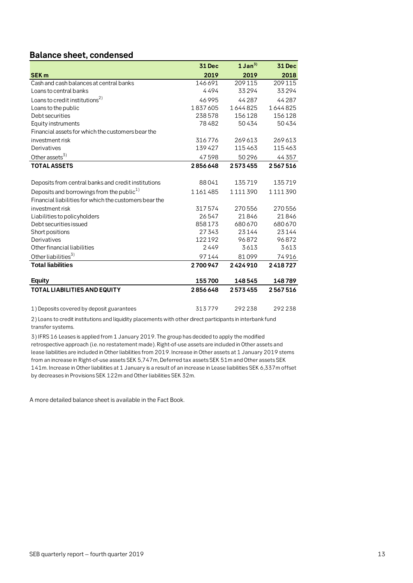# <span id="page-12-0"></span>**Balance sheet, condensed**

|                                                        | 31 Dec  | $1$ Jan <sup>3)</sup> | 31 Dec  |
|--------------------------------------------------------|---------|-----------------------|---------|
| <b>SEK m</b>                                           | 2019    | 2019                  | 2018    |
| Cash and cash balances at central banks                | 146691  | 209 115               | 209 115 |
| Loans to central banks                                 | 4494    | 33294                 | 33294   |
| Loans to credit institutions <sup>2)</sup>             | 46995   | 44287                 | 44287   |
| Loans to the public                                    | 1837605 | 1644825               | 1644825 |
| Debt securities                                        | 238578  | 156128                | 156128  |
| Equity instruments                                     | 78482   | 50434                 | 50434   |
| Financial assets for which the customers bear the      |         |                       |         |
| investment risk                                        | 316776  | 269613                | 269613  |
| Derivatives                                            | 139427  | 115463                | 115463  |
| Other assets $3)$                                      | 47598   | 50296                 | 44357   |
| <b>TOTAL ASSETS</b>                                    | 2856648 | 2573455               | 2567516 |
|                                                        |         |                       |         |
| Deposits from central banks and credit institutions    | 88041   | 135719                | 135719  |
| Deposits and borrowings from the public <sup>1)</sup>  | 1161485 | 1111390               | 1111390 |
| Financial liabilities for which the customers bear the |         |                       |         |
| investment risk                                        | 317574  | 270556                | 270556  |
| Liabilities to policyholders                           | 26547   | 21846                 | 21846   |
| Debt securities issued                                 | 858173  | 680 670               | 680670  |
| Short positions                                        | 27343   | 23144                 | 23144   |
| Derivatives                                            | 122192  | 96872                 | 96872   |
| Other financial liabilities                            | 2449    | 3613                  | 3613    |
| Other liabilities <sup>3)</sup>                        | 97144   | 81099                 | 74916   |
| <b>Total liabilities</b>                               | 2700947 | 2424910               | 2418727 |
| <b>Equity</b>                                          | 155700  | 148545                | 148789  |
| <b>TOTAL LIABILITIES AND EQUITY</b>                    | 2856648 | 2573455               | 2567516 |
| 1) Deposits covered by deposit guarantees              | 313779  | 292238                | 292238  |

2) Loans to credit institutions and liquidity placements with other direct participants in interbank fund transfer systems.

3) IFRS 16 Leases is applied from 1 January 2019. The group has decided to apply the modified retrospective approach (i.e. no restatement made). Right-of-use assets are included in Other assets and lease liabilities are included in Other liabilities from 2019. Increase in Other assets at 1 January 2019 stems from an increase in Right-of-use assets SEK 5,747m, Deferred tax assets SEK 51m and Other assets SEK 141m. Increase in Other liabilities at 1 January is a result of an increase in Lease liabilities SEK 6,337m offset by decreases in Provisions SEK 122m and Other liabilities SEK 32m.

A more detailed balance sheet is available in the Fact Book.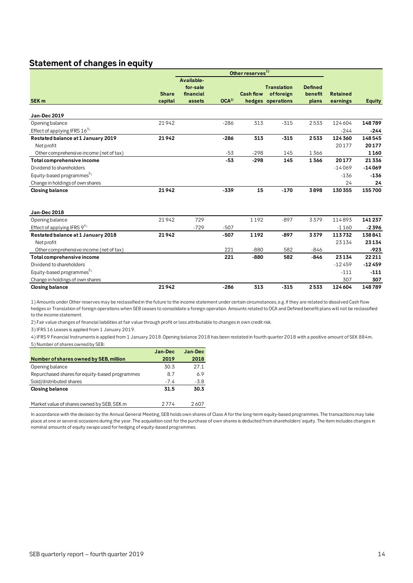# <span id="page-13-0"></span>**Statement of changes in equity**

|                                         |              |                                     |                  | Other reserves <sup>1)</sup> |                                 |                           |                 |               |
|-----------------------------------------|--------------|-------------------------------------|------------------|------------------------------|---------------------------------|---------------------------|-----------------|---------------|
| SEK <sub>m</sub>                        | <b>Share</b> | Available-<br>for-sale<br>financial | OCA <sup>2</sup> | <b>Cash flow</b>             | <b>Translation</b><br>offoreign | <b>Defined</b><br>benefit | <b>Retained</b> |               |
|                                         | capital      | assets                              |                  |                              | hedges operations               | plans                     | earnings        | <b>Equity</b> |
| Jan-Dec 2019                            |              |                                     |                  |                              |                                 |                           |                 |               |
| Opening balance                         | 21942        |                                     | $-286$           | 313                          | $-315$                          | 2533                      | 124604          | 148789        |
| Effect of applying IFRS 163)            |              |                                     |                  |                              |                                 |                           | $-244$          | $-244$        |
| Restated balance at 1 January 2019      | 21942        |                                     | $-286$           | 313                          | $-315$                          | 2533                      | 124360          | 148545        |
| Net profit                              |              |                                     |                  |                              |                                 |                           | 20177           | 20177         |
| Other comprehensive income (net of tax) |              |                                     | $-53$            | $-298$                       | 145                             | 1366                      |                 | 1160          |
| Total comprehensive income              |              |                                     | $-53$            | $-298$                       | 145                             | 1366                      | 20177           | 21336         |
| Dividend to shareholders                |              |                                     |                  |                              |                                 |                           | $-14069$        | $-14069$      |
| Equity-based programmes <sup>5)</sup>   |              |                                     |                  |                              |                                 |                           | $-136$          | $-136$        |
| Change in holdings of own shares        |              |                                     |                  |                              |                                 |                           | 24              | 24            |
| <b>Closing balance</b>                  | 21942        |                                     | $-339$           | 15                           | $-170$                          | 3898                      | 130355          | 155700        |
| Jan-Dec 2018                            |              |                                     |                  |                              |                                 |                           |                 |               |
| Opening balance                         | 21942        | 729                                 |                  | 1192                         | $-897$                          | 3379                      | 114893          | 141237        |
| Effect of applying IFRS 94)             |              | $-729$                              | $-507$           |                              |                                 |                           | $-1160$         | $-2396$       |
| Restated balance at 1 January 2018      | 21942        |                                     | $-507$           | 1192                         | $-897$                          | 3379                      | 113732          | 138841        |
| Net profit                              |              |                                     |                  |                              |                                 |                           | 23134           | 23134         |
| Other comprehensive income (net of tax) |              |                                     | 221              | $-880$                       | 582                             | $-846$                    |                 | $-923$        |
| Total comprehensive income              |              |                                     | 221              | $-880$                       | 582                             | $-846$                    | 23134           | 22211         |
| Dividend to shareholders                |              |                                     |                  |                              |                                 |                           | $-12459$        | $-12459$      |
| Equity-based programmes <sup>5)</sup>   |              |                                     |                  |                              |                                 |                           | $-111$          | $-111$        |
| Change in holdings of own shares        |              |                                     |                  |                              |                                 |                           | 307             | 307           |
| <b>Closing balance</b>                  | 21942        |                                     | $-286$           | 313                          | $-315$                          | 2533                      | 124604          | 148789        |

1) Amounts under Other reserves may be reclassified in the future to the income statement under certain circumstances, e.g. if they are related to dissolved Cash flow hedges or Translation of foreign operations when SEB ceases to consolidate a foreign operation. Amounts related to OCA and Defined benefit plans will not be reclassified to the income statement.

2) Fair value changes of financial liabilities at fair value through profit or loss attributable to changes in own credit risk.

3) IFRS 16 Leases is applied from 1 January 2019.

5) Number of shares owned by SEB: 4) IFRS 9 Financial Instruments is applied from 1 January 2018. Opening balance 2018 has been restated in fourth quarter 2018 with a positive amount of SEK 884m.

|                                                | Jan-Dec | Jan-Dec |
|------------------------------------------------|---------|---------|
| Number of shares owned by SEB, million         | 2019    | 2018    |
| Opening balance                                | 30.3    | 27.1    |
| Repurchased shares for equity-based programmes | 8.7     | 6.9     |
| Sold/distributed shares                        | $-74$   | $-3.8$  |
| <b>Closing balance</b>                         | 31.5    | 30.3    |
|                                                |         |         |
| Market value of shares owned by SEB, SEK m     | 2 7 7 4 | 2607    |

In accordance with the decision by the Annual General Meeting, SEB holds own shares of Class A for the long-term equity-based programmes. The transactions may take place at one or several occasions during the year. The acquisition cost for the purchase of own shares is deducted from shareholders' equity. The item includes changes in nominal amounts of equity swaps used for hedging of equity-based programmes.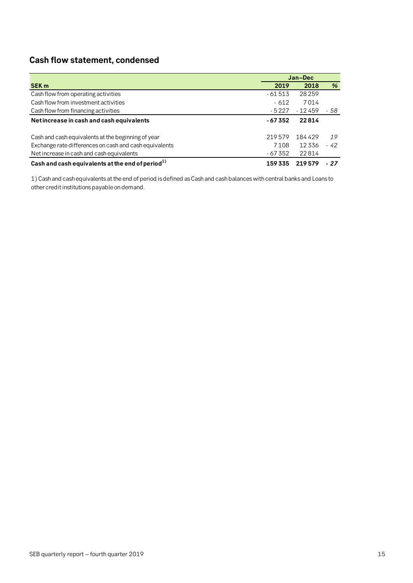# <span id="page-14-0"></span>**Cash flow statement, condensed**

|                                                        |          | Jan-Dec  |      |
|--------------------------------------------------------|----------|----------|------|
| <b>SEK m</b>                                           | 2019     | 2018     | %    |
| Cash flow from operating activities                    | $-61513$ | 28259    |      |
| Cash flow from investment activities                   | - 612    | 7014     |      |
| Cash flow from financing activities                    | $-5227$  | $-12459$ | - 58 |
| Net increase in cash and cash equivalents              | $-67352$ | 22814    |      |
| Cash and cash equivalents at the beginning of year     | 219579   | 184429   | 19   |
| Exchange rate differences on cash and cash equivalents | 7108     | 12336    | - 42 |
| Net increase in cash and cash equivalents              | - 67 352 | 22814    |      |
| Cash and cash equivalents at the end of period $^{1)}$ | 159335   | 219579   | - 27 |

1) Cash and cash equivalents at the end of period is defined as Cash and cash balances with central banks and Loans to other credit institutions payable on demand.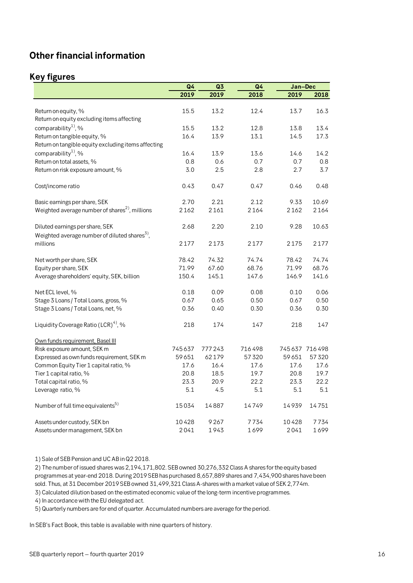# <span id="page-15-0"></span>**Other financial information**

# <span id="page-15-1"></span>**Key figures**

|                                                            | Q <sub>4</sub> | Q3     | Q <sub>4</sub> | Jan-Dec |               |
|------------------------------------------------------------|----------------|--------|----------------|---------|---------------|
|                                                            | 2019           | 2019   | 2018           | 2019    | 2018          |
|                                                            |                |        |                |         |               |
| Return on equity, %                                        | 15.5           | 13.2   | 12.4           | 13.7    | 16.3          |
| Return on equity excluding items affecting                 |                |        |                |         |               |
| comparability <sup>1</sup> , %                             | 15.5           | 13.2   | 12.8           | 13.8    | 13.4          |
| Return on tangible equity, %                               | 16.4           | 13.9   | 13.1           | 14.5    | 17.3          |
| Return on tangible equity excluding items affecting        |                |        |                |         |               |
| comparability <sup>1</sup> , %                             | 16.4           | 13.9   | 13.6           | 14.6    | 14.2          |
| Return on total assets, %                                  | 0.8            | 0.6    | 0.7            | 0.7     | 0.8           |
| Return on risk exposure amount, %                          | 3.0            | 2.5    | 2.8            | 2.7     | 3.7           |
| Cost/income ratio                                          | 0.43           | 0.47   | 0.47           | 0.46    | 0.48          |
|                                                            |                |        |                |         |               |
| Basic earnings per share, SEK                              | 2.70           | 2.21   | 2.12           | 9.33    | 10.69         |
| Weighted average number of shares <sup>2)</sup> , millions | 2162           | 2161   | 2164           | 2162    | 2164          |
| Diluted earnings per share, SEK                            | 2.68           | 2.20   | 2.10           | 9.28    | 10.63         |
| Weighted average number of diluted shares <sup>5</sup> ,   |                |        |                |         |               |
| millions                                                   | 2177           | 2173   | 2177           | 2175    | 2177          |
|                                                            |                |        |                |         |               |
| Net worth per share, SEK                                   | 78.42          | 74.32  | 74.74          | 78.42   | 74.74         |
| Equity per share, SEK                                      | 71.99          | 67.60  | 68.76          | 71.99   | 68.76         |
| Average shareholders' equity, SEK, billion                 | 150.4          | 145.1  | 147.6          | 146.9   | 141.6         |
| Net ECL level, %                                           | 0.18           | 0.09   | 0.08           | 0.10    | 0.06          |
| Stage 3 Loans / Total Loans, gross, %                      | 0.67           | 0.65   | 0.50           | 0.67    | 0.50          |
| Stage 3 Loans / Total Loans, net, %                        | 0.36           | 0.40   | 0.30           | 0.36    | 0.30          |
| Liquidity Coverage Ratio (LCR) <sup>4)</sup> , %           | 218            | 174    | 147            | 218     | 147           |
| Own funds requirement, Basel III                           |                |        |                |         |               |
| Risk exposure amount, SEK m                                | 745637         | 777243 | 716498         |         | 745637 716498 |
| Expressed as own funds requirement, SEK m                  | 59651          | 62179  | 57320          | 59651   | 57320         |
| Common Equity Tier 1 capital ratio, %                      | 17.6           | 16.4   | 17.6           | 17.6    | 17.6          |
| Tier 1 capital ratio, %                                    | 20.8           | 18.5   | 19.7           | 20.8    | 19.7          |
| Total capital ratio, %                                     | 23.3           | 20.9   | 22.2           | 23.3    | 22.2          |
| Leverage ratio, %                                          | 5.1            | 4.5    | 5.1            | 5.1     | 5.1           |
| Number of full time equivalents <sup>5)</sup>              | 15034          | 14887  | 14749          | 14939   | 14751         |
| Assets under custody, SEK bn                               | 10428          | 9267   | 7734           | 10428   | 7734          |
| Assets under management, SEK bn                            | 2041           | 1943   | 1699           | 2041    | 1699          |

1) Sale of SEB Pension and UC AB in Q2 2018.

2) The number of issued shares was 2,194,171,802. SEB owned 30,276,332 Class A shares for the equity based programmes at year-end 2018. During 2019 SEB has purchased 8,657,889 shares and 7,434,900 shares have been sold. Thus, at 31 December 2019 SEB owned 31,499,321 Class A-shares with a market value of SEK 2,774m.

3) Calculated dilution based on the estimated economic value of the long-term incentive programmes.

4) In accordance with the EU delegated act.

5) Quarterly numbers are for end of quarter. Accumulated numbers are average for the period.

In SEB's Fact Book, this table is available with nine quarters of history.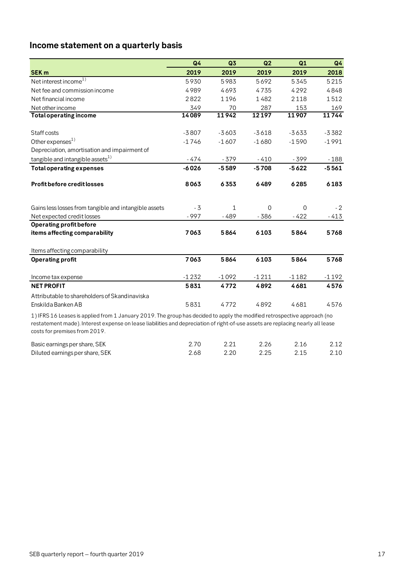# <span id="page-16-0"></span>**Income statement on a quarterly basis**

|                                                                                                                                                                                                                                                             | Q <sub>4</sub> | Q3      | Q2             | Q1             | Q <sub>4</sub> |
|-------------------------------------------------------------------------------------------------------------------------------------------------------------------------------------------------------------------------------------------------------------|----------------|---------|----------------|----------------|----------------|
| <b>SEK m</b>                                                                                                                                                                                                                                                | 2019           | 2019    | 2019           | 2019           | 2018           |
| Net interest income <sup>1)</sup>                                                                                                                                                                                                                           | 5930           | 5983    | 5692           | 5345           | 5215           |
| Net fee and commission income                                                                                                                                                                                                                               | 4989           | 4693    | 4735           | 4292           | 4848           |
| Net financial income                                                                                                                                                                                                                                        | 2822           | 1196    | 1482           | 2118           | 1512           |
| Net other income                                                                                                                                                                                                                                            | 349            | 70      | 287            | 153            | 169            |
| <b>Total operating income</b>                                                                                                                                                                                                                               | 14089          | 11942   | 12197          | 11907          | 11744          |
| Staff costs                                                                                                                                                                                                                                                 | $-3807$        | $-3603$ | $-3618$        | $-3633$        | $-3382$        |
| Other expenses <sup>1)</sup>                                                                                                                                                                                                                                | $-1746$        | $-1607$ | $-1680$        | $-1590$        | $-1991$        |
| Depreciation, amortisation and impairment of                                                                                                                                                                                                                |                |         |                |                |                |
| tangible and intangible assets <sup>1)</sup>                                                                                                                                                                                                                | - 474          | $-379$  | $-410$         | $-399$         | $-188$         |
| <b>Total operating expenses</b>                                                                                                                                                                                                                             | $-6026$        | $-5589$ | $-5708$        | $-5622$        | $-5561$        |
| <b>Profit before credit losses</b>                                                                                                                                                                                                                          | 8063           | 6353    | 6489           | 6285           | 6183           |
| Gains less losses from tangible and intangible assets                                                                                                                                                                                                       | $-3$           | 1       | $\overline{0}$ | $\overline{0}$ | $-2$           |
| Net expected credit losses                                                                                                                                                                                                                                  | - 997          | - 489   | - 386          | $-422$         | $-413$         |
| <b>Operating profit before</b>                                                                                                                                                                                                                              |                |         |                |                |                |
| items affecting comparability                                                                                                                                                                                                                               | 7063           | 5864    | 6103           | 5864           | 5768           |
| Items affecting comparability                                                                                                                                                                                                                               |                |         |                |                |                |
| <b>Operating profit</b>                                                                                                                                                                                                                                     | 7063           | 5864    | 6103           | 5864           | 5768           |
| Income tax expense                                                                                                                                                                                                                                          | $-1232$        | $-1092$ | $-1211$        | $-1182$        | $-1192$        |
| <b>NET PROFIT</b>                                                                                                                                                                                                                                           | 5831           | 4772    | 4892           | 4681           | 4576           |
| Attributable to shareholders of Skandinaviska<br>Enskilda Banken AB                                                                                                                                                                                         | 5831           | 4772    | 4892           | 4681           | 4576           |
| 1) IFRS 16 Leases is applied from 1 January 2019. The group has decided to apply the modified retrospective approach (no<br>restatement made). Interest expense on lease liabilities and depreciation of right-of-use assets are replacing nearly all lease |                |         |                |                |                |

costs for premises from 2019.

| Basic earnings per share, SEK   |      | 2.21 | 2.26 | 2.16 | 2.12 |
|---------------------------------|------|------|------|------|------|
| Diluted earnings per share, SEK | 2.68 | 2.20 | 2.25 | 2.15 | 2.10 |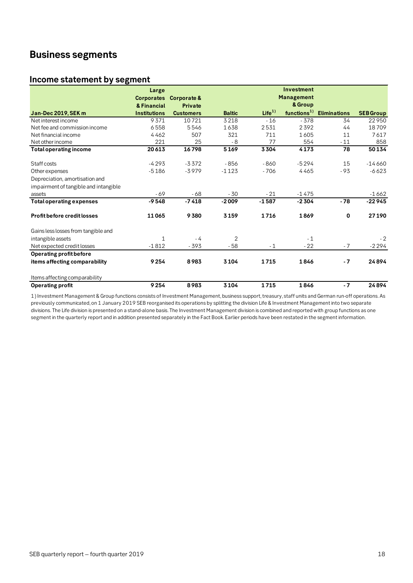# <span id="page-17-0"></span>**Business segments**

### <span id="page-17-1"></span>**Income statement by segment**

|                                       | Large               |                  |               |                   | Investment              |                     |                  |
|---------------------------------------|---------------------|------------------|---------------|-------------------|-------------------------|---------------------|------------------|
|                                       | <b>Corporates</b>   | Corporate &      |               |                   | <b>Management</b>       |                     |                  |
|                                       | & Financial         | <b>Private</b>   |               |                   | & Group                 |                     |                  |
| Jan-Dec 2019, SEK m                   | <b>Institutions</b> | <b>Customers</b> | <b>Baltic</b> | Life <sup>1</sup> | functions <sup>1)</sup> | <b>Eliminations</b> | <b>SEB Group</b> |
| Net interest income                   | 9371                | 10721            | 3218          | $-16$             | $-378$                  | 34                  | 22950            |
| Net fee and commission income         | 6558                | 5546             | 1638          | 2531              | 2392                    | 44                  | 18709            |
| Net financial income                  | 4462                | 507              | 321           | 711               | 1605                    | 11                  | 7617             |
| Net other income                      | 221                 | 25               | - 8           | 77                | 554                     | $-11$               | 858              |
| <b>Total operating income</b>         | 20613               | 16798            | 5169          | 3304              | 4173                    | 78                  | 50134            |
| Staff costs                           | $-4293$             | $-3372$          | $-856$        | $-860$            | $-5294$                 | 15                  | $-14660$         |
| Other expenses                        | $-5186$             | $-3979$          | $-1123$       | $-706$            | 4465                    | $-93$               | $-6623$          |
| Depreciation, amortisation and        |                     |                  |               |                   |                         |                     |                  |
| impairment of tangible and intangible |                     |                  |               |                   |                         |                     |                  |
| assets                                | $-69$               | $-68$            | $-30$         | $-21$             | $-1475$                 |                     | $-1662$          |
| <b>Total operating expenses</b>       | $-9548$             | $-7418$          | $-2009$       | $-1587$           | $-2304$                 | $-78$               | $-22945$         |
| Profit before credit losses           | 11065               | 9380             | 3159          | 1716              | 1869                    | 0                   | 27190            |
| Gains less losses from tangible and   |                     |                  |               |                   |                         |                     |                  |
| intangible assets                     | $\mathbf{1}$        | $-4$             | 2             |                   | $-1$                    |                     | $-2$             |
| Net expected credit losses            | $-1812$             | $-393$           | $-58$         | $-1$              | $-22$                   | $-7$                | $-2294$          |
| Operating profit before               |                     |                  |               |                   |                         |                     |                  |
| items affecting comparability         | 9254                | 8983             | 3104          | 1715              | 1846                    | $-7$                | 24894            |
| Items affecting comparability         |                     |                  |               |                   |                         |                     |                  |
| Operating profit                      | 9254                | 8983             | 3104          | 1715              | 1846                    | $-7$                | 24894            |

1) Investment Management & Group functions consists of Investment Management, business support, treasury, staff units and German run-off operations. As previously communicated, on 1 January 2019 SEB reorganised its operations by splitting the division Life & Investment Management into two separate divisions. The Life division is presented on a stand-alone basis. The Investment Management division is combined and reported with group functions as one segment in the quarterly report and in addition presented separately in the Fact Book. Earlier periods have been restated in the segment information.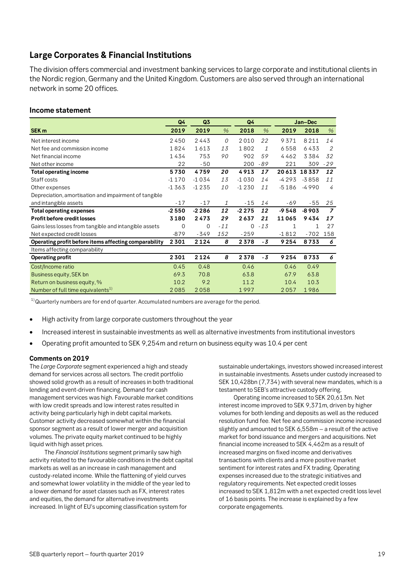# <span id="page-18-0"></span>**Large Corporates & Financial Institutions**

The division offers commercial and investment banking services to large corporate and institutional clients in the Nordic region, Germany and the United Kingdom. Customers are also served through an international network in some 20 offices.

### **Income statement**

|                                                       | Q4       | Q3       |       | Q4       |              |              | Jan-Dec     |                |
|-------------------------------------------------------|----------|----------|-------|----------|--------------|--------------|-------------|----------------|
| SEK <sub>m</sub>                                      | 2019     | 2019     | $\%$  | 2018     | $\%$         | 2019         | 2018        | $\%$           |
| Net interest income                                   | 2450     | 2443     | 0     | 2010     | 22           | 9371         | 8211        | 14             |
| Net fee and commission income                         | 1824     | 1613     | 13    | 1802     | $\mathbf{1}$ | 6558         | 6433        | 2              |
| Net financial income                                  | 1434     | 753      | 90    | 902      | 59           | 4462         | 3384        | 32             |
| Net other income                                      | 22       | $-50$    |       | 200      | -89          | 221          | 309         | $-29$          |
| Total operating income                                | 5730     | 4759     | 20    | 4913     | 17           |              | 20613 18337 | 12             |
| Staff costs                                           | $-1170$  | $-1034$  | 13    | $-1030$  | 14           | $-4293$      | $-3858$     | 11             |
| Other expenses                                        | $-1363$  | $-1235$  | 10    | $-1230$  | 11           | $-5186$      | $-4990$     | 4              |
| Depreciation, amortisation and impairment of tangible |          |          |       |          |              |              |             |                |
| and intangible assets                                 | $-17$    | $-17$    | 1     | $-15$    | 14           | -69          | $-55$       | 25             |
| <b>Total operating expenses</b>                       | $-2550$  | $-2286$  | 12    | $-2275$  | 12           | $-9548$      | $-8903$     | $\overline{z}$ |
| <b>Profit before credit losses</b>                    | 3180     | 2473     | 29    | 2637     | 21           | 11065        | 9434        | 17             |
| Gains less losses from tangible and intangible assets | $\Omega$ | $\Omega$ | $-11$ | $\Omega$ | $-13$        | $\mathbf{1}$ | 1           | 27             |
| Net expected credit losses                            | $-879$   | $-349$   | 152   | $-259$   |              | $-1812$      | $-702$      | 158            |
| Operating profit before items affecting comparability | 2301     | 2124     | 8     | 2378     | $-3$         | 9254         | 8733        | 6              |
| Items affecting comparability                         |          |          |       |          |              |              |             |                |
| <b>Operating profit</b>                               | 2301     | 2124     | 8     | 2378     | $-3$         | 9254         | 8733        | 6              |
| Cost/Income ratio                                     | 0.45     | 0.48     |       | 0.46     |              | 0.46         | 0.49        |                |
| Business equity, SEK bn                               | 69.3     | 70.8     |       | 63.8     |              | 67.9         | 63.8        |                |
| Return on business equity, %                          | 10.2     | 9.2      |       | 11.2     |              | 10.4         | 10.3        |                |
| Number of full time equivalents <sup>1)</sup>         | 2085     | 2058     |       | 1997     |              | 2057         | 1986        |                |

 $1)$ Quarterly numbers are for end of quarter. Accumulated numbers are average for the period.

- High activity from large corporate customers throughout the year
- Increased interest in sustainable investments as well as alternative investments from institutional investors
- Operating profit amounted to SEK 9,254m and return on business equity was 10.4 per cent

#### **Comments on 2019**

The *Large Corporate* segment experienced a high and steady demand for services across all sectors. The credit portfolio showed solid growth as a result of increases in both traditional lending and event-driven financing. Demand for cash management services was high. Favourable market conditions with low credit spreads and low interest rates resulted in activity being particularly high in debt capital markets. Customer activity decreased somewhat within the financial sponsor segment as a result of lower merger and acquisition volumes. The private equity market continued to be highly liquid with high asset prices.

The *Financial Institutions* segment primarily saw high activity related to the favourable conditions in the debt capital markets as well as an increase in cash management and custody-related income. While the flattening of yield curves and somewhat lower volatility in the middle of the year led to a lower demand for asset classes such as FX, interest rates and equities, the demand for alternative investments increased. In light of EU's upcoming classification system for

sustainable undertakings, investors showed increased interest in sustainable investments. Assets under custody increased to SEK 10,428bn (7,734) with several new mandates, which is a testament to SEB's attractive custody offering.

Operating income increased to SEK 20,613m. Net interest income improved to SEK 9,371m, driven by higher volumes for both lending and deposits as well as the reduced resolution fund fee. Net fee and commission income increased slightly and amounted to SEK 6,558m – a result of the active market for bond issuance and mergers and acquisitions. Net financial income increased to SEK 4,462m as a result of increased margins on fixed income and derivatives transactions with clients and a more positive market sentiment for interest rates and FX trading. Operating expenses increased due to the strategic initiatives and regulatory requirements. Net expected credit losses increased to SEK 1,812m with a net expected credit loss level of 16 basis points. The increase is explained by a few corporate engagements.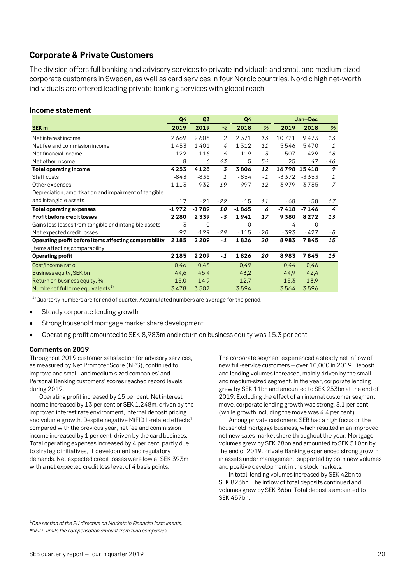# <span id="page-19-0"></span>**Corporate & Private Customers**

The division offers full banking and advisory services to private individuals and small and medium-sized corporate customers in Sweden, as well as card services in four Nordic countries. Nordic high net-worth individuals are offered leading private banking services with global reach.

#### **Income statement**

|                                                       | Q4      | Q3      |       | Q4      |               |         | Jan-Dec     |               |
|-------------------------------------------------------|---------|---------|-------|---------|---------------|---------|-------------|---------------|
| SEK <sub>m</sub>                                      | 2019    | 2019    | $\%$  | 2018    | $\frac{0}{0}$ | 2019    | 2018        | $\frac{9}{6}$ |
| Net interest income                                   | 2669    | 2606    | 2     | 2371    | 13            | 10721   | 9473        | 13            |
| Net fee and commission income                         | 1453    | 1401    | 4     | 1312    | 11            | 5546    | 5470        | $\mathcal{I}$ |
| Net financial income                                  | 122     | 116     | 6     | 119     | 3             | 507     | 429         | 18            |
| Net other income                                      | 8       | 6       | 43    | 5       | 54            | 25      | 47          | -46           |
| Total operating income                                | 4253    | 4128    | 3     | 3806    | 12            |         | 16798 15418 | 9             |
| Staff costs                                           | $-843$  | $-836$  | 1     | $-854$  | $-1$          | $-3372$ | $-3353$     | 1             |
| Other expenses                                        | $-1113$ | $-932$  | 19    | $-997$  | 12            | $-3979$ | $-3735$     | 7             |
| Depreciation, amortisation and impairment of tangible |         |         |       |         |               |         |             |               |
| and intangible assets                                 | $-17$   | $-21$   | $-22$ | $-15$   | 11            | -68     | - 58        | 17            |
| <b>Total operating expenses</b>                       | $-1972$ | $-1789$ | 10    | $-1865$ | 6             | $-7418$ | $-7146$     | 4             |
| Profit before credit losses                           | 2280    | 2339    | - 3   | 1941    | 17            | 9380    | 8272        | 13            |
| Gains less losses from tangible and intangible assets | $-3$    | 0       |       | 0       |               | - 4     | $\Omega$    |               |
| Net expected credit losses                            | $-92$   | $-129$  | $-29$ | $-115$  | $-20$         | $-393$  | $-427$      | - 8           |
| Operating profit before items affecting comparability | 2185    | 2 2 0 9 | $-1$  | 1826    | 20            | 8983    | 7845        | 15            |
| Items affecting comparability                         |         |         |       |         |               |         |             |               |
| <b>Operating profit</b>                               | 2185    | 2209    | $-1$  | 1826    | 20            | 8983    | 7845        | 15            |
| Cost/Income ratio                                     | 0,46    | 0,43    |       | 0,49    |               | 0,44    | 0,46        |               |
| Business equity, SEK bn                               | 44,6    | 45,4    |       | 43,2    |               | 44,9    | 42,4        |               |
| Return on business equity, %                          | 15,0    | 14,9    |       | 12,7    |               | 15,3    | 13.9        |               |
| Number of full time equivalents <sup>1)</sup>         | 3478    | 3507    |       | 3594    |               | 3564    | 3596        |               |

 $1)$ Quarterly numbers are for end of quarter. Accumulated numbers are average for the period.

- Steady corporate lending growth
- Strong household mortgage market share development
- Operating profit amounted to SEK 8,983m and return on business equity was 15.3 per cent

#### **Comments on 2019**

Throughout 2019 customer satisfaction for advisory services, as measured by Net Promoter Score (NPS), continued to improve and small- and medium sized companies' and Personal Banking customers' scores reached record levels during 2019.

Operating profit increased by 15 per cent. Net interest income increased by 13 per cent or SEK 1,248m, driven by the improved interest rate environment, internal deposit pricing and volume growth. Despite negative MiFID II-related effects<sup>[1](#page-19-1)</sup> compared with the previous year, net fee and commission income increased by 1 per cent, driven by the card business. Total operating expenses increased by 4 per cent, partly due to strategic initiatives, IT development and regulatory demands. Net expected credit losses were low at SEK 393m with a net expected credit loss level of 4 basis points.

The corporate segment experienced a steady net inflow of new full-service customers – over 10,000 in 2019. Deposit and lending volumes increased, mainly driven by the smalland medium-sized segment. In the year, corporate lending grew by SEK 11bn and amounted to SEK 253bn at the end of 2019. Excluding the effect of an internal customer segment move, corporate lending growth was strong, 8.1 per cent (while growth including the move was 4.4 per cent).

Among private customers, SEB had a high focus on the household mortgage business, which resulted in an improved net new sales market share throughout the year. Mortgage volumes grew by SEK 28bn and amounted to SEK 510bn by the end of 2019. Private Banking experienced strong growth in assets under management, supported by both new volumes and positive development in the stock markets.

In total, lending volumes increased by SEK 42bn to SEK 823bn. The inflow of total deposits continued and volumes grew by SEK 36bn. Total deposits amounted to SEK 457bn.

<span id="page-19-1"></span> <sup>1</sup>*One section of the EU directive on Markets in Financial Instruments, MiFID, limits the compensation amount from fund companies.*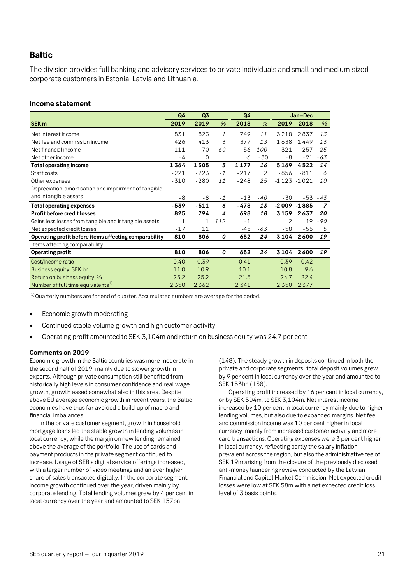# <span id="page-20-0"></span>**Baltic**

The division provides full banking and advisory services to private individuals and small and medium-sized corporate customers in Estonia, Latvia and Lithuania.

#### **Income statement**

|                                                       | Q4           | Q3           |               | Q4     |       | Jan-Dec        |         |                |
|-------------------------------------------------------|--------------|--------------|---------------|--------|-------|----------------|---------|----------------|
| SEK <sub>m</sub>                                      | 2019         | 2019         | $\%$          | 2018   | $\%$  | 2019           | 2018    | $\%$           |
| Net interest income                                   | 831          | 823          | $\mathcal{I}$ | 749    | 11    | 3218           | 2837    | 13             |
| Net fee and commission income                         | 426          | 413          | 3             | 377    | 13    | 1638           | 1449    | 13             |
| Net financial income                                  | 111          | 70           | 60            | 56     | 100   | 321            | 257     | 25             |
| Net other income                                      | - 4          | $\Omega$     |               | -6     | $-30$ | - 8            | $-21$   | $-63$          |
| <b>Total operating income</b>                         | 1364         | 1305         | 5             | 1177   | 16    | 5169           | 4522    | 14             |
| Staff costs                                           | $-221$       | $-223$       | $-1$          | $-217$ | 2     | $-856$         | $-811$  | 6              |
| Other expenses                                        | $-310$       | $-280$       | 11            | $-248$ | 25    | $-1123 - 1021$ |         | 10             |
| Depreciation, amortisation and impairment of tangible |              |              |               |        |       |                |         |                |
| and intangible assets                                 | $-8$         | - 8          | $-1$          | $-13$  | $-40$ | $-30$          | $-53$   | -43            |
| <b>Total operating expenses</b>                       | -539         | $-511$       | 6             | -478   | 13    | $-2009$        | $-1885$ | $\overline{z}$ |
| <b>Profit before credit losses</b>                    | 825          | 794          | 4             | 698    | 18    | 3159           | 2637    | 20             |
| Gains less losses from tangible and intangible assets | $\mathbf{1}$ | $\mathbf{1}$ | 112           | $-1$   |       | $\overline{2}$ | 19      | $-90$          |
| Net expected credit losses                            | $-17$        | 11           |               | $-45$  | -63   | $-58$          | $-55$   | 5              |
| Operating profit before items affecting comparability | 810          | 806          | 0             | 652    | 24    | 3104           | 2600    | 19             |
| Items affecting comparability                         |              |              |               |        |       |                |         |                |
| <b>Operating profit</b>                               | 810          | 806          | 0             | 652    | 24    | 3104           | 2600    | 19             |
| Cost/Income ratio                                     | 0.40         | 0.39         |               | 0.41   |       | 0.39           | 0.42    |                |
| Business equity, SEK bn                               | 11.0         | 10.9         |               | 10.1   |       | 10.8           | 9.6     |                |
| Return on business equity, %                          | 25.2         | 25.2         |               | 21.5   |       | 24.7           | 22.4    |                |
| Number of full time equivalents <sup>1)</sup>         | 2350         | 2362         |               | 2341   |       | 2350           | 2377    |                |

 $1)$ Quarterly numbers are for end of quarter. Accumulated numbers are average for the period.

- Economic growth moderating
- Continued stable volume growth and high customer activity
- Operating profit amounted to SEK 3,104m and return on business equity was 24.7 per cent

#### **Comments on 2019**

Economic growth in the Baltic countries was more moderate in the second half of 2019, mainly due to slower growth in exports. Although private consumption still benefited from historically high levels in consumer confidence and real wage growth, growth eased somewhat also in this area. Despite above EU average economic growth in recent years, the Baltic economies have thus far avoided a build-up of macro and financial imbalances.

In the private customer segment, growth in household mortgage loans led the stable growth in lending volumes in local currency, while the margin on new lending remained above the average of the portfolio. The use of cards and payment products in the private segment continued to increase. Usage of SEB's digital service offerings increased, with a larger number of video meetings and an ever higher share of sales transacted digitally. In the corporate segment, income growth continued over the year, driven mainly by corporate lending. Total lending volumes grew by 4 per cent in local currency over the year and amounted to SEK 157bn

(148). The steady growth in deposits continued in both the private and corporate segments; total deposit volumes grew by 9 per cent in local currency over the year and amounted to SEK 153bn (138).

Operating profit increased by 16 per cent in local currency, or by SEK 504m, to SEK 3,104m. Net interest income increased by 10 per cent in local currency mainly due to higher lending volumes, but also due to expanded margins. Net fee and commission income was 10 per cent higher in local currency, mainly from increased customer activity and more card transactions. Operating expenses were 3 per cent higher in local currency, reflecting partly the salary inflation prevalent across the region, but also the administrative fee of SEK 19m arising from the closure of the previously disclosed anti-money laundering review conducted by the Latvian Financial and Capital Market Commission. Net expected credit losses were low at SEK 58m with a net expected credit loss level of 3 basis points.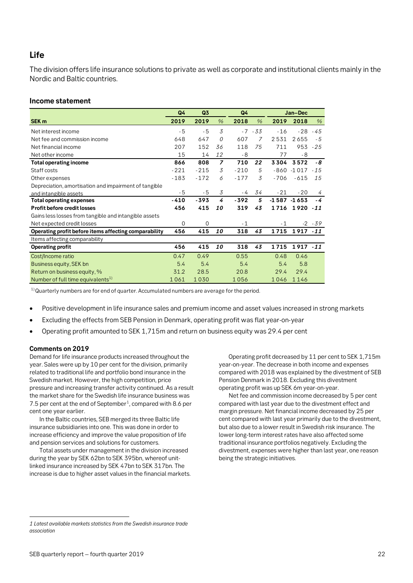# <span id="page-21-0"></span>**Life**

The division offers life insurance solutions to private as well as corporate and institutional clients mainly in the Nordic and Baltic countries.

#### **Income statement**

|                                                       | Q <sub>4</sub> | Q3          |                | Q4     | Jan-Dec   |        |                |           |
|-------------------------------------------------------|----------------|-------------|----------------|--------|-----------|--------|----------------|-----------|
| SEK <sub>m</sub>                                      | 2019           | 2019        | $\%$           | 2018   | $\%$      | 2019   | 2018           | $\%$      |
| Net interest income                                   | $-5$           | $-5$        | 3              |        | $-7 - 33$ | $-16$  | $-28$          | - 45      |
| Net fee and commission income                         | 648            | 647         | $\mathcal{O}$  | 607    | 7         | 2531   | 2655           | $-5$      |
| Net financial income                                  | 207            | 152         | 36             | 118    | 75        | 711    | 953            | $-25$     |
| Net other income                                      | 15             | 14          | 12             | $-8$   |           | 77     | $-8$           |           |
| <b>Total operating income</b>                         | 866            | 808         | $\overline{z}$ | 710    | 22        | 3304   | 3572           | - 8       |
| Staff costs                                           | $-221$         | $-215$      | 3              | $-210$ | 5         | $-860$ | $-1017$        | $-15$     |
| Other expenses                                        | $-183$         | $-172$      | 6              | $-177$ | 3         | $-706$ | $-615$         | 15        |
| Depreciation, amortisation and impairment of tangible |                |             |                |        |           |        |                |           |
| and intangible assets                                 | - 5            | $-5$        | 3              | - 4    | 34        | $-21$  | $-20$          | 4         |
| <b>Total operating expenses</b>                       | -410           | -393        | 4              | $-392$ | 5         |        | $-1587 - 1653$ | - 4       |
| Profit before credit losses                           | 456            | 415         | 10             | 319    | 43        | 1716   | 1920 - 11      |           |
| Gains less losses from tangible and intangible assets |                |             |                |        |           |        |                |           |
| Net expected credit losses                            | $\Omega$       | $\mathbf 0$ |                | $-1$   |           | $-1$   |                | $-2 - 39$ |
| Operating profit before items affecting comparability | 456            | 415         | 10             | 318    | 43        | 1715   | 1917 - 11      |           |
| Items affecting comparability                         |                |             |                |        |           |        |                |           |
| <b>Operating profit</b>                               | 456            | 415         | 10             | 318    | 43        | 1715   | 1917 - 11      |           |
| Cost/Income ratio                                     | 0.47           | 0.49        |                | 0.55   |           | 0.48   | 0.46           |           |
| Business equity, SEK bn                               | 5.4            | 5.4         |                | 5.4    |           | 5.4    | 5.8            |           |
| Return on business equity, %                          | 31.2           | 28.5        |                | 20.8   |           | 29.4   | 29.4           |           |
| Number of full time equivalents <sup>1)</sup>         | 1061           | 1030        |                | 1056   |           | 1046   | 1146           |           |

 $1)$ Quarterly numbers are for end of quarter. Accumulated numbers are average for the period.

- Positive development in life insurance sales and premium income and asset values increased in strong markets
- Excluding the effects from SEB Pension in Denmark, operating profit was flat year-on-year
- Operating profit amounted to SEK 1,715m and return on business equity was 29.4 per cent

#### **Comments on 2019**

 $\overline{a}$ 

Demand for life insurance products increased throughout the year. Sales were up by 10 per cent for the division, primarily related to traditional life and portfolio bond insurance in the Swedish market. However, the high competition, price pressure and increasing transfer activity continued. As a result the market share for the Swedish life insurance business was 7.5 per cent at the end of September<sup>[1](#page-21-1)</sup>, compared with 8.6 per cent one year earlier.

In the Baltic countries, SEB merged its three Baltic life insurance subsidiaries into one. This was done in order to increase efficiency and improve the value proposition of life and pension services and solutions for customers.

Total assets under management in the division increased during the year by SEK 62bn to SEK 395bn, whereof unitlinked insurance increased by SEK 47bn to SEK 317bn. The increase is due to higher asset values in the financial markets.

Operating profit decreased by 11 per cent to SEK 1,715m year-on-year. The decrease in both income and expenses compared with 2018 was explained by the divestment of SEB Pension Denmark in 2018. Excluding this divestment operating profit was up SEK 6m year-on-year.

Net fee and commission income decreased by 5 per cent compared with last year due to the divestment effect and margin pressure. Net financial income decreased by 25 per cent compared with last year primarily due to the divestment, but also due to a lower result in Swedish risk insurance. The lower long-term interest rates have also affected some traditional insurance portfolios negatively. Excluding the divestment, expenses were higher than last year, one reason being the strategic initiatives.

<span id="page-21-1"></span>*<sup>1</sup> Latest available markets statistics from the Swedish insurance trade association*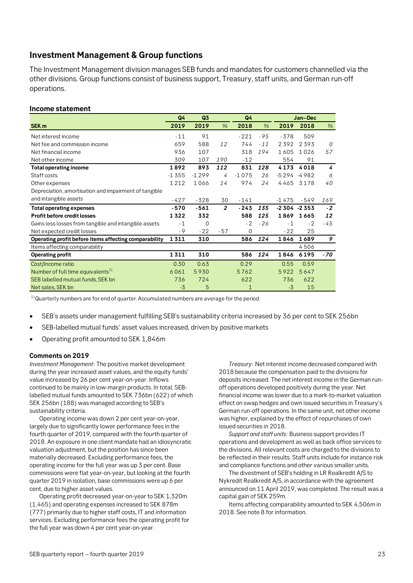# <span id="page-22-0"></span>**Investment Management & Group functions**

The Investment Management division manages SEB funds and mandates for customers channelled via the other divisions. Group functions consist of business support, Treasury, staff units, and German run-off operations.

#### **Income statement**

|                                                       | Q4      | Q3       |                | Q4<br>Jan-Dec |        |                |                   |          |
|-------------------------------------------------------|---------|----------|----------------|---------------|--------|----------------|-------------------|----------|
| SEK <sub>m</sub>                                      | 2019    | 2019     | $\%$           | 2018          | $\%$   | 2019           | 2018              | $\%$     |
| Net interest income                                   | $-11$   | 91       |                | $-221$        | $-9.5$ | $-378$         | 509               |          |
| Net fee and commission income                         | 659     | 588      | 12             | 744           | $-11$  | 2392           | 2393              | $\Omega$ |
| Net financial income                                  | 936     | 107      |                | 318           | 194    | 1605           | 1026              | 57       |
| Net other income                                      | 309     | 107      | 190            | $-12$         |        | 554            | 91                |          |
| <b>Total operating income</b>                         | 1892    | 893      | 112            | 831           | 128    | 4173           | 4018              | 4        |
| Staff costs                                           | $-1355$ | $-1299$  | $\overline{4}$ | $-1075$       | 26     | $-5294 - 4982$ |                   | 6        |
| Other expenses                                        | 1212    | 1066     | 14             | 974           | 24     | 4465           | 3178              | 40       |
| Depreciation, amortisation and impairment of tangible |         |          |                |               |        |                |                   |          |
| and intangible assets                                 | $-427$  | $-328$   | 30             | $-141$        |        | $-1475$        | $-549$            | 169      |
| <b>Total operating expenses</b>                       | $-570$  | $-561$   | $\overline{2}$ | $-243$        | 135    |                | $-2,304$ $-2,353$ | $-2$     |
| <b>Profit before credit losses</b>                    | 1322    | 332      |                | 588           | 125    | 1869           | 1665              | 12       |
| Gains less losses from tangible and intangible assets | $-1$    | $\Omega$ |                | $-2$          | $-26$  | $-1$           | $-2$              | $-45$    |
| Net expected credit losses                            | $-9$    | $-22$    | $-57$          | $\Omega$      |        | $-22$          | 25                |          |
| Operating profit before items affecting comparability | 1311    | 310      |                | 586           | 124    | 1846           | 1689              | 9        |
| Items affecting comparability                         |         |          |                |               |        |                | 4506              |          |
| <b>Operating profit</b>                               | 1311    | 310      |                | 586           | 124    | 1846           | 6195              | $-70$    |
| Cost/Income ratio                                     | 0.30    | 0.63     |                | 0.29          |        | 0.55           | 0.59              |          |
| Number of full time equivalents <sup>1)</sup>         | 6061    | 5930     |                | 5762          |        | 5922           | 5647              |          |
| SEB labelled mutual funds, SEK bn                     | 736     | 724      |                | 622           |        | 736            | 622               |          |
| Net sales, SEK bn                                     | $-3$    | 5        |                | 1             |        | $-3$           | 15                |          |

 $1)$ Quarterly numbers are for end of quarter. Accumulated numbers are average for the period.

- SEB's assets under management fulfilling SEB's sustainability criteria increased by 36 per cent to SEK 256bn
- SEB-labelled mutual funds' asset values increased, driven by positive markets
- Operating profit amounted to SEK 1,846m

#### **Comments on 2019**

*Investment Management*: The positive market development during the year increased asset values, and the equity funds' value increased by 26 per cent year-on-year. Inflows continued to be mainly in low-margin products. In total, SEBlabelled mutual funds amounted to SEK 736bn (622) of which SEK 256bn (188) was managed according to SEB's sustainability criteria.

Operating income was down 2 per cent year-on-year, largely due to significantly lower performance fees in the fourth quarter of 2019, compared with the fourth quarter of 2018. An exposure in one client mandate had an idiosyncratic valuation adjustment, but the position has since been materially decreased. Excluding performance fees, the operating income for the full year was up 3 per cent. Base commissions were flat year-on-year, but looking at the fourth quarter 2019 in isolation, base commissions were up 6 per cent, due to higher asset values.

Operating profit decreased year-on-year to SEK 1,320m (1,465) and operating expenses increased to SEK 878m (777) primarily due to higher staff costs, IT and information services. Excluding performance fees the operating profit for the full year was down 4 per cent year-on-year.

*Treasury*: Net interest income decreased compared with 2018 because the compensation paid to the divisions for deposits increased. The net interest income in the German runoff operations developed positively during the year. Net financial income was lower due to a mark-to-market valuation effect on swap hedges and own issued securities in Treasury's German run-off operations. In the same unit, net other income was higher, explained by the effect of repurchases of own issued securities in 2018.

*Support and staff units:* Business support provides IT operations and development as well as back office services to the divisions. All relevant costs are charged to the divisions to be reflected in their results. Staff units include for instance risk and compliance functions and other various smaller units.

The divestment of SEB's holding in LR Realkredit A/S to Nykredit Realkredit A/S, in accordance with the agreement announced on 11 April 2019, was completed. The result was a capital gain of SEK 259m.

Items affecting comparability amounted to SEK 4,506m in 2018. See note 8 for information.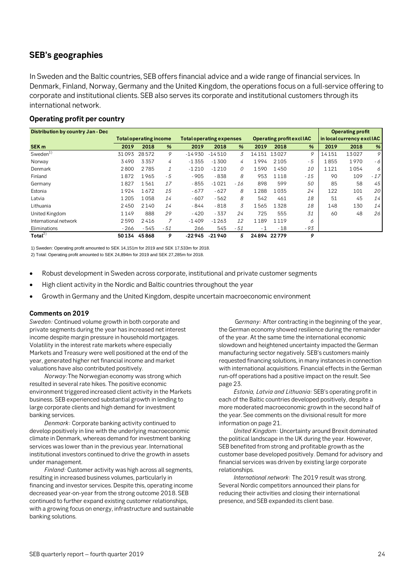# <span id="page-23-0"></span>**SEB's geographies**

In Sweden and the Baltic countries, SEB offers financial advice and a wide range of financial services. In Denmark, Finland, Norway, Germany and the United Kingdom, the operations focus on a full-service offering to corporate and institutional clients. SEB also serves its corporate and institutional customers through its international network.

### **Operating profit per country**

| <b>Distribution by country Jan - Dec</b> |         |                               |               |                                 |          |       |      |             |                           |                            | <b>Operating profit</b> |               |
|------------------------------------------|---------|-------------------------------|---------------|---------------------------------|----------|-------|------|-------------|---------------------------|----------------------------|-------------------------|---------------|
|                                          |         | <b>Total operating income</b> |               | <b>Total operating expenses</b> |          |       |      |             | Operating profit excl IAC | in local currency excl IAC |                         |               |
| SEK <sub>m</sub>                         | 2019    | 2018                          | $\frac{9}{6}$ | 2019                            | 2018     | %     | 2019 | 2018        | %                         | 2019                       | 2018                    | %             |
| Sweden $1)$                              | 31093   | 28572                         | 9             | $-14930$                        | $-14510$ | 3     |      | 14151 13027 | 9                         | 14151                      | 13027                   | 9             |
| Norway                                   | 3490    | 3357                          | 4             | $-1355$                         | $-1,300$ | 4     | 1994 | 2105        | - 5                       | 1855                       | 1970                    | - 6 1         |
| Denmark                                  | 2800    | 2785                          | $\mathcal{I}$ | $-1210$                         | $-1210$  | 0     | 1590 | 1450        | 10                        | 1121                       | 1054                    | $\frac{1}{2}$ |
| Finland                                  | 1872    | 1965                          | - 5           | $-905$                          | $-838$   | 8     | 953  | 1118        | $-15$                     | 90                         | 109                     | $-17$         |
| Germany                                  | 1827    | 1561                          | 17            | $-855$                          | $-1021$  | $-16$ | 898  | 599         | 50                        | 85                         | 58                      | 45            |
| Estonia                                  | 1924    | 1672                          | 15            | $-677$                          | $-627$   | 8     | 1288 | 1035        | 24                        | 122                        | 101                     | 20            |
| Latvia                                   | 1 2 0 5 | 1058                          | 14            | $-607$                          | $-562$   | 8     | 542  | 461         | 18                        | 51                         | 45                      | 14            |
| Lithuania                                | 2450    | 2140                          | 14            | - 844                           | $-818$   | 3     | 1565 | 1328        | 18                        | 148                        | 130                     | 14            |
| United Kingdom                           | 1149    | 888                           | 29            | $-420$                          | $-337$   | 24    | 725  | 555         | 31                        | 60                         | 48                      | 26            |
| International network                    | 2590    | 2416                          |               | $-1409$                         | $-1263$  | 12    | 1189 | 1119        | 6                         |                            |                         |               |
| Eliminations                             | $-266$  | $-545$                        | $-51$         | 266                             | 545      | - 51  | - 1  | $-18$       | - 93                      |                            |                         |               |
| Total $^{2)}$                            | 50134   | 45868                         | 9             | -22945                          | $-21940$ | 5     |      | 24894 22779 | 9                         |                            |                         |               |

1) Sweden: Operating profit amounted to SEK 14,151m for 2019 and SEK 17,533m for 2018.

2) Total: Operating profit amounted to SEK 24,894m for 2019 and SEK 27,285m for 2018.

- Robust development in Sweden across corporate, institutional and private customer segments
- High client activity in the Nordic and Baltic countries throughout the year
- Growth in Germany and the United Kingdom, despite uncertain macroeconomic environment

#### **Comments on 2019**

*Sweden:* Continued volume growth in both corporate and private segments during the year has increased net interest income despite margin pressure in household mortgages. Volatility in the interest rate markets where especially Markets and Treasury were well positioned at the end of the year, generated higher net financial income and market valuations have also contributed positively.

*Norway:*The Norwegian economy was strong which resulted in several rate hikes. The positive economic environment triggered increased client activity in the Markets business. SEB experienced substantial growth in lending to large corporate clients and high demand for investment banking services.

*Denmark:* Corporate banking activity continued to develop positively in line with the underlying macroeconomic climate in Denmark, whereas demand for investment banking services was lower than in the previous year. International institutional investors continued to drive the growth in assets under management.

*Finland:* Customer activity was high across all segments, resulting in increased business volumes, particularly in financing and investor services. Despite this, operating income decreased year-on-year from the strong outcome 2018. SEB continued to further expand existing customer relationships, with a growing focus on energy, infrastructure and sustainable banking solutions.

G*ermany:* After contracting in the beginning of the year, the German economy showed resilience during the remainder of the year. At the same time the international economic slowdown and heightened uncertainty impacted the German manufacturing sector negatively. SEB's customers mainly requested financing solutions, in many instances in connection with international acquisitions. Financial effects in the German run-off operations had a positive impact on the result. See page 23.

*Estonia, Latvia and Lithuania:* SEB's operating profit in each of the Baltic countries developed positively, despite a more moderated macroeconomic growth in the second half of the year. See comments on the divisional result for more information on page 21.

*United Kingdom:* Uncertainty around Brexit dominated the political landscape in the UK during the year. However, SEB benefited from strong and profitable growth as the customer base developed positively. Demand for advisory and financial services was driven by existing large corporate relationships.

*International network*: The 2019 result was strong. Several Nordic competitors announced their plans for reducing their activities and closing their international presence, and SEB expanded its client base.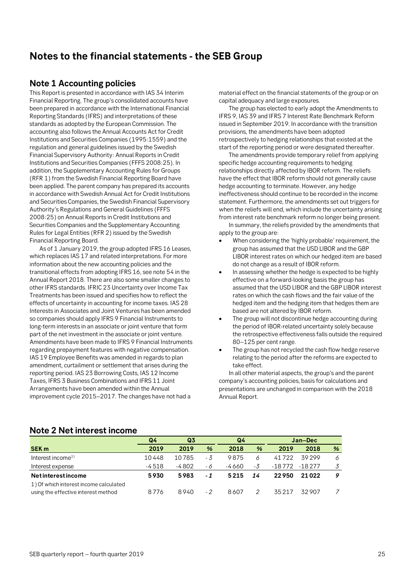# <span id="page-24-0"></span>**Notes to the financial statements - the SEB Group**

### <span id="page-24-1"></span>**Note 1 Accounting policies**

This Report is presented in accordance with IAS 34 Interim Financial Reporting. The group's consolidated accounts have been prepared in accordance with the International Financial Reporting Standards (IFRS) and interpretations of these standards as adopted by the European Commission. The accounting also follows the Annual Accounts Act for Credit Institutions and Securities Companies (1995:1559) and the regulation and general guidelines issued by the Swedish Financial Supervisory Authority: Annual Reports in Credit Institutions and Securities Companies (FFFS 2008:25). In addition, the Supplementary Accounting Rules for Groups (RFR 1) from the Swedish Financial Reporting Board have been applied. The parent company has prepared its accounts in accordance with Swedish Annual Act for Credit Institutions and Securities Companies, the Swedish Financial Supervisory Authority's Regulations and General Guidelines (FFFS 2008:25) on Annual Reports in Credit Institutions and Securities Companies and the Supplementary Accounting Rules for Legal Entities (RFR 2) issued by the Swedish Financial Reporting Board.

As of 1 January 2019, the group adopted IFRS 16 Leases, which replaces IAS 17 and related interpretations. For more information about the new accounting policies and the transitional effects from adopting IFRS 16, see note 54 in the Annual Report 2018. There are also some smaller changes to other IFRS standards. IFRIC 23 Uncertainty over Income Tax Treatments has been issued and specifies how to reflect the effects of uncertainty in accounting for income taxes. IAS 28 Interests in Associates and Joint Ventures has been amended so companies should apply IFRS 9 Financial Instruments to long-term interests in an associate or joint venture that form part of the net investment in the associate or joint venture. Amendments have been made to IFRS 9 Financial Instruments regarding prepayment features with negative compensation. IAS 19 Employee Benefits was amended in regards to plan amendment, curtailment or settlement that arises during the reporting period. IAS 23 Borrowing Costs, IAS 12 Income Taxes, IFRS 3 Business Combinations and IFRS 11 Joint Arrangements have been amended within the Annual improvement cycle 2015–2017. The changes have not had a

material effect on the financial statements of the group or on capital adequacy and large exposures.

The group has elected to early adopt the Amendments to IFRS 9, IAS 39 and IFRS 7 Interest Rate Benchmark Reform issued in September 2019. In accordance with the transition provisions, the amendments have been adopted retrospectively to hedging relationships that existed at the start of the reporting period or were designated thereafter.

The amendments provide temporary relief from applying specific hedge accounting requirements to hedging relationships directly affected by IBOR reform. The reliefs have the effect that IBOR reform should not generally cause hedge accounting to terminate. However, any hedge ineffectiveness should continue to be recorded in the income statement. Furthermore, the amendments set out triggers for when the reliefs will end, which include the uncertainty arising from interest rate benchmark reform no longer being present.

In summary, the reliefs provided by the amendments that apply to the group are:

- When considering the 'highly probable' requirement, the group has assumed that the USD LIBOR and the GBP LIBOR interest rates on which our hedged item are based do not change as a result of IBOR reform.
- In assessing whether the hedge is expected to be highly effective on a forward-looking basis the group has assumed that the USD LIBOR and the GBP LIBOR interest rates on which the cash flows and the fair value of the hedged item and the hedging item that hedges them are based are not altered by IBOR reform.
- The group will not discontinue hedge accounting during the period of IBOR-related uncertainty solely because the retrospective effectiveness falls outside the required 80–125 per cent range.
- The group has not recycled the cash flow hedge reserve relating to the period after the reforms are expected to take effect.

In all other material aspects, the group's and the parent company's accounting policies, basis for calculations and presentations are unchanged in comparison with the 2018 Annual Report.

### <span id="page-24-2"></span>**Note 2 Net interest income**

|                                        | Q <sub>3</sub><br>Q4 |       |     | Q4     |    |          | Jan-Dec  |   |
|----------------------------------------|----------------------|-------|-----|--------|----|----------|----------|---|
| <b>SEK m</b>                           | 2019                 | 2019  | %   | 2018   | %  | 2019     | 2018     | % |
| Interest income <sup>1)</sup>          | 10448                | 10785 | - 3 | 9875   |    | 41722    | 39299    | 6 |
| Interest expense                       | $-4518$              | -4802 | - 6 | -4 660 | -3 | $-18772$ | $-18277$ | 3 |
| <b>Netinterestincome</b>               | 5930                 | 5983  | - 1 | 5215   | 14 | 22950    | 21022    | 9 |
| 1) Of which interest income calculated |                      |       |     |        |    |          |          |   |
| using the effective interest method    | 8776                 | 8940  | - 2 | 8607   |    | 35217    | 32907    |   |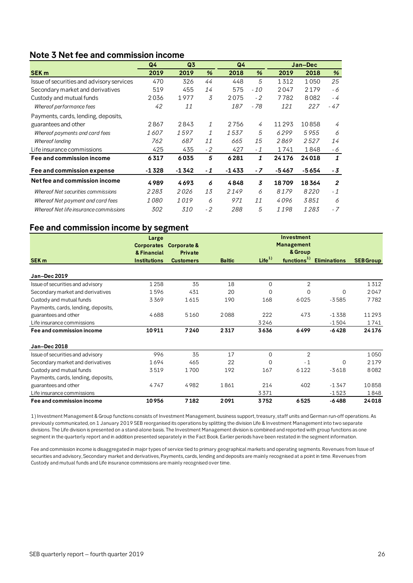# <span id="page-25-0"></span>**Note 3 Net fee and commission income**

|                                           | Q4          | Q <sub>3</sub> |      | Q <sub>4</sub> |      | Jan-Dec |         |                |
|-------------------------------------------|-------------|----------------|------|----------------|------|---------|---------|----------------|
| <b>SEK m</b>                              | 2019        | 2019           | %    | 2018           | %    | 2019    | 2018    | %              |
| Issue of securities and advisory services | 470         | 326            | 44   | 448            | 5    | 1312    | 1050    | 25             |
| Secondary market and derivatives          | 519         | 455            | 14   | 575            | - 10 | 2047    | 2179    | - 6            |
| Custody and mutual funds                  | 2036        | 1977           | 3    | 2075           | $-2$ | 7782    | 8082    | $-4$           |
| Whereof performance fees                  | 42          | 11             |      | 187            | - 78 | 121     | 227     | $-47$          |
| Payments, cards, lending, deposits,       |             |                |      |                |      |         |         |                |
| guarantees and other                      | 2867        | 2843           | 1    | 2756           | 4    | 11293   | 10858   | 4              |
| Whereof payments and card fees            | 1607        | 1597           | 1    | 1537           | 5    | 6299    | 5955    | 6              |
| Whereof lending                           | 762         | 687            | 11   | 665            | 15   | 2869    | 2527    | 14             |
| Life insurance commissions                | 425         | 435            | $-2$ | 427            | $-1$ | 1741    | 1848    | - 6            |
| Fee and commission income                 | 6317        | 6035           | 5    | 6281           | 1    | 24176   | 24018   | 1              |
| Fee and commission expense                | $-1328$     | $-1342$        | - 1  | $-1433$        | $-7$ | $-5467$ | $-5654$ | - 3            |
| Net fee and commission income             | 4989        | 4693           | 6    | 4848           | 3    | 18709   | 18364   | $\overline{2}$ |
| Whereof Net securities commissions        | 2283        | 2026           | 13   | 2149           | 6    | 8179    | 8220    | $-1$           |
| Whereof Net payment and card fees         | <i>1080</i> | 1019           | 6    | 971            | 11   | 4096    | 3851    | 6              |
| Whereof Net life insurance commissions    | 302         | 310            | $-2$ | 288            | 5    | 1198    | 1283    | - 7            |

### **Fee and commission income by segment**

|                                     | Large               |                  |               |                   | Investment              |                     |                  |
|-------------------------------------|---------------------|------------------|---------------|-------------------|-------------------------|---------------------|------------------|
|                                     | <b>Corporates</b>   | Corporate &      |               |                   | <b>Management</b>       |                     |                  |
|                                     | & Financial         | Private          |               |                   | & Group                 |                     |                  |
| SEK <sub>m</sub>                    | <b>Institutions</b> | <b>Customers</b> | <b>Baltic</b> | Life <sup>1</sup> | functions <sup>1)</sup> | <b>Eliminations</b> | <b>SEB Group</b> |
|                                     |                     |                  |               |                   |                         |                     |                  |
| <b>Jan-Dec 2019</b>                 |                     |                  |               |                   |                         |                     |                  |
| Issue of securities and advisory    | 1258                | 35               | 18            | $\Omega$          | $\overline{2}$          |                     | 1312             |
| Secondary market and derivatives    | 1596                | 431              | 20            | 0                 | 0                       | 0                   | 2047             |
| Custody and mutual funds            | 3369                | 1615             | 190           | 168               | 6025                    | $-3585$             | 7782             |
| Payments, cards, lending, deposits, |                     |                  |               |                   |                         |                     |                  |
| guarantees and other                | 4688                | 5160             | 2088          | 222               | 473                     | $-1338$             | 11 2 9 3         |
| Life insurance commissions          |                     |                  |               | 3246              |                         | $-1504$             | 1741             |
| Fee and commission income           | 10911               | 7240             | 2317          | 3636              | 6499                    | $-6428$             | 24 1 7 6         |
| Jan-Dec 2018                        |                     |                  |               |                   |                         |                     |                  |
| Issue of securities and advisory    | 996                 | 35               | 17            | $\Omega$          | $\overline{2}$          |                     | 1050             |
| Secondary market and derivatives    | 1694                | 465              | 22            | $\Omega$          | $-1$                    | $\mathbf 0$         | 2179             |
| Custody and mutual funds            | 3519                | 1700             | 192           | 167               | 6122                    | $-3618$             | 8082             |
| Payments, cards, lending, deposits, |                     |                  |               |                   |                         |                     |                  |
| guarantees and other                | 4747                | 4982             | 1861          | 214               | 402                     | $-1347$             | 10858            |
| Life insurance commissions          |                     |                  |               | 3371              |                         | $-1523$             | 1848             |
| Fee and commission income           | 10956               | 7182             | 2091          | 3752              | 6525                    | $-6488$             | 24018            |

1) Investment Management & Group functions consists of Investment Management, business support, treasury, staff units and German run-off operations. As previously communicated, on 1 January 2019 SEB reorganised its operations by splitting the division Life & Investment Management into two separate divisions. The Life division is presented on a stand-alone basis. The Investment Management division is combined and reported with group functions as one segment in the quarterly report and in addition presented separately in the Fact Book. Earlier periods have been restated in the segment information.

Fee and commission income is disaggregated in major types of service tied to primary geographical markets and operating segments. Revenues from Issue of securities and advisory, Secondary market and derivatives, Payments, cards, lending and deposits are mainly recognised at a point in time. Revenues from Custody and mutual funds and Life insurance commissions are mainly recognised over time.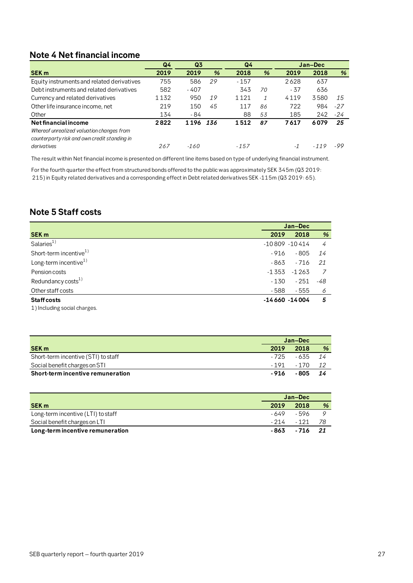# <span id="page-26-0"></span>**Note 4 Net financial income**

|                                                                                                                   | Q <sub>4</sub> | Q <sub>3</sub> |               | Q <sub>4</sub> |              | Jan-Dec |        |       |
|-------------------------------------------------------------------------------------------------------------------|----------------|----------------|---------------|----------------|--------------|---------|--------|-------|
| <b>SEK m</b>                                                                                                      | 2019           | 2019           | $\frac{9}{6}$ | 2018           | %            | 2019    | 2018   | %     |
| Equity instruments and related derivatives                                                                        | 755            | 586            | 29            | $-157$         |              | 2628    | 637    |       |
| Debt instruments and related derivatives                                                                          | 582            | $-407$         |               | 343            | 70           | $-37$   | 636    |       |
| Currency and related derivatives                                                                                  | 1132           | 950            | 19            | 1121           | $\mathcal I$ | 4119    | 3580   | 15    |
| Other life insurance income, net                                                                                  | 219            | 150            | 45            | 117            | 86           | 722     | 984    | $-27$ |
| Other                                                                                                             | 134            | - 84           |               | 88             | 53           | 185     | 242    | $-24$ |
| Net financial income<br>Whereof unrealized valuation changes from<br>counterparty risk and own credit standing in | 2822           | 1196           | 136           | 1512           | 87           | 7617    | 6079   | 25    |
| derivatives                                                                                                       | 267            | $-160$         |               | $-157$         |              | $-1$    | $-119$ | -99   |

The result within Net financial income is presented on different line items based on type of underlying financial instrument.

For the fourth quarter the effect from structured bonds offered to the public was approximately SEK 345m (Q3 2019: 215) in Equity related derivatives and a corresponding effect in Debt related derivatives SEK -115m (Q3 2019: 65).

# <span id="page-26-1"></span>**Note 5 Staff costs**

|                                   | Jan-Dec          |         |     |
|-----------------------------------|------------------|---------|-----|
| <b>SEK m</b>                      | 2019             | 2018    | %   |
| Salaries <sup>1)</sup>            | $-10809 - 10414$ |         | 4   |
| Short-term incentive $1)$         | - 916            | - 805   | 14  |
| Long-term incentive <sup>1)</sup> | - 863            | $-716$  | 21  |
| Pension costs                     | -1353            | $-1263$ |     |
| Redundancy costs $^{1)}$          | - 130            | - 251   | -48 |
| Other staff costs                 | - 588            | - 555   | 6   |
| <b>Staff costs</b>                | $-14660 - 14004$ |         | 5   |
| 1) Including social charges.      |                  |         |     |

|                                     | Jan-Dec |                  |               |
|-------------------------------------|---------|------------------|---------------|
| <b>SEK m</b>                        | 2019    | 2018             | $\frac{9}{6}$ |
| Short-term incentive (STI) to staff |         | - 725 - 635 - 14 |               |
| Social benefit charges on STI       |         | -191 -170 12     |               |
| Short-term incentive remuneration   | - 916   | - 805            | - 14          |

|                                    |       | Jan-Dec     |      |  |
|------------------------------------|-------|-------------|------|--|
| <b>SEK m</b>                       | 2019  | 2018        | %    |  |
| Long-term incentive (LTI) to staff |       | -649 -596   |      |  |
| Social benefit charges on LTI      |       | - 214 - 121 | - 78 |  |
| Long-term incentive remuneration   | - 863 | - 716       | 21   |  |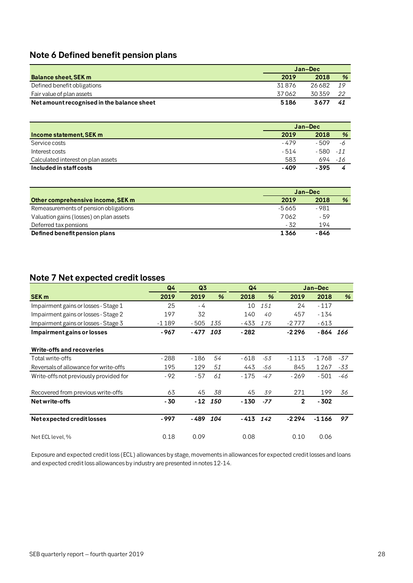# <span id="page-27-0"></span>**Note 6 Defined benefit pension plans**

|                                            | Jan-Dec |        |      |  |
|--------------------------------------------|---------|--------|------|--|
| <b>Balance sheet, SEK m</b>                | 2019    | 2018   | %    |  |
| Defined benefit obligations                | 31876   | 26 682 | - 19 |  |
| Fair value of plan assets                  | 37062   | 30359  | -22  |  |
| Net amount recognised in the balance sheet | 5186    | 3677   | 41   |  |

|                                    | Jan-Dec |        |               |
|------------------------------------|---------|--------|---------------|
| Income statement, SEK m            | 2019    | 2018   | $\frac{9}{6}$ |
| Service costs                      | - 479   | $-509$ | -6            |
| Interest costs                     | - 514   | - 580  | $-11$         |
| Calculated interest on plan assets | 583     | 694    | -16           |
| Included in staff costs            | - 409   | - 395  |               |

|                                         | Jan-Dec |       |   |
|-----------------------------------------|---------|-------|---|
| Other comprehensive income, SEK m       | 2019    | 2018  | % |
| Remeasurements of pension obligations   | -5665   | - 981 |   |
| Valuation gains (losses) on plan assets | 7062    | - 59  |   |
| Deferred tax pensions                   | - 32    | 194   |   |
| Defined benefit pension plans           | 1366    | - 846 |   |

# <span id="page-27-1"></span>**Note 7 Net expected credit losses**

|                                        | Q <sub>4</sub> | Q <sub>3</sub> |           | Q <sub>4</sub> |               |              | Jan-Dec    |     |
|----------------------------------------|----------------|----------------|-----------|----------------|---------------|--------------|------------|-----|
| <b>SEK m</b>                           | 2019           | 2019           | %         | 2018           | $\frac{9}{6}$ | 2019         | 2018       | %   |
| Impairment gains or losses - Stage 1   | 25             | - 4            |           | 10             | 151           | 24           | $-117$     |     |
| Impairment gains or losses - Stage 2   | 197            | 32             |           | 140            | 40            | 457          | $-134$     |     |
| Impairment gains or losses - Stage 3   | $-1189$        | $-505$         | 135       | - 433          | 175           | $-2777$      | $-613$     |     |
| Impairment gains or losses             | - 967          | - 477          | 103       | $-282$         |               | -2 2 9 6     | $-864$ 166 |     |
| Write-offs and recoveries              |                |                |           |                |               |              |            |     |
| Total write-offs                       | $-288$         | $-186$         | 54        | - 618          | $-53$         | -1113        | -1768      | -37 |
| Reversals of allowance for write-offs  | 195            | 129            | 51        | 443            | -56           | 845          | 1267       | -33 |
| Write-offs not previously provided for | $-92$          | - 57           | 61        | $-175$         | $-47$         | $-269$       | $-501$     | -46 |
| Recovered from previous write-offs     | 63             | 45             | 38        | 45             | 39            | 271          | 199        | 36  |
| Net write-offs                         | - 30           |                | $-12$ 150 | - 130          | $-77$         | $\mathbf{2}$ | $-302$     |     |
| Net expected credit losses             | - 997          | - 489          | 104       | $-413$ $142$   |               | $-2294$      | $-1166$    | 97  |
| Net ECL level, %                       | 0.18           | 0.09           |           | 0.08           |               | 0.10         | 0.06       |     |

Exposure and expected credit loss (ECL) allowances by stage, movements in allowances for expected credit losses and loans and expected credit loss allowances by industry are presented in notes 12-14.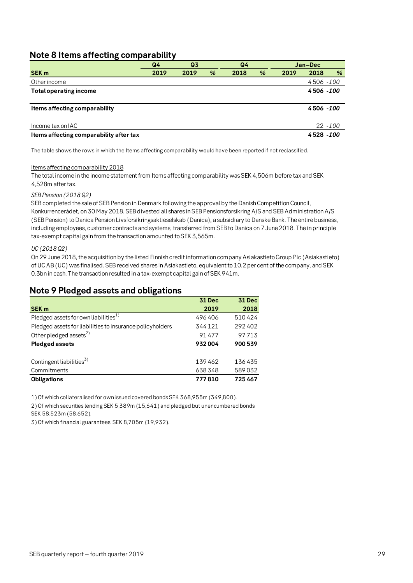# <span id="page-28-0"></span>**Note 8 Items affecting comparability**

|                                         | Q4   | Q <sub>3</sub> | Q4 |      |   |      | Jan-Dec    |            |
|-----------------------------------------|------|----------------|----|------|---|------|------------|------------|
| <b>SEK m</b>                            | 2019 | 2019           | %  | 2018 | % | 2019 | 2018       | %          |
| Other income                            |      |                |    |      |   |      | 4506 -100  |            |
| <b>Total operating income</b>           |      |                |    |      |   |      | 4506 - 100 |            |
|                                         |      |                |    |      |   |      |            |            |
| Items affecting comparability           |      |                |    |      |   |      | 4506 - 100 |            |
|                                         |      |                |    |      |   |      |            |            |
| Income tax on IAC                       |      |                |    |      |   |      |            | $22 - 100$ |
| Items affecting comparability after tax |      |                |    |      |   |      | 4528 - 100 |            |

The table shows the rows in which the Items affecting comparability would have been reported if not reclassified.

#### Items affecting comparability 2018

The total income in the income statement from Items affecting comparability was SEK 4,506m before tax and SEK 4,528m after tax.

#### *SEB Pension (2018 Q2)*

SEB completed the sale of SEB Pension in Denmark following the approval by the Danish Competition Council, Konkurrencerådet, on 30 May 2018. SEB divested all shares in SEB Pensionsforsikring A/S and SEB Administration A/S (SEB Pension) to Danica Pension Livsforsikringsaktieselskab (Danica), a subsidiary to Danske Bank. The entire business, including employees, customer contracts and systems, transferred from SEB to Danica on 7 June 2018. The in principle tax-exempt capital gain from the transaction amounted to SEK 3,565m.

#### *UC (2018 Q2)*

On 29 June 2018, the acquisition by the listed Finnish credit information company Asiakastieto Group Plc (Asiakastieto) of UC AB (UC) was finalised. SEB received shares in Asiakastieto, equivalent to 10.2 per cent of the company, and SEK 0.3bn in cash. The transaction resulted in a tax-exempt capital gain of SEK 941m.

|                                                           | <b>31 Dec</b> | <b>31 Dec</b> |
|-----------------------------------------------------------|---------------|---------------|
| <b>SEK m</b>                                              | 2019          | 2018          |
| Pledged assets for own liabilities <sup>1)</sup>          | 496406        | 510424        |
| Pledged assets for liabilities to insurance policyholders | 344121        | 292402        |
| Other pledged assets <sup>2)</sup>                        | 91477         | 97713         |
| <b>Pledged assets</b>                                     | 932004        | 900539        |
|                                                           |               |               |
| Contingent liabilities <sup>3)</sup>                      | 139462        | 136435        |
| Commitments                                               | 638348        | 589032        |
| <b>Obligations</b>                                        | 777810        | 725467        |

### <span id="page-28-1"></span>**Note 9 Pledged assets and obligations**

1) Of which collateralised for own issued covered bonds SEK 368,955m (349,800).

2) Of which securities lending SEK 5,389m (15,641) and pledged but unencumbered bonds SEK 58,523m (58,652).

3) Of which financial guarantees SEK 8,705m (19,932).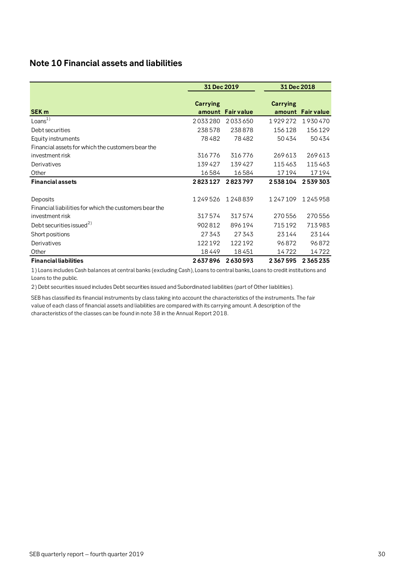# <span id="page-29-0"></span>**Note 10 Financial assets and liabilities**

|                                                        | 31 Dec 2019               |                   | 31 Dec 2018               |                   |
|--------------------------------------------------------|---------------------------|-------------------|---------------------------|-------------------|
| <b>SEK m</b>                                           | <b>Carrying</b><br>amount | <b>Fair value</b> | <b>Carrying</b><br>amount | <b>Fair value</b> |
| Loans $1)$                                             | 2033280                   | 2033650           | 1929272                   | 1930470           |
| Debt securities                                        | 238578                    | 238878            | 156128                    | 156129            |
| Equity instruments                                     | 78482                     | 78482             | 50434                     | 50434             |
| Financial assets for which the customers bear the      |                           |                   |                           |                   |
| investment risk                                        | 316776                    | 316776            | 269613                    | 269613            |
| Derivatives                                            | 139427                    | 139427            | 115463                    | 115463            |
| Other                                                  | 16584                     | 16584             | 17194                     | 17194             |
| <b>Financial assets</b>                                | 2823127                   | 2823797           | 2538104                   | 2539303           |
|                                                        |                           |                   |                           |                   |
| Deposits                                               | 1249526                   | 1248839           | 1247109                   | 1245958           |
| Financial liabilities for which the customers bear the |                           |                   |                           |                   |
| investment risk                                        | 317574                    | 317574            | 270556                    | 270556            |
| Debt securities issued <sup>2)</sup>                   | 902812                    | 896194            | 715192                    | 713983            |
| Short positions                                        | 27343                     | 27343             | 23144                     | 23144             |
| Derivatives                                            | 122192                    | 122192            | 96872                     | 96872             |
| Other                                                  | 18449                     | 18451             | 14722                     | 14722             |
| <b>Financial liabilities</b>                           | 2637896                   | 2630593           | 2367595                   | 2365235           |

1) Loans includes Cash balances at central banks (excluding Cash), Loans to central banks, Loans to credit institutions and Loans to the public.

2) Debt securities issued includes Debt securities issued and Subordinated liabilities (part of Other liablitiies).

SEB has classified its financial instruments by class taking into account the characteristics of the instruments. The fair value of each class of financial assets and liabilities are compared with its carrying amount. A description of the characteristics of the classes can be found in note 38 in the Annual Report 2018.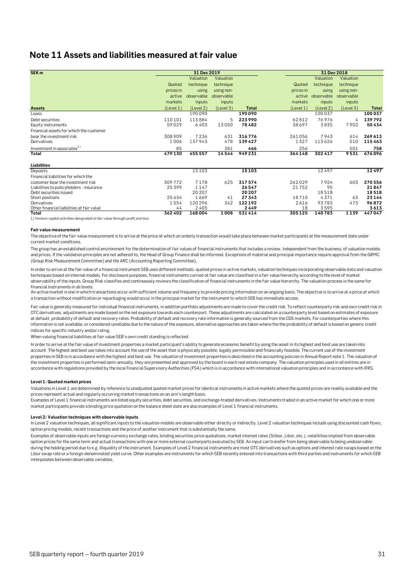## <span id="page-30-0"></span>**Note 11 Assets and liabilities measured at fair value**

| SEK <sub>m</sub>                          |           | 31 Dec 2019 |            |              |           |            | 31 Dec 2018 |              |
|-------------------------------------------|-----------|-------------|------------|--------------|-----------|------------|-------------|--------------|
|                                           |           | Valuation   | Valuation  |              |           | Valuation  | Valuation   |              |
|                                           | Quoted    | technique   | technique  |              | Quoted    | technique  | technique   |              |
|                                           | prices in | using       | using non- |              | prices in | using      | using non-  |              |
|                                           | active    | observable  | observable |              | active    | observable | observable  |              |
|                                           | markets   | inputs      | inputs     |              | markets   | inputs     | inputs      |              |
| <b>Assets</b>                             | (Level 1) | (Level 2)   | (Level 3)  | <b>Total</b> | (Level 1) | (Level 2)  | (Level 3)   | <b>Total</b> |
| Loans                                     |           | 190090      |            | 190090       |           | 100037     |             | 100037       |
| Debt securities                           | 110101    | 113884      | 5          | 223990       | 62812     | 76976      | 4           | 139792       |
| Equity instruments                        | 59029     | 6403        | 13050      | 78482        | 38697     | 3835       | 7902        | 50434        |
| Financial assets for which the customer   |           |             |            |              |           |            |             |              |
| bear the investment risk                  | 308909    | 7236        | 631        | 316776       | 261056    | 7943       | 614         | 269 613      |
| Derivatives                               | 1006      | 137943      | 478        | 139427       | 1327      | 113626     | 510         | 115463       |
| Investment in associates <sup>1)</sup>    | 85        |             | 381        | 466          | 256       |            | 501         | 758          |
| Total                                     | 479130    | 455557      | 14544      | 949231       | 364148    | 302417     | 9531        | 676096       |
| Liabilities                               |           |             |            |              |           |            |             |              |
| <b>Deposits</b>                           |           | 15103       |            | 15103        |           | 12497      |             | 12497        |
| Financial liabilities for which the       |           |             |            |              |           |            |             |              |
| customer bear the investment risk         | 309772    | 7178        | 625        | 317574       | 262029    | 7924       | 603         | 270 556      |
| Liabilities to policyholders - insurance  | 25399     | 1147        |            | 26547        | 21752     | 95         |             | 21847        |
| Debt securities issued                    |           | 20207       |            | 20207        |           | 18518      |             | 18518        |
| Short positions                           | 25634     | 1669        | 41         | 27343        | 18710     | 4371       | 63          | 23 144       |
| Derivatives                               | 1554      | 120296      | 342        | 122192       | 2616      | 93783      | 473         | 96872        |
| Other financial liabilities at fair value | 44        | 2405        |            | 2449         | 18        | 3595       |             | 3613         |
| <b>Total</b>                              | 362402    | 168004      | 1008       | 531414       | 305125    | 140783     | 1139        | 447047       |

1) Venture capital activities designated at fair value through profit and loss.

#### **Fair value measurement**

The objective of the fair value measurement is to arrive at the price at which an orderly transaction would take place between market participants at the measurement date under current market conditions.

The group has an established control environment for the determination of fair values of financial instruments that includes a review, independent from the business, of valuation models and prices. If the validation principles are not adhered to, the Head of Group Finance shall be informed. Exceptions of material and principal importance require approval from the GRMC (Group Risk Measurement Committee) and the ARC (Accounting Reporting Committee).

In order to arrive at the fair value of a financial instrument SEB uses different methods; quoted prices in active markets, valuation techniques incorporating observable data and valuation techniques based on internal models. For disclosure purposes, financial instruments carried at fair value are classified in a fair value hierarchy according to the level of market observability of the inputs. Group Risk classifies and continuously reviews the classification of financial instruments in the fair value hierarchy. The valuation process is the same for financial instruments in all levels.

An active market is one in which transactions occur with sufficient volume and frequency to provide pricing information on an ongoing basis. The objective is to arrive at a price at which a transaction without modification or repackaging would occur in the principal market for the instrument to which SEB has immediate access.

Fair value is generally measured for individual financial instruments, in addition portfolio adjustments are made to cover the credit risk. To reflect counterparty risk and own credit risk in OTC derivatives, adjustments are made based on the net exposure towards each counterpart. These adjustments are calculated on a counterparty level based on estimates of exposure at default, probability of default and recovery rates. Probability of default and recovery rate information is generally sourced from the CDS markets. For counterparties where this information is not available, or considered unreliable due to the nature of the exposure, alternative approaches are taken where the the probability of default is based on generic credit indices for specific industry and/or rating.

When valuing financial liabilities at fair value SEB's own credit standing is reflected.

In order to arrive at the fair value of investment properties a market participant's ability to generate economic benefit by using the asset in its highest and best use are taken into account. The highest and best use takes into account the use of the asset that is physically possible, legally permissible and financially feasible. The current use of the investment properties in SEB is in accordance with the highest and best use. The valuation of investment properties is described in the accounting policies in Annual Report note 1. The valuation of the investment properties is performed semi-annually, they are presented and approved by the board in each real estate company. The valuation principles used in all entities are in accordance with regulations provided by the local Financial Supervisory Authorities (FSA) which is in accordance with international valuation principles and in accordance with IFRS.

#### **Level 1: Quoted market prices**

Valuations in Level 1 are determined by reference to unadjusted quoted market prices for identical instruments in active markets where the quoted prices are readily available and the prices represent actual and regularly occurring market transactions on an arm's length basis.

Examples of Level 1 financial instruments are listed equity securities, debt securities, and exchange-traded derivatives. Instruments traded in an active market for which one or more market participants provide a binding price quotation on the balance sheet date are also examples of Level 1 financial instruments.

#### **Level 2: Valuation techniques with observable inputs**

In Level 2 valuation techniques, all significant inputs to the valuation models are observable either directly or indirectly. Level 2 valuation techniques include using discounted cash flows, option pricing models, recent transactions and the price of another instrument that is substantially the same.

Examples of observable inputs are foreign currency exchange rates, binding securities price quotations, market interest rates (Stibor, Libor, etc.), volatilities implied from observable option prices for the same term and actual transactions with one or more external counterparts executed by SEB. An input can transfer from being observable to being unobservable during the holding period due to e.g. illiquidity of the instrument. Examples of Level 2 financial instruments are most OTC derivatives such as options and interest rate swaps based on the Libor swap rate or a foreign-denominated yield curve. Other examples are instruments for which SEB recently entered into transactions with third parties and instruments for which SEB interpolates between observable variables.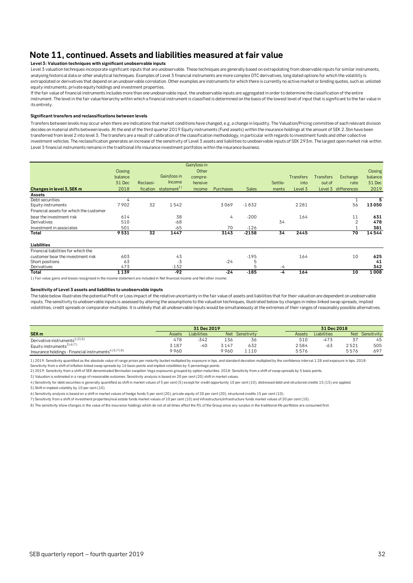# **Note 11, continued. Assets and liabilities measured at fair value**

#### **Level 3: Valuation techniques with significant unobservable inputs**

Level 3 valuation techniques incorporate significant inputs that are unobservable. These techniques are generally based on extrapolating from observable inputs for similar instruments, analysing historical data or other analytical techniques. Examples of Level 3 financial instruments are more complex OTC derivatives, long dated options for which the volatility is extrapolated or derivatives that depend on an unobservable correlation. Other examples are instruments for which there is currently no active market or binding quotes, such as unlisted equity instruments, private equity holdings and investment properties.

If the fair value of financial instruments includes more than one unobservable input, the unobservable inputs are aggregated in order to determine the classification of the entire instrument. The level in the fair value hierarchy within which a financial instrument is classified is determined on the basis of the lowest level of input that is significant to the fair value in its entirety.

#### **Significant transfers and reclassifications between levels**

Transfers between levels may occur when there are indications that market conditions have changed, e.g. a change in liquidity. The Valuation/Pricing committee of each relevant division decides on material shifts between levels. At the end of the third quarter 2019 Equity instruments (Fund assets) within the insurance holdings at the amount of SEK 2.3bn have been transferred from level 2 into level 3. The transfers are a result of calibration of the classification methodology, in particular with regards to investment funds and other collective investment vehicles. The reclassification generates an increase of the sensitivity of Level 3 assets and liabilities to unobservable inputs of SEK 293m. The largest open market risk within Level 3 financial instruments remains in the traditional life insurance investment portfolios within the insurance business.

|                                         |                |           |                         | Gain/loss in |                  |              |         |                  |                  |             |                |
|-----------------------------------------|----------------|-----------|-------------------------|--------------|------------------|--------------|---------|------------------|------------------|-------------|----------------|
|                                         | <b>Closing</b> |           |                         | Other        |                  |              |         |                  |                  |             | <b>Closing</b> |
|                                         | balance        |           | Gain/loss in            | compre-      |                  |              |         | <b>Transfers</b> | <b>Transfers</b> | Exchange    | balance        |
|                                         | 31 Dec         | Reclassi- | Income                  | hensive      |                  |              | Settle- | into             | out of           | rate        | 31 Dec         |
| Changes in level 3, SEK m               | 2018           | fication  | statement <sup>1)</sup> | income       | <b>Purchases</b> | <b>Sales</b> | ments   | Level 3          | Level 3          | differences | 2019           |
| Assets                                  |                |           |                         |              |                  |              |         |                  |                  |             |                |
| Debt securities                         | 4              |           |                         |              |                  |              |         |                  |                  |             |                |
| Equity instruments                      | 7902           | 32        | 1542                    |              | 3069             | $-1832$      |         | 2281             |                  | 56          | 13050          |
| Financial assets for which the customer |                |           |                         |              |                  |              |         |                  |                  |             |                |
| bear the investment risk                | 614            |           | 38                      |              | 4                | $-200$       |         | 164              |                  | 11          | 631            |
| Derivatives                             | 510            |           | $-68$                   |              |                  |              | 34      |                  |                  | 2           | 478            |
| Investment in associates                | 501            |           | $-65$                   |              | 70               | $-126$       |         |                  |                  |             | 381            |
| Total                                   | 9531           | 32        | 1447                    |              | 3143             | $-2158$      | 34      | 2445             |                  | 70          | 14544          |
| Liabilities                             |                |           |                         |              |                  |              |         |                  |                  |             |                |
| Financial liabilities for which the     |                |           |                         |              |                  |              |         |                  |                  |             |                |
| customer bear the investment risk       | 603            |           | 43                      |              |                  | $-195$       |         | 164              |                  | 10          | 625            |
| Short positions                         | 63             |           | $-3$                    |              | $-24$            | 5            |         |                  |                  |             | 41             |
| Derivatives                             | 473            |           | $-132$                  |              |                  | 5            | -4      |                  |                  |             | 342            |
| Total                                   | 1139           |           | $-92$                   |              | $-24$            | $-185$       | -4      | 164              |                  | 10          | 1008           |

1) Fair value gains and losses recognised in the income statement are included in Net financial income and Net other income.

#### **Sensitivity of Level 3 assets and liabilities to unobservable inputs**

The table below illustrates the potential Profit or Loss impact of the relative uncertainty in the fair value of assets and liabilities that for their valuation are dependent on unobservable inputs. The sensitivity to unobservable inputs is assessed by altering the assumptions to the valuation techniques, illustrated below by changes in index-linked swap spreads, implied volatilities, credit spreads or comparator multiples. It is unlikely that all unobservable inputs would be simultaneously at the extremes of their ranges of reasonably possible alternatives.

|                                                                               |        | 31 Dec 2019 |            |             |               |             | 31 Dec 2018 |             |
|-------------------------------------------------------------------------------|--------|-------------|------------|-------------|---------------|-------------|-------------|-------------|
| SEK <sub>m</sub>                                                              | Assets | Liabilities | <b>Net</b> | Sensitivity | <b>Assets</b> | Liabilities | <b>Net</b>  | Sensitivity |
| Derivative instruments <sup>1)2)5)</sup>                                      | 478    | 342         | 136        | 56          | 510           | $-473$      |             | 45          |
| Equity instruments <sup>3)6)7)</sup>                                          | 3187   | -40         | 3147       | 632         | 2584          | $-63$       | 2521        | 505         |
| Insurance holdings - Financial instruments <sup>4) 5</sup> 17) <sup>8</sup> ) | 9960   |             | 9960       | 1110        | 5576          |             | 5576        | 697         |

1) 2019: Sensitivity quantified as the absolute value of range prices per maturity bucket multiplied by exposure in bps, and standard deviation multiplied by the confidence interval 1.28 and exposure in bps. 2018: Sensitivity from a shift of inflation linked swap spreads by 16 basis points and implied volatilities by 5 percentage points.

2) 2019: Sensitivity from a shift of SEK denominated Bermudan swaption Vega exposures grouped by option maturities. 2018: Sensitivity from a shift of swap spreads by 5 basis points.

3) Valuation is estimated in a range of reasonable outcomes. Sensitivity analysis is based on 20 per cent (20) shift in market values.

4) Sensitivity for debt securities is generally quantified as shift in market values of 5 per cent (5) except for credit opportunity 10 per cent (10), distressed debt and structured credits 15 (15) are applied.

5) Shift in implied volatility by 10 per cent (10).

6) Sensitivity analysis is based on a shift in market values of hedge funds 5 per cent (20), private equity of 20 per cent (20), structured credits 15 per cent (10).

8) The sensitivity show changes in the value of the insurance holdings which do not at all times affect the P/L of the Group since any surplus in the traditional life portfolios are consumed first. 7) Sensitivity from a shift of investment properties/real estate funds market values of 10 per cent (10) and infrastructure/infrastructure funds market values of 20 per cent (10).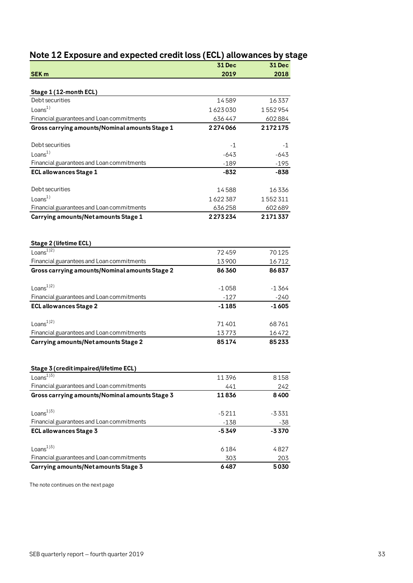<span id="page-32-0"></span>

| Note 12 Exposure and expected credit loss (ECL) allowances by stage |  |
|---------------------------------------------------------------------|--|
|---------------------------------------------------------------------|--|

|                                                          | 31 Dec         | <b>31 Dec</b>  |
|----------------------------------------------------------|----------------|----------------|
| <b>SEK m</b>                                             | 2019           | 2018           |
| Stage 1 (12-month ECL)                                   |                |                |
| Debt securities                                          | 14589          | 16337          |
| Loans <sup>1</sup>                                       | 1623030        | 1552954        |
| Financial guarantees and Loan commitments                | 636447         | 602884         |
| Gross carrying amounts/Nominal amounts Stage 1           | 2274066        | 2172175        |
| Debt securities                                          | -1             | $-1$           |
| Loans $1)$                                               | $-643$         | $-643$         |
| Financial guarantees and Loan commitments                | $-189$         | $-195$         |
| <b>ECL allowances Stage 1</b>                            | -832           | -838           |
| Debt securities                                          | 14588          | 16336          |
| Loans $1)$                                               | 1622387        | 1552311        |
| Financial guarantees and Loan commitments                | 636258         | 602689         |
| Carrying amounts/Net amounts Stage 1                     | 2273234        | 2171337        |
|                                                          |                |                |
| Stage 2 (lifetime ECL)<br>Loans $^{1/2)}$                |                |                |
| Financial guarantees and Loan commitments                | 72459          | 70125          |
| Gross carrying amounts/Nominal amounts Stage 2           | 13900<br>86360 | 16712<br>86837 |
|                                                          |                |                |
| Loans $^{1/2)}$                                          | $-1058$        | $-1364$        |
| Financial guarantees and Loan commitments                | $-127$         | -240           |
| <b>ECL allowances Stage 2</b>                            | $-1185$        | $-1605$        |
| Loans <sup>1)2)</sup>                                    | 71401          | 68761          |
| Financial guarantees and Loan commitments                | 13773          | 16472          |
| Carrying amounts/Net amounts Stage 2                     | 85174          | 85233          |
|                                                          |                |                |
| Stage 3 (credit impaired/lifetime ECL)<br>Loans $^{1)3}$ | 11396          | 8158           |
| Financial guarantees and Loan commitments                | 441            | 242            |
| Gross carrying amounts/Nominal amounts Stage 3           | 11836          | 8400           |
| Loans <sup>13)</sup>                                     | $-5211$        | $-3331$        |
| Financial guarantees and Loan commitments                | $-138$         | -38            |
| <b>ECL allowances Stage 3</b>                            | $-5349$        | -3370          |
| Loans <sup>133</sup>                                     | 6184           | 4827           |
| Financial guarantees and Loan commitments                | 303            | 203            |
| Carrying amounts/Net amounts Stage 3                     | 6487           | 5030           |

The note continues on the next page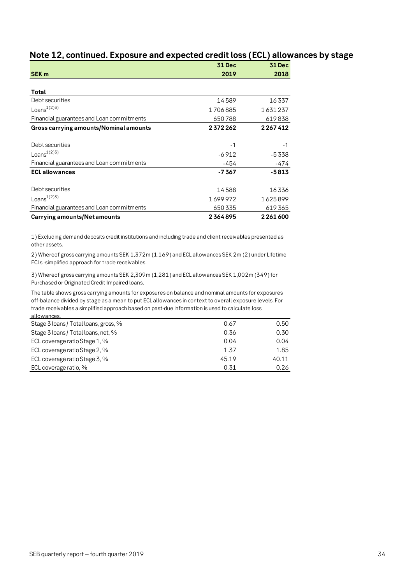# **Note 12, continued. Exposure and expected credit loss (ECL) allowances by stage**

|                                           | <b>31 Dec</b> | <b>31 Dec</b> |
|-------------------------------------------|---------------|---------------|
| SEK <sub>m</sub>                          | 2019          | 2018          |
|                                           |               |               |
| Total                                     |               |               |
| Debt securities                           | 14589         | 16337         |
| Loans <sup>1)2)3)</sup>                   | 1706885       | 1631237       |
| Financial guarantees and Loan commitments | 650788        | 619838        |
| Gross carrying amounts/Nominal amounts    | 2372262       | 2267412       |
|                                           |               |               |
| Debt securities                           | $-1$          | $-1$          |
| Loans <sup>1</sup> (2)3)                  | $-6912$       | $-5338$       |
| Financial guarantees and Loan commitments | -454          | -474          |
| <b>ECL allowances</b>                     | $-7367$       | $-5813$       |
|                                           |               |               |
| Debt securities                           | 14588         | 16336         |
| Loans <sup>1)2)3)</sup>                   | 1699972       | 1625899       |
| Financial guarantees and Loan commitments | 650335        | 619365        |
| Carrying amounts/Net amounts              | 2364895       | 2 2 6 1 6 0 0 |

1) Excluding demand deposits credit institutions and including trade and client receivables presented as other assets.

2) Whereof gross carrying amounts SEK 1,372m (1,169) and ECL allowances SEK 2m (2) under Lifetime ECLs -simplified approach for trade receivables.

3) Whereof gross carrying amounts SEK 2,309m (1,281) and ECL allowances SEK 1,002m (349) for Purchased or Originated Credit Impaired loans.

The table shows gross carrying amounts for exposures on balance and nominal amounts for exposures off-balance divided by stage as a mean to put ECL allowances in context to overall exposure levels. For trade receivables a simplified approach based on past-due information is used to calculate loss allowances.

| Stage 3 loans / Total loans, gross, % | 0.67  | 0.50  |
|---------------------------------------|-------|-------|
| Stage 3 loans / Total loans, net, %   | 0.36  | 0.30  |
| ECL coverage ratio Stage 1, %         | 0.04  | 0.04  |
| ECL coverage ratio Stage 2, %         | 1.37  | 1.85  |
| ECL coverage ratio Stage 3, %         | 45.19 | 40.11 |
| ECL coverage ratio, %                 | 0.31  | 0.26  |
|                                       |       |       |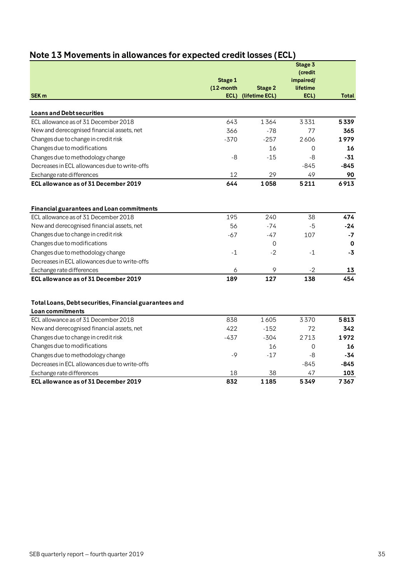|                                                                                                                                 | Stage 1<br>$(12$ -month | <b>Stage 2</b> | Stage 3<br>(credit<br>impaired/<br>lifetime |              |
|---------------------------------------------------------------------------------------------------------------------------------|-------------------------|----------------|---------------------------------------------|--------------|
| <b>SEK m</b>                                                                                                                    | ECL)                    | (lifetime ECL) | ECL)                                        | <b>Total</b> |
| <b>Loans and Debt securities</b>                                                                                                |                         |                |                                             |              |
| ECL allowance as of 31 December 2018                                                                                            | 643                     | 1364           | 3331                                        | 5339         |
| New and derecognised financial assets, net                                                                                      | 366                     | $-78$          | 77                                          | 365          |
| Changes due to change in credit risk                                                                                            | $-370$                  | $-257$         | 2606                                        | 1979         |
| Changes due to modifications                                                                                                    |                         | 16             | $\Omega$                                    | 16           |
| Changes due to methodology change                                                                                               | $-8$                    | $-15$          | $-8$                                        | $-31$        |
| Decreases in ECL allowances due to write-offs                                                                                   |                         |                | $-845$                                      | $-845$       |
| Exchange rate differences                                                                                                       | 12                      | 29             | 49                                          | 90           |
| ECL allowance as of 31 December 2019                                                                                            | 644                     | 1058           | 5211                                        | 6913         |
| Financial guarantees and Loan commitments<br>ECL allowance as of 31 December 2018<br>New and derecognised financial assets, net | 195<br>56               | 240<br>$-74$   | 38<br>$-5$                                  | 474<br>$-24$ |
| Changes due to change in credit risk                                                                                            | $-67$                   | $-47$          | 107                                         | $-7$         |
| Changes due to modifications                                                                                                    |                         | 0              |                                             | 0            |
| Changes due to methodology change                                                                                               | $-1$                    | $-2$           | $-1$                                        | $-3$         |
| Decreases in ECL allowances due to write-offs                                                                                   |                         |                |                                             |              |
| Exchange rate differences                                                                                                       | 6<br>189                | 9<br>127       | $-2$<br>138                                 | 13<br>454    |
| ECL allowance as of 31 December 2019<br>Total Loans, Debt securities, Financial guarantees and<br>Loan commitments              |                         |                |                                             |              |
| ECL allowance as of 31 December 2018                                                                                            | 838                     | 1605           | 3370                                        | 5813         |
| New and derecognised financial assets, net                                                                                      | 422                     | $-152$         | 72                                          | 342          |
| Changes due to change in credit risk                                                                                            | $-437$                  | $-304$         | 2713                                        | 1972         |
| Changes due to modifications                                                                                                    |                         | 16             | $\mathsf{O}\xspace$                         | 16           |
| Changes due to methodology change                                                                                               | $-9$                    | $-17$          | -8                                          | -34          |
| Decreases in ECL allowances due to write-offs                                                                                   |                         |                | $-845$                                      | -845         |
| Exchange rate differences                                                                                                       | 18                      | 38             | 47                                          | 103          |
| ECL allowance as of 31 December 2019                                                                                            | 832                     | 1185           | 5349                                        | 7367         |

# <span id="page-34-0"></span>**Note 13 Movements in allowances for expected credit losses (ECL)**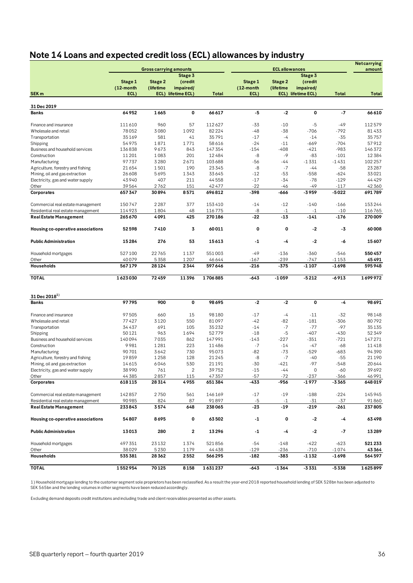# <span id="page-35-0"></span>**Note 14 Loans and expected credit loss (ECL) allowances by industry**

|                                    |                      |                               |                      |                  | <b>ECL allowances</b> |                      |                      |                    | <b>Netcarrying</b> |  |
|------------------------------------|----------------------|-------------------------------|----------------------|------------------|-----------------------|----------------------|----------------------|--------------------|--------------------|--|
|                                    |                      | <b>Gross carrying amounts</b> | Stage 3              |                  |                       |                      | Stage 3              |                    | amount             |  |
|                                    | Stage 1<br>(12-month | Stage 2<br>(lifetime          | (credit<br>impaired/ |                  | Stage 1<br>(12-month  | Stage 2<br>(lifetime | (credit<br>impaired/ |                    |                    |  |
| SEK <sub>m</sub>                   | ECL)                 |                               | ECL) lifetime ECL)   | <b>Total</b>     | ECL)                  |                      | ECL) lifetime ECL)   | <b>Total</b>       | <b>Total</b>       |  |
|                                    |                      |                               |                      |                  |                       |                      |                      |                    |                    |  |
| 31 Dec 2019<br><b>Banks</b>        | 64952                | 1665                          | 0                    | 66617            | -5                    | $-2$                 | 0                    | $-7$               | 66 610             |  |
|                                    |                      |                               |                      |                  |                       |                      |                      |                    |                    |  |
| Finance and insurance              | 111610               | 960                           | 57                   | 112627           | $-33$                 | $-10$                | $-5$                 | $-49$              | 112579             |  |
| Wholesale and retail               | 78052                | 3080                          | 1092                 | 82224            | $-48$                 | $-38$                | $-706$               | $-792$             | 81433              |  |
| Transportation                     | 35169                | 581                           | 41                   | 35791            | $-17$                 | $-4$                 | $-14$                | $-35$              | 35757              |  |
| Shipping                           | 54975                | 1871                          | 1771                 | 58 616           | $-24$                 | $-11$                | $-669$               | $-704$             | 57912              |  |
| Business and household services    | 136838               | 9673                          | 843                  | 147 354          | $-154$                | $-408$               | $-421$               | $-983$             | 146372             |  |
| Construction                       | 11 201               | 1083                          | 201                  | 12484            | -8                    | $-9$                 | $-83$                | $-101$             | 12384              |  |
| Manufacturing                      | 97737                | 3280                          | 2671                 | 103688           | $-56$                 | $-44$                | $-1331$              | $-1431$            | 102 257            |  |
| Agriculture, forestry and fishing  | 21654                | 1501                          | 190                  | 23345            | $-8$                  | $-7$                 | $-44$                | $-58$              | 23 28 7            |  |
| Mining, oil and gas extraction     | 26608                | 5695                          | 1343                 | 33645            | $-12$                 | $-53$                | $-558$               | $-624$             | 33021              |  |
| Electricity, gas and water supply  | 43940                | 407                           | 211                  | 44558            | $-17$                 | $-34$                | $-78$                | $-129$             | 44429              |  |
| Other                              | 39564                | 2762                          | 151                  | 42477            | $-22$                 | -46                  | -49                  | $-117$             | 42 360             |  |
| Corporates                         | 657347               | 30894                         | 8571                 | 696812           | -398                  | -666                 | $-3959$              | $-5022$            | 691789             |  |
| Commercial real estate management  | 150747               | 2287                          | 377                  | 153410           | $-14$                 | $-12$                | $-140$               | $-166$             | 153244             |  |
| Residential real estate management | 114923               | 1804                          | 48                   | 116775           | -8                    | $-1$                 | $-1$                 | $-10$              | 116765             |  |
| <b>Real Estate Management</b>      | 265670               | 4091                          | 425                  | 270186           | $-22$                 | $-13$                | $-141$               | $-176$             | 270009             |  |
| Housing co-operative associations  | 52598                | 7410                          | 3                    | 60011            | 0                     | 0                    | $-2$                 | -3                 | 60008              |  |
| <b>Public Administration</b>       | 15284                | 276                           | 53                   | 15613            | -1                    | -4                   | $-2$                 | -6                 | 15607              |  |
|                                    |                      |                               |                      |                  |                       |                      |                      |                    |                    |  |
| Household mortgages                | 527100               | 22765                         | 1137                 | 551003           | $-49$                 | $-136$               | $-360$               | $-546$             | 550 457            |  |
| Other<br>Households                | 40079<br>567179      | 5358<br>28124                 | 1207<br>2344         | 46644<br>597646  | $-167$<br>$-216$      | $-239$<br>$-375$     | $-747$<br>$-1107$    | $-1153$<br>$-1698$ | 45491<br>595948    |  |
|                                    |                      |                               |                      |                  |                       |                      |                      |                    |                    |  |
| <b>TOTAL</b>                       | 1623030              | 72459                         | 11396                | 1706885          | $-643$                | $-1059$              | $-5212$              | $-6913$            | 1699972            |  |
| 31 Dec 2018 <sup>1)</sup>          |                      |                               |                      |                  |                       |                      |                      |                    |                    |  |
| <b>Banks</b>                       | 97795                | 900                           | 0                    | 98695            | $-2$                  | $-2$                 | 0                    | -4                 | 98691              |  |
| Finance and insurance              | 97505                | 660                           | 15                   | 98180            | $-17$                 | $-4$                 | $-11$                | $-32$              | 98148              |  |
| Wholesale and retail               | 77427                | 3120                          | 550                  | 81097            | $-42$                 | $-82$                | $-181$               | $-306$             | 80792              |  |
| Transportation                     | 34437                | 691                           | 105                  | 35232            | $-14$                 | $-7$                 | $-77$                | $-97$              | 35135              |  |
| Shipping                           | 50121                | 963                           | 1694                 | 52779            | $-18$                 | $-5$                 | $-407$               | $-430$             | 52349              |  |
| Business and household services    | 140094               | 7035                          | 862                  | 147991           | $-143$                | $-227$               | $-351$               | $-721$             | 147271             |  |
| Construction                       | 9981                 | 1281                          | 223                  | 11486            | $-7$                  | $-14$                | $-47$                | $-68$              | 11418              |  |
| Manufacturing                      | 90701                | 3642                          | 730                  | 95073            | $-82$                 | $-73$                | $-529$               | $-683$             | 94390              |  |
| Agriculture, forestry and fishing  | 19859                | 1258                          | 128                  | 21245            | -8                    | $-7$                 | $-40$                | $-55$              | 21 190             |  |
| Mining, oil and gas extraction     | 14615                | 6046                          | 530                  | 21 1 9 1         | $-30$                 | $-421$               | $-97$                | $-548$             | 20644              |  |
| Electricity, gas and water supply  | 38990                | 761                           | 2                    | 39752            | $-15$                 | -44                  | 0                    | $-60$              | 39692              |  |
| Other                              | 44385                | 2857                          | 115                  | 47357            | $-57$                 | $-72$                | $-237$               | $-366$             | 46991              |  |
| Corporates                         | 618115               | 28314                         | 4955                 | 651384           | $-433$                | -956                 | -1977                | $-3365$            | 648019             |  |
| Commercial real estate management  | 142857               | 2750                          | 561                  | 146169           | $-17$                 | $-19$                | $-188$               | $-224$             | 145945             |  |
| Residential real estate management | 90985                | 824                           | 87                   | 91897            | $-5$                  | $-1$                 | $-31$                | $-37$              | 91860              |  |
| <b>Real Estate Management</b>      | 233843               | 3574                          | 648                  | 238065           | $-23$                 | -19                  | $-219$               | $-261$             | 237805             |  |
| Housing co-operative associations  | 54807                | 8695                          | 0                    | 63502            | $-1$                  | 0                    | $-2$                 | -4                 | 63498              |  |
| <b>Public Administration</b>       | 13013                | 280                           | 2                    | 13296            | $-1$                  | -4                   | $-2$                 | -7                 | 13289              |  |
|                                    |                      |                               |                      |                  |                       |                      |                      |                    |                    |  |
| Household mortgages                | 497 351              | 23132                         | 1374                 | 521856           | $-54$                 | $-148$               | $-422$               | $-623$             | 521233             |  |
| Other<br>Households                | 38029<br>535381      | 5230<br>28362                 | 1179<br>2552         | 44438<br>566 295 | $-129$<br>$-182$      | $-236$<br>-383       | $-710$<br>-1 132     | $-1074$<br>$-1698$ | 43364<br>564 597   |  |
|                                    |                      |                               |                      |                  |                       |                      |                      |                    |                    |  |
| <b>TOTAL</b>                       | 1552954              | 70125                         | 8158                 | 1631237          | $-643$                | $-1364$              | $-3331$              | $-5338$            | 1625899            |  |

1) Household mortgage lending to the customer segment sole proprietors has been reclassified. As a result the year-end 2018 reported household lending of SEK 528bn has been adjusted to SEK 565bn and the lending volumes in other segments have been reduced accordingly.

Excluding demand deposits credit institutions and including trade and client receivables presented as other assets.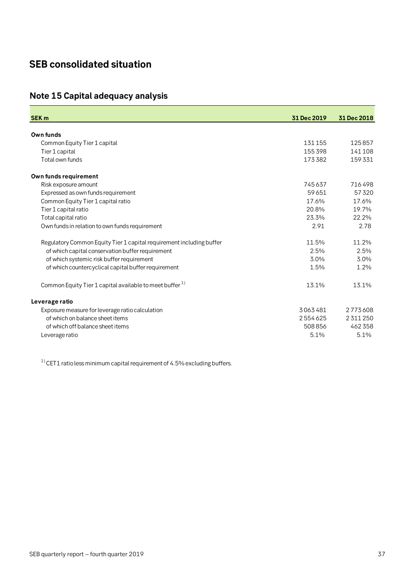# <span id="page-36-0"></span>**SEB consolidated situation**

# <span id="page-36-1"></span>**Note 15 Capital adequacy analysis**

| <b>SEK m</b>                                                         | 31 Dec 2019 | 31 Dec 2018 |
|----------------------------------------------------------------------|-------------|-------------|
|                                                                      |             |             |
| Own funds                                                            |             |             |
| Common Equity Tier 1 capital                                         | 131155      | 125857      |
| Tier 1 capital                                                       | 155398      | 141108      |
| Total own funds                                                      | 173382      | 159331      |
| Own funds requirement                                                |             |             |
| Risk exposure amount                                                 | 745637      | 716498      |
| Expressed as own funds requirement                                   | 59651       | 57320       |
| Common Equity Tier 1 capital ratio                                   | 17.6%       | 17.6%       |
| Tier 1 capital ratio                                                 | 20.8%       | 19.7%       |
| Total capital ratio                                                  | 23.3%       | 22.2%       |
| Own funds in relation to own funds requirement                       | 2.91        | 2.78        |
| Regulatory Common Equity Tier 1 capital requirement including buffer | 11.5%       | 11.2%       |
| of which capital conservation buffer requirement                     | 2.5%        | 2.5%        |
| of which systemic risk buffer requirement                            | 3.0%        | 3.0%        |
| of which countercyclical capital buffer requirement                  | 1.5%        | 1.2%        |
| Common Equity Tier 1 capital available to meet buffer <sup>1)</sup>  | 13.1%       | 13.1%       |
| Leverage ratio                                                       |             |             |
| Exposure measure for leverage ratio calculation                      | 3063481     | 2773608     |
| of which on balance sheet items                                      | 2554625     | 2311250     |
| of which off balance sheet items                                     | 508856      | 462 358     |
| Leverage ratio                                                       | 5.1%        | 5.1%        |
|                                                                      |             |             |

 $1)$  CET1 ratio less minimum capital requirement of 4.5% excluding buffers.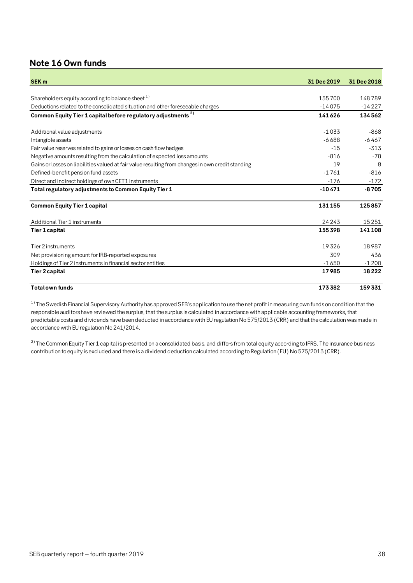# <span id="page-37-0"></span>**Note 16 Own funds**

| <b>SEK m</b>                                                                                      | 31 Dec 2019 | 31 Dec 2018 |
|---------------------------------------------------------------------------------------------------|-------------|-------------|
|                                                                                                   |             |             |
| Shareholders equity according to balance sheet <sup>1)</sup>                                      | 155700      | 148789      |
| Deductions related to the consolidated situation and other foreseeable charges                    | $-14075$    | $-14227$    |
| Common Equity Tier 1 capital before regulatory adjustments <sup>2)</sup>                          | 141626      | 134562      |
| Additional value adjustments                                                                      | $-1033$     | $-868$      |
| Intangible assets                                                                                 | $-6688$     | $-6467$     |
| Fair value reserves related to gains or losses on cash flow hedges                                | $-15$       | $-313$      |
| Negative amounts resulting from the calculation of expected loss amounts                          | $-816$      | $-78$       |
| Gains or losses on liabilities valued at fair value resulting from changes in own credit standing | 19          | 8           |
| Defined-benefit pension fund assets                                                               | $-1761$     | $-816$      |
| Direct and indirect holdings of own CET1 instruments                                              | $-176$      | $-172$      |
| Total regulatory adjustments to Common Equity Tier 1                                              | $-10471$    | $-8705$     |
| <b>Common Equity Tier 1 capital</b>                                                               | 131155      | 125857      |
| Additional Tier 1 instruments                                                                     | 24243       | 15251       |
| Tier 1 capital                                                                                    | 155398      | 141108      |
| Tier 2 instruments                                                                                | 19326       | 18987       |
| Net provisioning amount for IRB-reported exposures                                                | 309         | 436         |
| Holdings of Tier 2 instruments in financial sector entities                                       | $-1650$     | $-1200$     |
| <b>Tier 2 capital</b>                                                                             | 17985       | 18222       |
| <b>Total own funds</b>                                                                            | 173382      | 159 331     |

 $1)$  The Swedish Financial Supervisory Authority has approved SEB's application to use the net profit in measuring own funds on condition that the responsible auditors have reviewed the surplus, that the surplus is calculated in accordance with applicable accounting frameworks, that predictable costs and dividends have been deducted in accordance with EU regulation No 575/2013 (CRR) and that the calculation was made in accordance with EU regulation No 241/2014.

 $^{2)}$  The Common Equity Tier 1 capital is presented on a consolidated basis, and differs from total equity according to IFRS. The insurance business contribution to equity is excluded and there is a dividend deduction calculated according to Regulation (EU) No 575/2013 (CRR).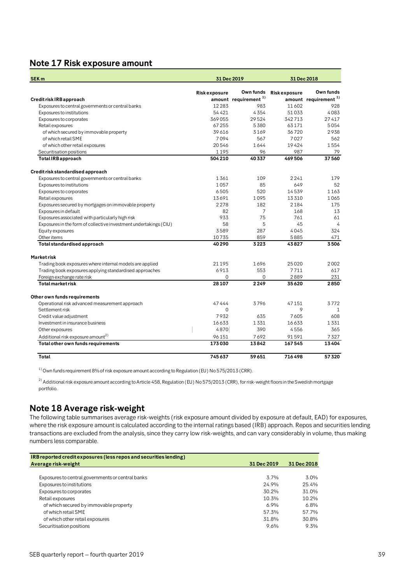### <span id="page-38-0"></span>**Note 17 Risk exposure amount**

| SEK <sub>m</sub>                                                  |                     | 31 Dec 2019                      | 31 Dec 2018         |                                  |  |
|-------------------------------------------------------------------|---------------------|----------------------------------|---------------------|----------------------------------|--|
|                                                                   | <b>Riskexposure</b> | Own funds                        | <b>Riskexposure</b> | Own funds                        |  |
| Credit risk IRB approach                                          |                     | amount requirement <sup>1)</sup> |                     | amount requirement <sup>1)</sup> |  |
| Exposures to central governments or central banks                 | 12283               | 983                              | 11602               | 928                              |  |
| Exposures to institutions                                         | 54 421              | 4354                             | 51033               | 4083                             |  |
| Exposures to corporates                                           | 369055              | 29524                            | 342713              | 27417                            |  |
| Retail exposures                                                  | 67255               | 5380                             | 63171               | 5054                             |  |
| of which secured by immovable property                            | 39616               | 3169                             | 36720               | 2938                             |  |
| of which retail SME                                               | 7094                | 567                              | 7027                | 562                              |  |
| of which other retail exposures                                   | 20546               | 1644                             | 19424               | 1554                             |  |
| Securitisation positions                                          | 1195                | 96                               | 987                 | 79                               |  |
| <b>Total IRB approach</b>                                         | 504 210             | 40337                            | 469506              | 37560                            |  |
| Credit risk standardised approach                                 |                     |                                  |                     |                                  |  |
| Exposures to central governments or central banks                 | 1361                | 109                              | 2241                | 179                              |  |
| Exposures to institutions                                         | 1057                | 85                               | 649                 | 52                               |  |
| Exposures to corporates                                           | 6505                | 520                              | 14539               | 1163                             |  |
| Retail exposures                                                  | 13691               | 1095                             | 13310               | 1065                             |  |
| Exposures secured by mortgages on immovable property              | 2278                | 182                              | 2184                | 175                              |  |
| Exposures in default                                              | 82                  | 7                                | 168                 | 13                               |  |
| Exposures associated with particularly high risk                  | 933                 | 75                               | 761                 | 61                               |  |
| Exposures in the form of collective investment undertakings (CIU) | 58                  | 5                                | 45                  | $\overline{4}$                   |  |
| Equity exposures                                                  | 3589                | 287                              | 4045                | 324                              |  |
| Other items                                                       | 10735               | 859                              | 5885                | 471                              |  |
| Total standardised approach                                       | 40 290              | 3223                             | 43827               | 3506                             |  |
| Marketrisk                                                        |                     |                                  |                     |                                  |  |
| Trading book exposures where internal models are applied          | 21 1 9 5            | 1696                             | 25020               | 2002                             |  |
| Trading book exposures applying standardised approaches           | 6913                | 553                              | 7711                | 617                              |  |
| Foreign exchange rate risk                                        | 0                   | 0                                | 2889                | 231                              |  |
| <b>Total market risk</b>                                          | 28 107              | 2249                             | 35620               | 2850                             |  |
| Other own funds requirements                                      |                     |                                  |                     |                                  |  |
| Operational risk advanced measurement approach                    | 47444               | 3796                             | 47151               | 3772                             |  |
| Settlement risk                                                   | $\mathbf 0$         |                                  | 9                   | 1                                |  |
| Credit value adjustment                                           | 7932                | 635                              | 7605                | 608                              |  |
| Investment in insurance business                                  | 16633               | 1331                             | 16633               | 1331                             |  |
| Other exposures                                                   | 4870                | 390                              | 4556                | 365                              |  |
| Additional risk exposure amount <sup>2)</sup>                     | 96151               | 7692                             | 91591               | 7327                             |  |
| Total other own funds requirements                                | 173030              | 13842                            | 167545              | 13404                            |  |
| Total                                                             | 745637              | 59651                            | 716498              | 57320                            |  |

 $1)$  Own funds requirement 8% of risk exposure amount according to Regulation (EU) No 575/2013 (CRR).

 $^{2)}$  Additional risk exposure amount according to Article 458, Regulation (EU) No 575/2013 (CRR), for risk-weight floors in the Swedish mortgage portfolio.

# <span id="page-38-1"></span>**Note 18 Average risk-weight**

The following table summarises average risk-weights (risk exposure amount divided by exposure at default, EAD) for exposures, where the risk exposure amount is calculated according to the internal ratings based (IRB) approach. Repos and securities lending transactions are excluded from the analysis, since they carry low risk-weights, and can vary considerably in volume, thus making numbers less comparable.

| IRB reported credit exposures (less repos and securities lending) |             |             |
|-------------------------------------------------------------------|-------------|-------------|
| Average risk-weight                                               | 31 Dec 2019 | 31 Dec 2018 |
|                                                                   |             |             |
| Exposures to central governments or central banks                 | 3.7%        | 3.0%        |
| Exposures to institutions                                         | 24.9%       | 25.4%       |
| Exposures to corporates                                           | 30.2%       | 31.0%       |
| Retail exposures                                                  | 10.3%       | 10.2%       |
| of which secured by immovable property                            | 6.9%        | 6.8%        |
| of which retail SME                                               | 57.3%       | 57.7%       |
| of which other retail exposures                                   | 31.8%       | 30.8%       |
| Securitisation positions                                          | 9.6%        | 9.3%        |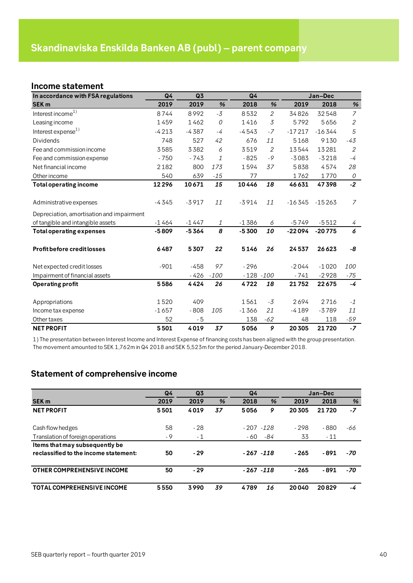### <span id="page-39-1"></span><span id="page-39-0"></span>**Income statement**

| In accordance with FSA regulations        | Q4      | Q3      |        | Q <sub>4</sub> |                |          | Jan-Dec  |                |
|-------------------------------------------|---------|---------|--------|----------------|----------------|----------|----------|----------------|
| <b>SEK m</b>                              | 2019    | 2019    | %      | 2018           | %              | 2019     | 2018     | %              |
| Interest income $^{1)}$                   | 8744    | 8992    | $-3$   | 8532           | $\overline{2}$ | 34826    | 32548    | $\overline{7}$ |
| Leasing income                            | 1459    | 1462    | 0      | 1416           | 3              | 5792     | 5656     | $\overline{2}$ |
| Interest expense <sup>1)</sup>            | $-4213$ | $-4387$ | $-4$   | $-4543$        | $-7$           | $-17217$ | $-16344$ | 5              |
| <b>Dividends</b>                          | 748     | 527     | 42     | 676            | 11             | 5168     | 9130     | $-43$          |
| Fee and commission income                 | 3585    | 3382    | 6      | 3519           | $\mathbf{2}$   | 13544    | 13281    | $\overline{2}$ |
| Fee and commission expense                | $-750$  | $-743$  | 1      | $-825$         | $-9$           | $-3083$  | $-3218$  | $-4$           |
| Net financial income                      | 2182    | 800     | 173    | 1594           | 37             | 5838     | 4574     | 28             |
| Other income                              | 540     | 639     | $-15$  | 77             |                | 1762     | 1770     | 0              |
| <b>Total operating income</b>             | 12296   | 10671   | 15     | 10446          | 18             | 46631    | 47398    | $-2$           |
|                                           |         |         |        |                |                |          |          |                |
| Administrative expenses                   | $-4345$ | $-3917$ | 11     | $-3914$        | 11             | $-16345$ | $-15263$ | $\overline{7}$ |
| Depreciation, amortisation and impairment |         |         |        |                |                |          |          |                |
| of tangible and intangible assets         | $-1464$ | $-1447$ | 1      | $-1386$        | 6              | $-5749$  | $-5512$  | 4              |
| <b>Total operating expenses</b>           | $-5809$ | $-5364$ | 8      | $-5300$        | 10             | $-22094$ | $-20775$ | 6              |
|                                           |         |         |        |                |                |          |          |                |
| <b>Profit before credit losses</b>        | 6487    | 5307    | 22     | 5146           | 26             | 24537    | 26623    | -8             |
|                                           |         |         |        |                |                |          |          |                |
| Net expected credit losses                | $-901$  | $-458$  | 97     | $-296$         |                | $-2044$  | $-1020$  | 100            |
| Impairment of financial assets            |         | $-426$  | $-100$ | $-128 - 100$   |                | $-741$   | $-2928$  | -75            |
| <b>Operating profit</b>                   | 5586    | 4424    | 26     | 4722           | 18             | 21752    | 22675    | $-4$           |
|                                           |         |         |        |                |                |          |          |                |
| Appropriations                            | 1520    | 409     |        | 1561           | -3             | 2694     | 2716     | $-1$           |
| Income tax expense                        | $-1657$ | $-808$  | 105    | $-1366$        | 21             | $-4189$  | $-3789$  | 11             |
| Other taxes                               | 52      | $-5$    |        | 138            | $-62$          | 48       | 118      | $-59$          |
| <b>NET PROFIT</b>                         | 5501    | 4019    | 37     | 5056           | 9              | 20 30 5  | 21720    | $-7$           |

1) The presentation between Interest Income and Interest Expense of financing costs has been aligned with the group presentation. The movement amounted to SEK 1,762m in Q4 2018 and SEK 5,523m for the period January-December 2018.

# <span id="page-39-2"></span>**Statement of comprehensive income**

|                                       | Q <sub>4</sub> | Q <sub>3</sub> |    | Q4           |     |         | Jan-Dec |      |
|---------------------------------------|----------------|----------------|----|--------------|-----|---------|---------|------|
| <b>SEK m</b>                          | 2019           | 2019           | %  | 2018         | %   | 2019    | 2018    | %    |
| <b>NET PROFIT</b>                     | 5501           | 4019           | 37 | 5056         | 9   | 20 30 5 | 21720   | $-7$ |
|                                       |                |                |    |              |     |         |         |      |
| Cash flow hedges                      | 58             | $-28$          |    | $-207 - 128$ |     | $-298$  | $-880$  | -66  |
| Translation of foreign operations     | - 9            | $-1$           |    | - 60         | -84 | 33      | $-11$   |      |
| Items that may subsequently be        |                |                |    |              |     |         |         |      |
| reclassified to the income statement: | 50             | $-29$          |    | $-267 - 118$ |     | $-265$  | - 891   | -70  |
| <b>OTHER COMPREHENSIVE INCOME</b>     | 50             | $-29$          |    | $-267 - 118$ |     | $-265$  | - 891   | -70  |
| <b>TOTAL COMPREHENSIVE INCOME</b>     | 5550           | 3990           | 39 | 4789         | 16  | 20040   | 20829   | -4   |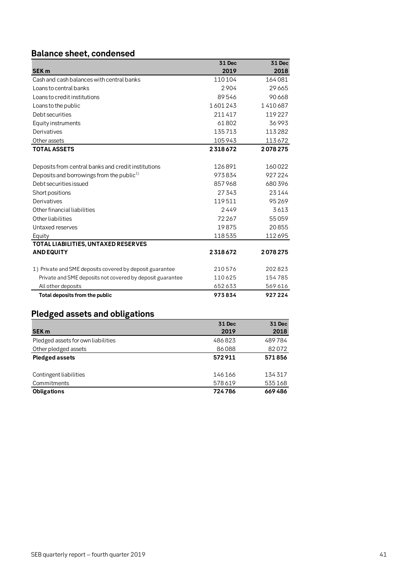# <span id="page-40-0"></span>**Balance sheet, condensed**

|                                                           | 31 Dec  | 31 Dec  |
|-----------------------------------------------------------|---------|---------|
| <b>SEK m</b>                                              | 2019    | 2018    |
| Cash and cash balances with central banks                 | 110104  | 164081  |
| Loans to central banks                                    | 2904    | 29665   |
| Loans to credit institutions                              | 89546   | 90668   |
| Loans to the public                                       | 1601243 | 1410687 |
| Debt securities                                           | 211417  | 119227  |
| Equity instruments                                        | 61802   | 36993   |
| Derivatives                                               | 135713  | 113282  |
| Other assets                                              | 105943  | 113672  |
| <b>TOTAL ASSETS</b>                                       | 2318672 | 2078275 |
|                                                           |         |         |
| Deposits from central banks and credit institutions       | 126891  | 160022  |
| Deposits and borrowings from the public <sup>1)</sup>     | 973834  | 927224  |
| Debt securities issued                                    | 857968  | 680396  |
| Short positions                                           | 27343   | 23144   |
| Derivatives                                               | 119511  | 95269   |
| Other financial liabilities                               | 2449    | 3613    |
| Other liabilities                                         | 72267   | 55059   |
| Untaxed reserves                                          | 19875   | 20855   |
| Equity                                                    | 118535  | 112695  |
| TOTAL LIABILITIES, UNTAXED RESERVES                       |         |         |
| <b>AND EQUITY</b>                                         | 2318672 | 2078275 |
|                                                           |         |         |
| 1) Private and SME deposits covered by deposit guarantee  | 210576  | 202823  |
| Private and SME deposits not covered by deposit guarantee | 110625  | 154785  |
| All other deposits                                        | 652633  | 569616  |
| Total deposits from the public                            | 973834  | 927224  |

# <span id="page-40-1"></span>**Pledged assets and obligations**

|                                    | 31 Dec | 31 Dec |
|------------------------------------|--------|--------|
| <b>SEK m</b>                       | 2019   | 2018   |
| Pledged assets for own liabilities | 486823 | 489784 |
| Other pledged assets               | 86088  | 82072  |
| <b>Pledged assets</b>              | 572911 | 571856 |
|                                    |        |        |
| Contingent liabilities             | 146166 | 134317 |
| Commitments                        | 578619 | 535168 |
| <b>Obligations</b>                 | 724786 | 669486 |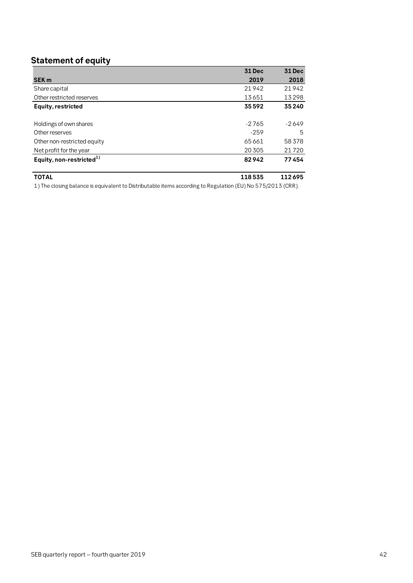# <span id="page-41-0"></span>**Statement of equity**

|                                | 31 Dec  | <b>31 Dec</b> |
|--------------------------------|---------|---------------|
| <b>SEK m</b>                   | 2019    | 2018          |
| Share capital                  | 21942   | 21942         |
| Other restricted reserves      | 13651   | 13298         |
| Equity, restricted             | 35592   | 35 240        |
|                                |         |               |
| Holdings of own shares         | $-2765$ | $-2649$       |
| Other reserves                 | $-259$  | 5             |
| Other non-restricted equity    | 65661   | 58378         |
| Net profit for the year        | 20 30 5 | 21720         |
| Equity, non-restricted $^{1)}$ | 82942   | 77454         |
|                                |         |               |

#### **TOTAL 118 535 112 695**

1) The closing balance is equivalent to Distributable items according to Regulation (EU) No 575/2013 (CRR).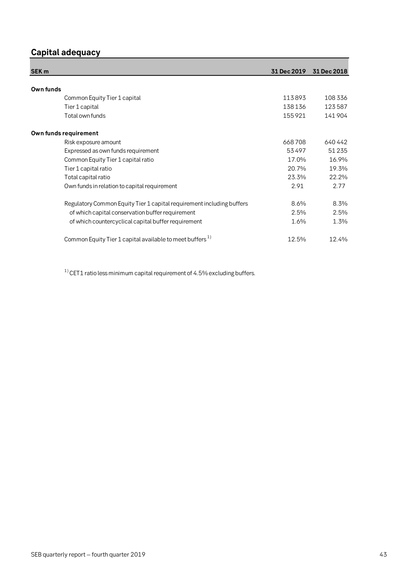# <span id="page-42-0"></span>**Capital adequacy**

| SEK <sub>m</sub>                                                      | 31 Dec 2019 | 31 Dec 2018 |
|-----------------------------------------------------------------------|-------------|-------------|
|                                                                       |             |             |
| Own funds                                                             |             |             |
| Common Equity Tier 1 capital                                          | 113893      | 108336      |
| Tier 1 capital                                                        | 138136      | 123587      |
| Total own funds                                                       | 155921      | 141904      |
| Own funds requirement                                                 |             |             |
| Risk exposure amount                                                  | 668708      | 640442      |
| Expressed as own funds requirement                                    | 53497       | 51 2 35     |
| Common Equity Tier 1 capital ratio                                    | 17.0%       | 16.9%       |
| Tier 1 capital ratio                                                  | 20.7%       | 19.3%       |
| Total capital ratio                                                   | 23.3%       | 22.2%       |
| Own funds in relation to capital requirement                          | 2.91        | 2.77        |
| Regulatory Common Equity Tier 1 capital requirement including buffers | 8.6%        | 8.3%        |
| of which capital conservation buffer requirement                      | 2.5%        | 2.5%        |
| of which countercyclical capital buffer requirement                   | 1.6%        | 1.3%        |
| Common Equity Tier 1 capital available to meet buffers <sup>1)</sup>  | 12.5%       | 12.4%       |

 $1)$  CET1 ratio less minimum capital requirement of 4.5% excluding buffers.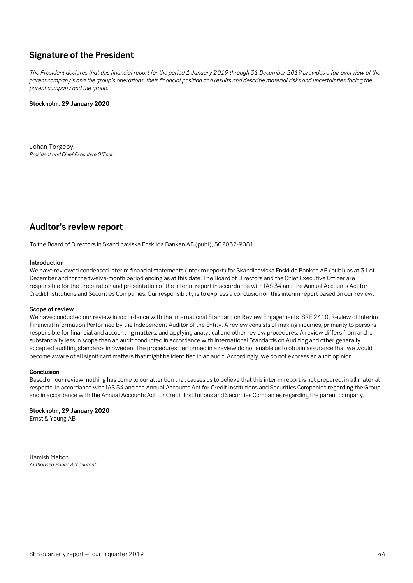# <span id="page-43-0"></span>**Signature of the President**

*The President declares that this financial report for the period 1 January 2019 through 31 December 2019 provides a fair overview of the parent company's and the group's operations, their financial position and results and describe material risks and uncertainties facing the parent company and the group.*

#### **Stockholm, 29 January 2020**

Johan Torgeby *President and Chief Executive Officer*

# <span id="page-43-1"></span>**Auditor's review report**

To the Board of Directors in Skandinaviska Enskilda Banken AB (publ), 502032-9081

#### **Introduction**

We have reviewed condensed interim financial statements (interim report) for Skandinaviska Enskilda Banken AB (publ) as at 31 of December and for the twelve-month period ending as at this date. The Board of Directors and the Chief Executive Officer are responsible for the preparation and presentation of the interim report in accordance with IAS 34 and the Annual Accounts Act for Credit Institutions and Securities Companies. Our responsibility is to express a conclusion on this interim report based on our review.

#### **Scope of review**

We have conducted our review in accordance with the International Standard on Review Engagements ISRE 2410, Review of Interim Financial Information Performed by the Independent Auditor of the Entity. A review consists of making inquiries, primarily to persons responsible for financial and accounting matters, and applying analytical and other review procedures. A review differs from and is substantially less in scope than an audit conducted in accordance with International Standards on Auditing and other generally accepted auditing standards in Sweden. The procedures performed in a review do not enable us to obtain assurance that we would become aware of all significant matters that might be identified in an audit. Accordingly, we do not express an audit opinion.

#### **Conclusion**

Based on our review, nothing has come to our attention that causes us to believe that this interim report is not prepared, in all material respects, in accordance with IAS 34 and the Annual Accounts Act for Credit Institutions and Securities Companies regarding the Group, and in accordance with the Annual Accounts Act for Credit Institutions and Securities Companies regarding the parent company.

#### **Stockholm, 29 January 2020**

Ernst & Young AB

Hamish Mabon *Authorised Public Accountant*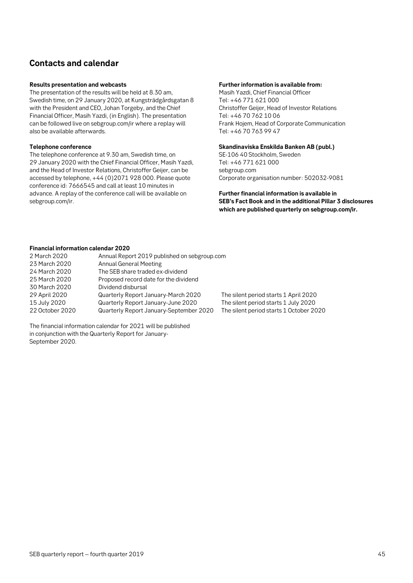# <span id="page-44-0"></span>**Contacts and calendar**

#### **Results presentation and webcasts**

The presentation of the results will be held at 8.30 am, Swedish time, on 29 January 2020, at Kungsträdgårdsgatan 8 with the President and CEO, Johan Torgeby, and the Chief Financial Officer, Masih Yazdi, (in English). The presentation can be followed live on sebgroup.com/ir where a replay will also be available afterwards.

#### **Telephone conference**

The telephone conference at 9.30 am, Swedish time, on 29 January 2020 with the Chief Financial Officer, Masih Yazdi, and the Head of Investor Relations, Christoffer Geijer, can be accessed by telephone, +44 (0)2071 928 000. Please quote conference id: 7666545 and call at least 10 minutes in advance. A replay of the conference call will be available on sebgroup.com/ir.

#### **Further information is available from:**

Masih Yazdi, Chief Financial Officer Tel: +46 771 621 000 Christoffer Geijer, Head of Investor Relations Tel: +46 70 762 10 06 Frank Hojem, Head of Corporate Communication Tel: +46 70 763 99 47

#### **Skandinaviska Enskilda Banken AB (publ.)**

SE-106 40 Stockholm, Sweden Tel: +46 771 621 000 sebgroup.com Corporate organisation number: 502032-9081

**Further financial information is available in SEB's Fact Book and in the additional Pillar 3 disclosures which are published quarterly on sebgroup.com/ir.** 

#### **Financial information calendar 2020**

| 2 March 2020<br>23 March 2020<br>24 March 2020<br>25 March 2020<br>30 March 2020 | Annual Report 2019 published on sebgroup.com<br><b>Annual General Meeting</b><br>The SEB share traded ex-dividend<br>Proposed record date for the dividend<br>Dividend disbursal |                                         |
|----------------------------------------------------------------------------------|----------------------------------------------------------------------------------------------------------------------------------------------------------------------------------|-----------------------------------------|
| 29 April 2020                                                                    | Quarterly Report January-March 2020                                                                                                                                              | The silent period starts 1 April 2020   |
| 15 July 2020                                                                     | Quarterly Report January-June 2020                                                                                                                                               | The silent period starts 1 July 2020    |
| 22 October 2020                                                                  | Quarterly Report January-September 2020                                                                                                                                          | The silent period starts 1 October 2020 |

The financial information calendar for 2021 will be published in conjunction with the Quarterly Report for January-September 2020.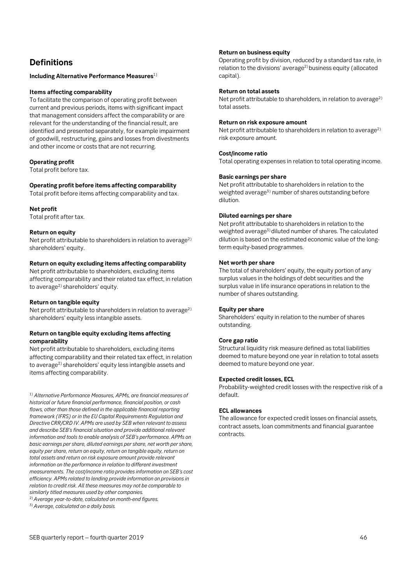# <span id="page-45-0"></span>**Definitions**

#### **Including Alternative Performance Measures**1)

#### **Items affecting comparability**

To facilitate the comparison of operating profit between current and previous periods, items with significant impact that management considers affect the comparability or are relevant for the understanding of the financial result, are identified and presented separately, for example impairment of goodwill, restructuring, gains and losses from divestments and other income or costs that are not recurring.

#### **Operating profit**

Total profit before tax.

#### **Operating profit before items affecting comparability**

Total profit before items affecting comparability and tax.

#### **Net profit**

Total profit after tax.

#### **Return on equity**

Net profit attributable to shareholders in relation to average<sup>2)</sup> shareholders' equity.

#### **Return on equity excluding items affecting comparability**

Net profit attributable to shareholders, excluding items affecting comparability and their related tax effect, in relation to average<sup>2)</sup> shareholders' equity.

#### **Return on tangible equity**

Net profit attributable to shareholders in relation to average<sup>2)</sup> shareholders' equity less intangible assets.

#### **Return on tangible equity excluding items affecting comparability**

Net profit attributable to shareholders, excluding items affecting comparability and their related tax effect, in relation to average<sup>2)</sup> shareholders' equity less intangible assets and items affecting comparability.

1) *Alternative Performance Measures, APMs, are financial measures of historical or future financial performance, financial position, or cash flows, other than those defined in the applicable financial reporting framework (IFRS) or in the EU Capital Requirements Regulation and Directive CRR/CRD IV. APMs are used by SEB when relevant to assess and describe SEB's financial situation and provide additional relevant information and tools to enable analysis of SEB's performance. APMs on basic earnings per share, diluted earnings per share, net worth per share, equity per share, return on equity, return on tangible equity, return on total assets and return on risk exposure amount provide relevant information on the performance in relation to different investment measurements. The cost/income ratio provides information on SEB's cost efficiency. APMs related to lending provide information on provisions in relation to credit risk. All these measures may not be comparable to similarly titled measures used by other companies.* 

2)*Average year-to-date, calculated on month-end figures.*

3)*Average, calculated on a daily basis.*

#### **Return on business equity**

Operating profit by division, reduced by a standard tax rate, in relation to the divisions' average<sup>2)</sup> business equity (allocated capital).

#### **Return on total assets**

Net profit attributable to shareholders, in relation to average<sup>2)</sup> total assets.

#### **Return on risk exposure amount**

Net profit attributable to shareholders in relation to average<sup>2)</sup> risk exposure amount.

#### **Cost/income ratio**

Total operating expenses in relation to total operating income.

#### **Basic earnings per share**

Net profit attributable to shareholders in relation to the weighted average<sup>3)</sup> number of shares outstanding before dilution.

#### **Diluted earnings per share**

Net profit attributable to shareholders in relation to the weighted average<sup>3)</sup> diluted number of shares. The calculated dilution is based on the estimated economic value of the longterm equity-based programmes.

#### **Net worth per share**

The total of shareholders' equity, the equity portion of any surplus values in the holdings of debt securities and the surplus value in life insurance operations in relation to the number of shares outstanding.

#### **Equity per share**

Shareholders' equity in relation to the number of shares outstanding.

#### **Core gap ratio**

Structural liquidity risk measure defined as total liabilities deemed to mature beyond one year in relation to total assets deemed to mature beyond one year.

#### **Expected credit losses, ECL**

Probability-weighted credit losses with the respective risk of a default.

#### **ECL allowances**

The allowance for expected credit losses on financial assets, contract assets, loan commitments and financial guarantee contracts.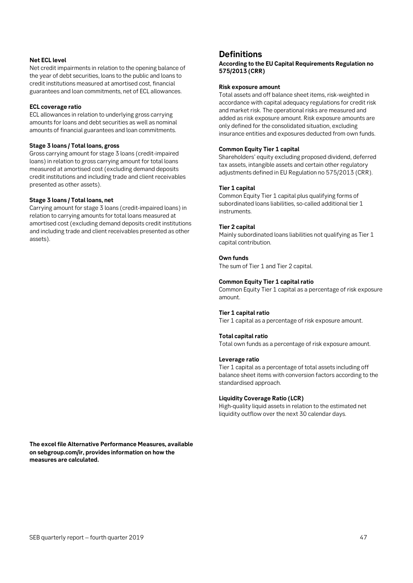#### **Net ECL level**

Net credit impairments in relation to the opening balance of the year of debt securities, loans to the public and loans to credit institutions measured at amortised cost, financial guarantees and loan commitments, net of ECL allowances.

#### **ECL coverage ratio**

ECL allowances in relation to underlying gross carrying amounts for loans and debt securities as well as nominal amounts of financial guarantees and loan commitments.

#### **Stage 3 loans / Total loans, gross**

Gross carrying amount for stage 3 loans (credit-impaired loans) in relation to gross carrying amount for total loans measured at amortised cost (excluding demand deposits credit institutions and including trade and client receivables presented as other assets).

#### **Stage 3 loans / Total loans, net**

Carrying amount for stage 3 loans (credit-impaired loans) in relation to carrying amounts for total loans measured at amortised cost (excluding demand deposits credit institutions and including trade and client receivables presented as other assets).

### **Definitions**

**According to the EU Capital Requirements Regulation no 575/2013 (CRR)**

#### **Risk exposure amount**

Total assets and off balance sheet items, risk-weighted in accordance with capital adequacy regulations for credit risk and market risk. The operational risks are measured and added as risk exposure amount. Risk exposure amounts are only defined for the consolidated situation, excluding insurance entities and exposures deducted from own funds.

#### **Common Equity Tier 1 capital**

Shareholders' equity excluding proposed dividend, deferred tax assets, intangible assets and certain other regulatory adjustments defined in EU Regulation no 575/2013 (CRR).

#### **Tier 1 capital**

Common Equity Tier 1 capital plus qualifying forms of subordinated loans liabilities, so-called additional tier 1 instruments.

#### **Tier 2 capital**

Mainly subordinated loans liabilities not qualifying as Tier 1 capital contribution.

#### **Own funds**

The sum of Tier 1 and Tier 2 capital.

#### **Common Equity Tier 1 capital ratio**

Common Equity Tier 1 capital as a percentage of risk exposure amount.

#### **Tier 1 capital ratio**

Tier 1 capital as a percentage of risk exposure amount.

#### **Total capital ratio**

Total own funds as a percentage of risk exposure amount.

#### **Leverage ratio**

Tier 1 capital as a percentage of total assets including off balance sheet items with conversion factors according to the standardised approach.

#### **Liquidity Coverage Ratio (LCR)**

High-quality liquid assets in relation to the estimated net liquidity outflow over the next 30 calendar days.

**The excel file Alternative Performance Measures, available on sebgroup.com/ir, provides information on how the measures are calculated.**